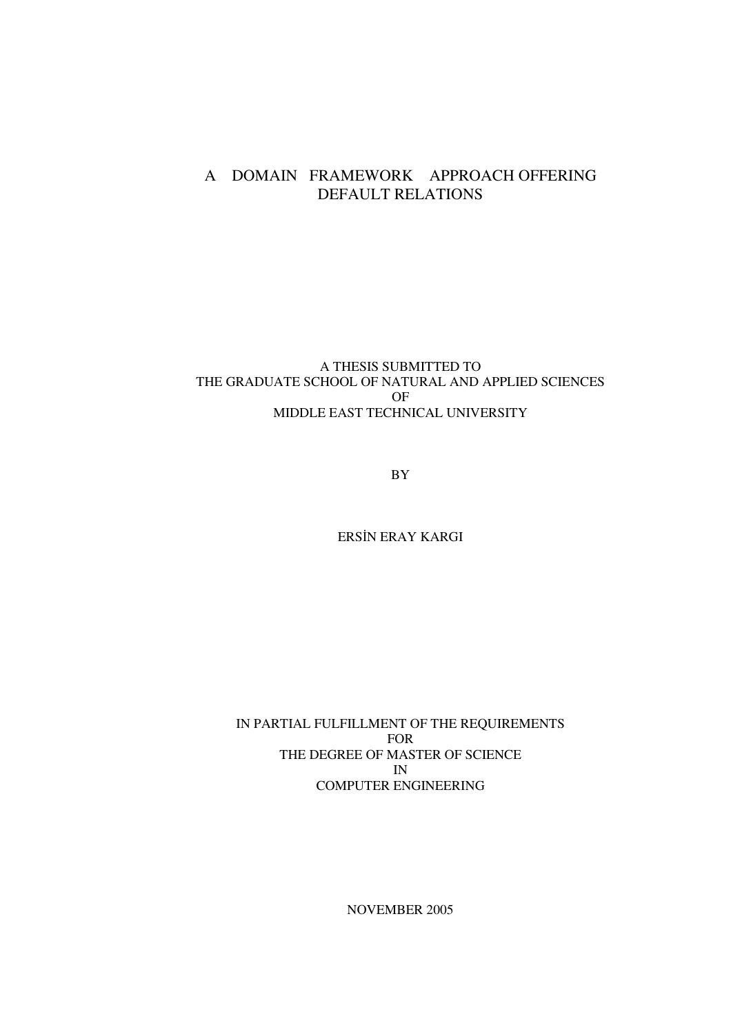## A DOMAIN FRAMEWORK APPROACH OFFERING DEFAULT RELATIONS

#### A THESIS SUBMITTED TO THE GRADUATE SCHOOL OF NATURAL AND APPLIED SCIENCES OF MIDDLE EAST TECHNICAL UNIVERSITY

BY

ERSIN ERAY KARGI

IN PARTIAL FULFILLMENT OF THE REQUIREMENTS FOR THE DEGREE OF MASTER OF SCIENCE IN COMPUTER ENGINEERING

NOVEMBER 2005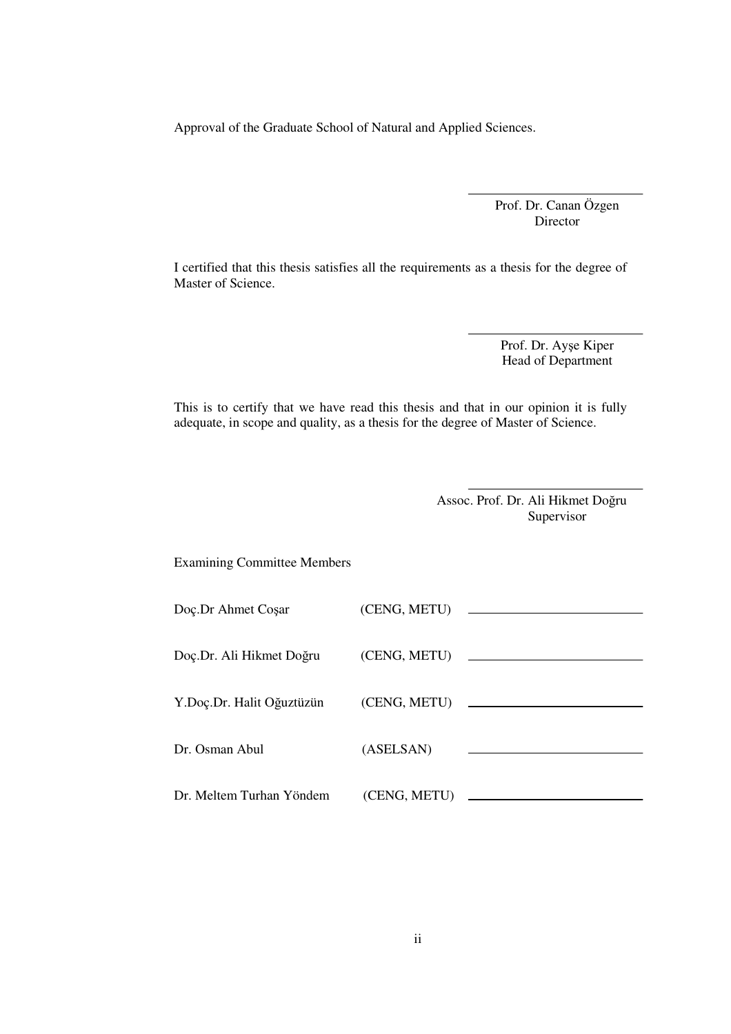Approval of the Graduate School of Natural and Applied Sciences.

Prof. Dr. Canan Özgen Director

I certified that this thesis satisfies all the requirements as a thesis for the degree of Master of Science.

> Prof. Dr. Ayşe Kiper Head of Department

This is to certify that we have read this thesis and that in our opinion it is fully adequate, in scope and quality, as a thesis for the degree of Master of Science.

> Assoc. Prof. Dr. Ali Hikmet Doğru Supervisor

Examining Committee Members

| Doç.Dr Ahmet Coşar        | (CENG, METU) |                                                           |
|---------------------------|--------------|-----------------------------------------------------------|
| Doç.Dr. Ali Hikmet Doğru  |              |                                                           |
| Y.Doç.Dr. Halit Oğuztüzün |              |                                                           |
| Dr. Osman Abul            | (ASELSAN)    | <u> 1980 - Johann Barnett, fransk politiker (d. 1980)</u> |
| Dr. Meltem Turhan Yöndem  | (CENG, METU) |                                                           |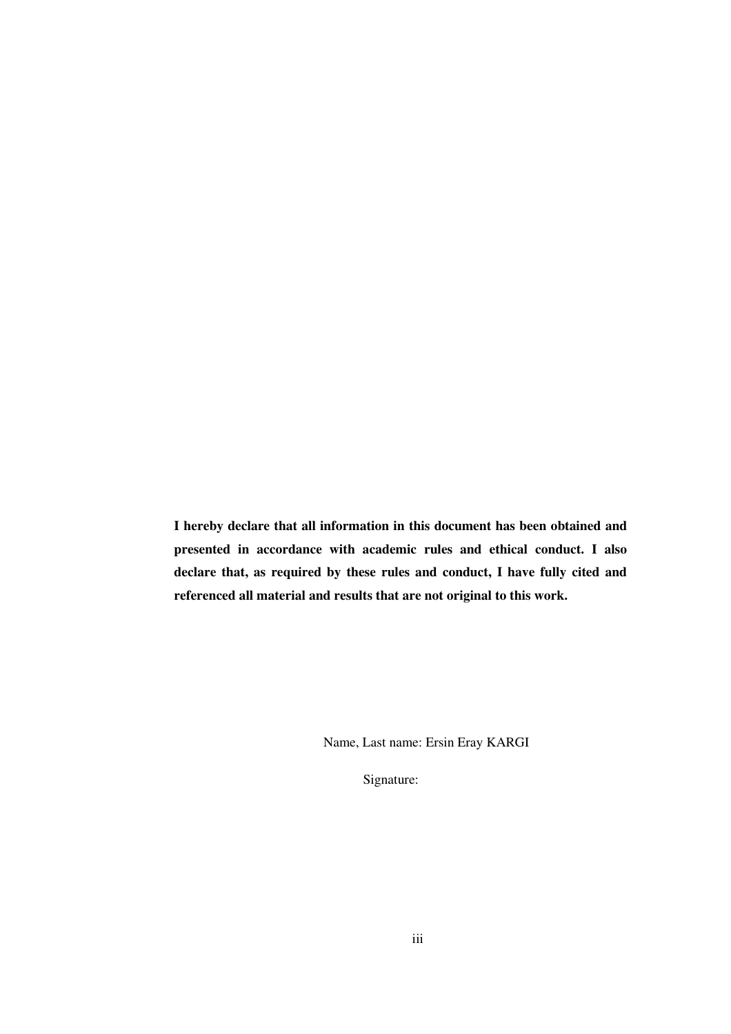**I hereby declare that all information in this document has been obtained and presented in accordance with academic rules and ethical conduct. I also declare that, as required by these rules and conduct, I have fully cited and referenced all material and results that are not original to this work.**

Name, Last name: Ersin Eray KARGI

Signature: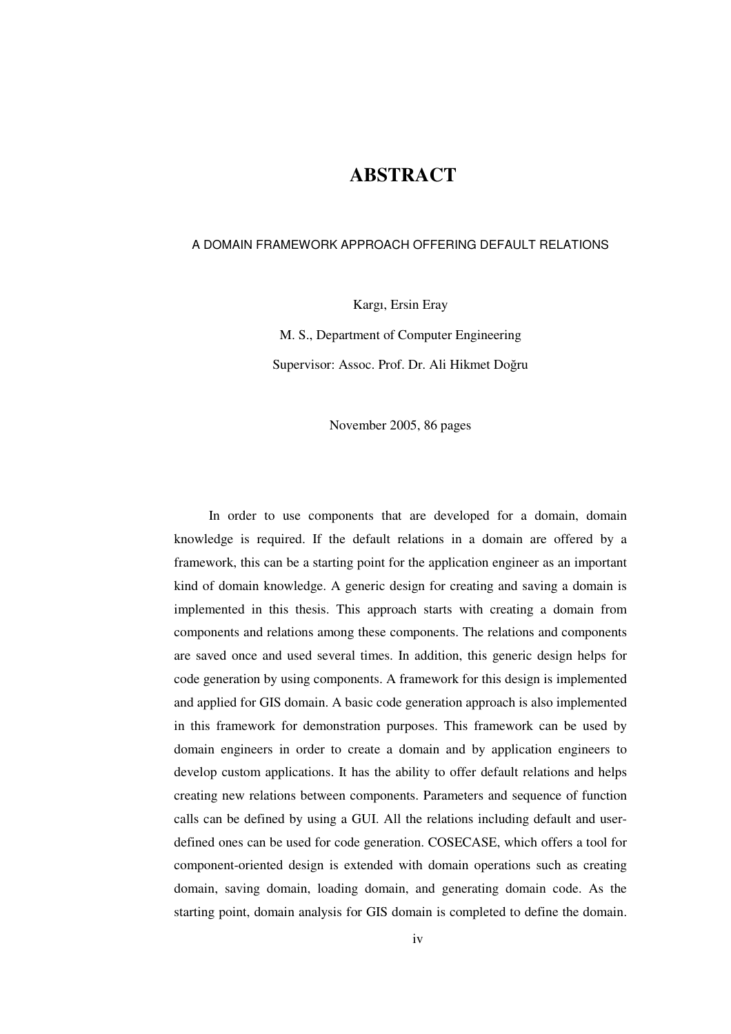## **ABSTRACT**

#### A DOMAIN FRAMEWORK APPROACH OFFERING DEFAULT RELATIONS

Kargı, Ersin Eray

M. S., Department of Computer Engineering Supervisor: Assoc. Prof. Dr. Ali Hikmet Doğru

November 2005, 86 pages

In order to use components that are developed for a domain, domain knowledge is required. If the default relations in a domain are offered by a framework, this can be a starting point for the application engineer as an important kind of domain knowledge. A generic design for creating and saving a domain is implemented in this thesis. This approach starts with creating a domain from components and relations among these components. The relations and components are saved once and used several times. In addition, this generic design helps for code generation by using components. A framework for this design is implemented and applied for GIS domain. A basic code generation approach is also implemented in this framework for demonstration purposes. This framework can be used by domain engineers in order to create a domain and by application engineers to develop custom applications. It has the ability to offer default relations and helps creating new relations between components. Parameters and sequence of function calls can be defined by using a GUI. All the relations including default and userdefined ones can be used for code generation. COSECASE, which offers a tool for component-oriented design is extended with domain operations such as creating domain, saving domain, loading domain, and generating domain code. As the starting point, domain analysis for GIS domain is completed to define the domain.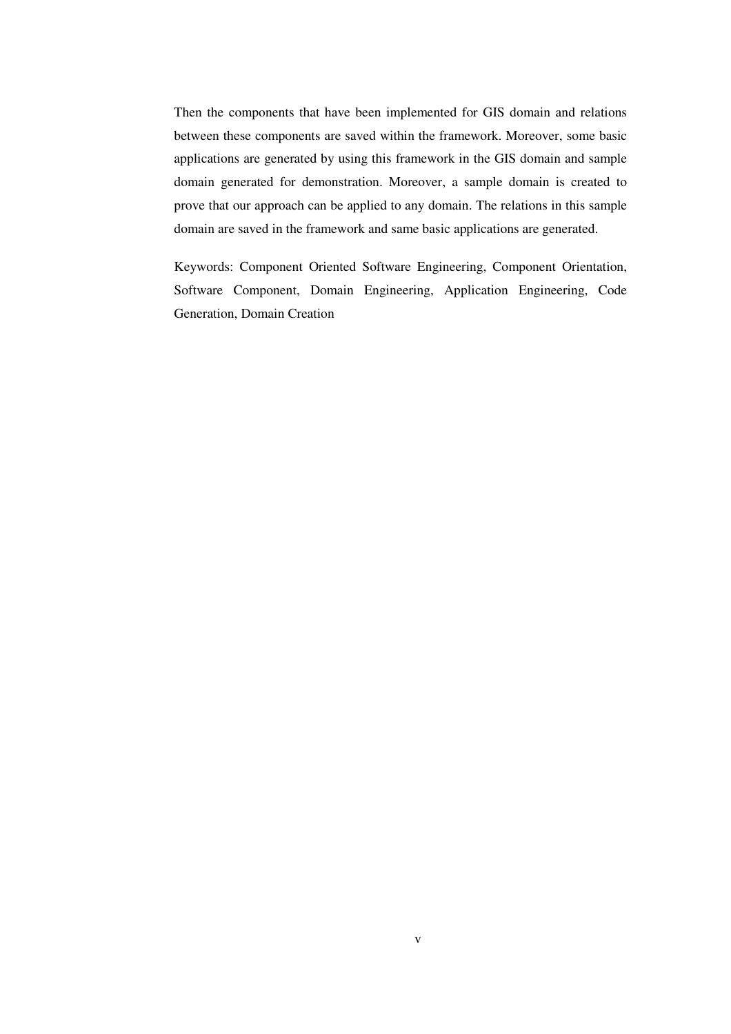Then the components that have been implemented for GIS domain and relations between these components are saved within the framework. Moreover, some basic applications are generated by using this framework in the GIS domain and sample domain generated for demonstration. Moreover, a sample domain is created to prove that our approach can be applied to any domain. The relations in this sample domain are saved in the framework and same basic applications are generated.

Keywords: Component Oriented Software Engineering, Component Orientation, Software Component, Domain Engineering, Application Engineering, Code Generation, Domain Creation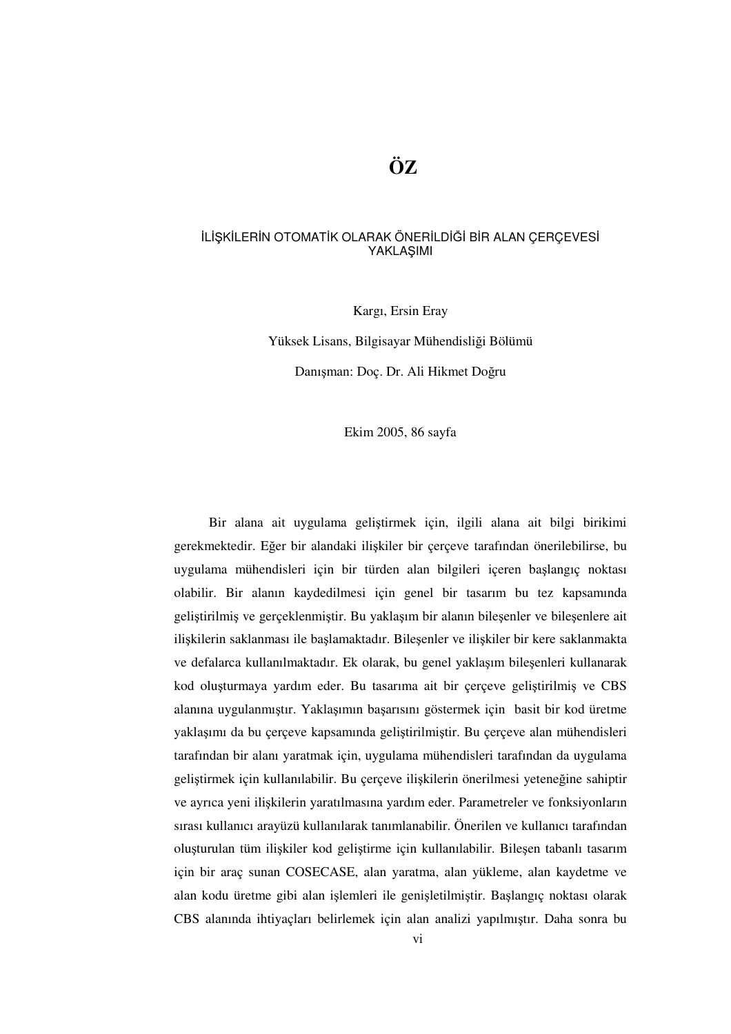#### İLİŞKİLERİN OTOMATİK OLARAK ÖNERİLDİĞİ BİR ALAN ÇERÇEVESİ YAKLAŞIMI

Kargı, Ersin Eray

Yüksek Lisans, Bilgisayar Mühendisliği Bölümü

Danışman: Doç. Dr. Ali Hikmet Doğru

Ekim 2005, 86 sayfa

Bir alana ait uygulama geliştirmek için, ilgili alana ait bilgi birikimi gerekmektedir. Eğer bir alandaki ilişkiler bir çerçeve tarafından önerilebilirse, bu uygulama mühendisleri için bir türden alan bilgileri içeren başlangıç noktası olabilir. Bir alanın kaydedilmesi için genel bir tasarım bu tez kapsamında geliştirilmiş ve gerçeklenmiştir. Bu yaklaşım bir alanın bileşenler ve bileşenlere ait ilişkilerin saklanması ile başlamaktadır. Bileşenler ve ilişkiler bir kere saklanmakta ve defalarca kullanılmaktadır. Ek olarak, bu genel yaklaşım bileşenleri kullanarak kod oluşturmaya yardım eder. Bu tasarıma ait bir çerçeve geliştirilmiş ve CBS alanına uygulanmıştır. Yaklaşımın başarısını göstermek için basit bir kod üretme yaklaşımı da bu çerçeve kapsamında geliştirilmiştir. Bu çerçeve alan mühendisleri tarafından bir alanı yaratmak için, uygulama mühendisleri tarafından da uygulama geliştirmek için kullanılabilir. Bu çerçeve ilişkilerin önerilmesi yeteneğine sahiptir ve ayrıca yeni ilişkilerin yaratılmasına yardım eder. Parametreler ve fonksiyonların sırası kullanıcı arayüzü kullanılarak tanımlanabilir. Önerilen ve kullanıcı tarafından oluşturulan tüm ilişkiler kod geliştirme için kullanılabilir. Bileşen tabanlı tasarım için bir araç sunan COSECASE, alan yaratma, alan yükleme, alan kaydetme ve alan kodu üretme gibi alan işlemleri ile genişletilmiştir. Başlangıç noktası olarak CBS alanında ihtiyaçları belirlemek için alan analizi yapılmıştır. Daha sonra bu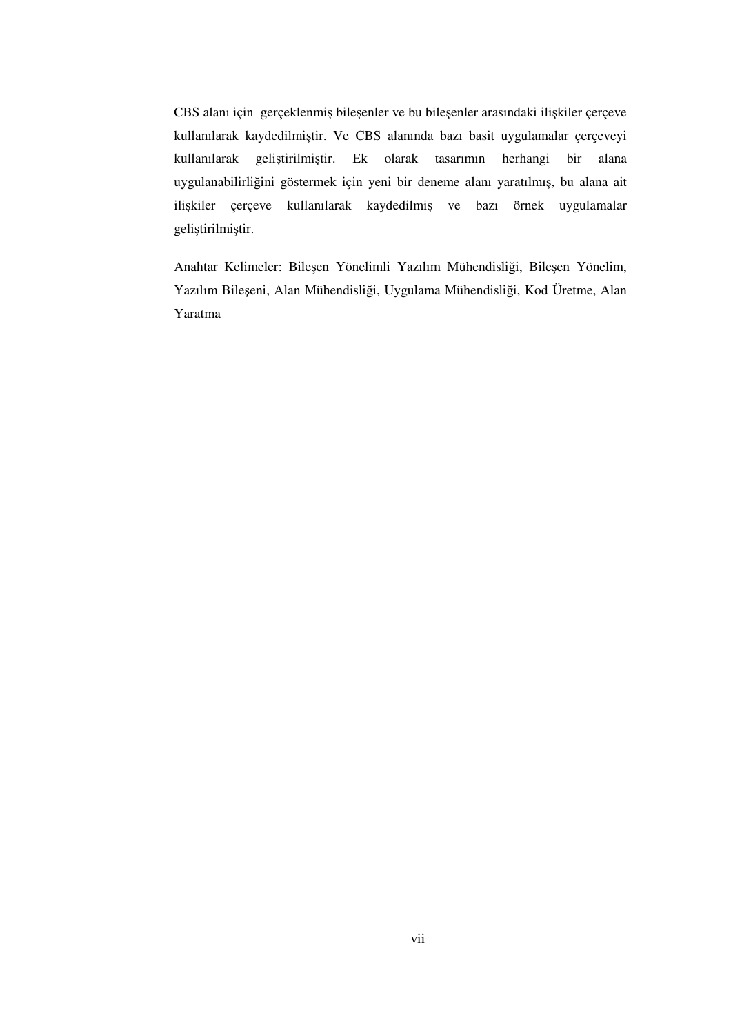CBS alanı için gerçeklenmiş bileşenler ve bu bileşenler arasındaki ilişkiler çerçeve kullanılarak kaydedilmiştir. Ve CBS alanında bazı basit uygulamalar çerçeveyi kullanılarak geliştirilmiştir. Ek olarak tasarımın herhangi bir alana uygulanabilirliğini göstermek için yeni bir deneme alanı yaratılmış, bu alana ait ilişkiler çerçeve kullanılarak kaydedilmiş ve bazı örnek uygulamalar geliştirilmiştir.

Anahtar Kelimeler: Bileşen Yönelimli Yazılım Mühendisliği, Bileşen Yönelim, Yazılım Bileşeni, Alan Mühendisliği, Uygulama Mühendisliği, Kod Üretme, Alan Yaratma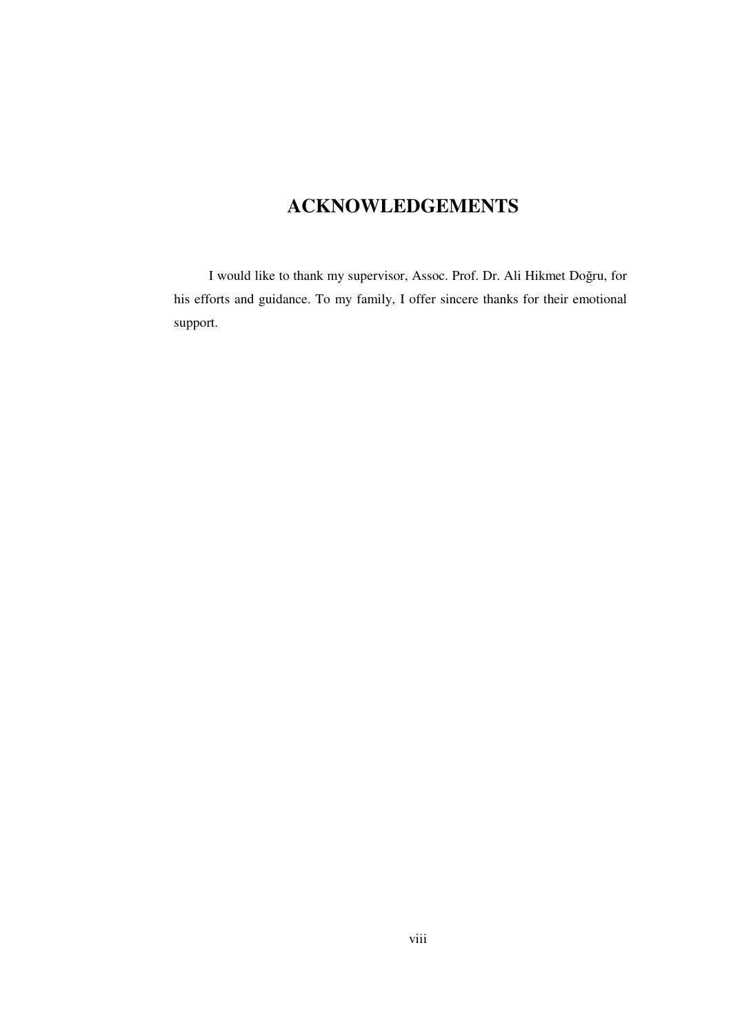# **ACKNOWLEDGEMENTS**

I would like to thank my supervisor, Assoc. Prof. Dr. Ali Hikmet Doğru, for his efforts and guidance. To my family, I offer sincere thanks for their emotional support.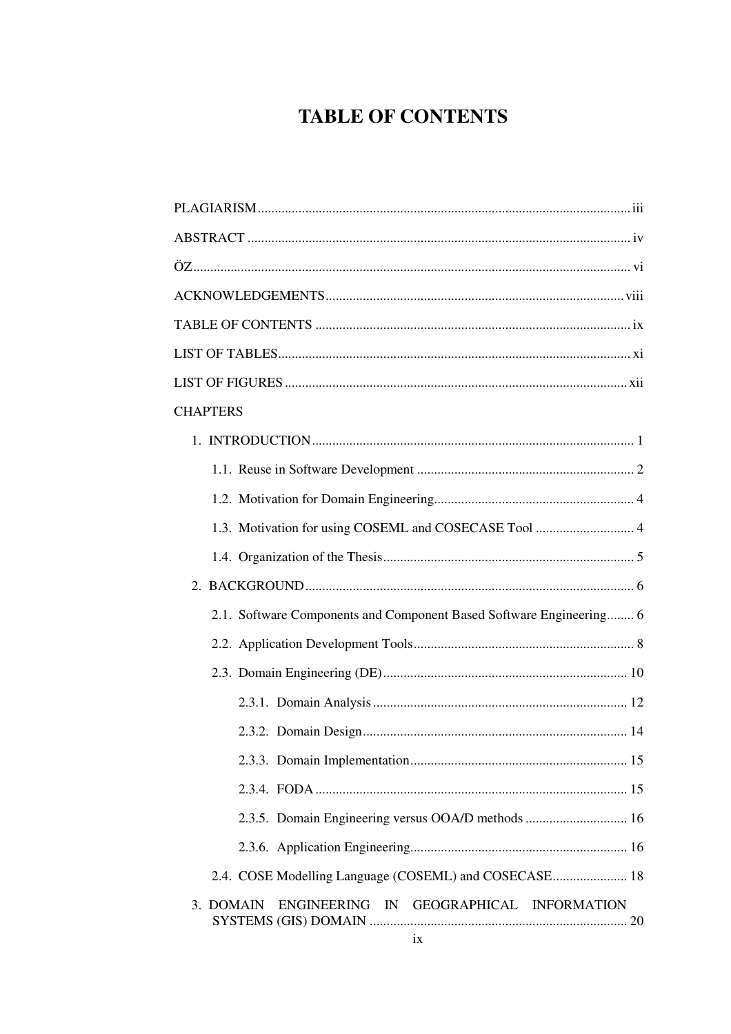# **TABLE OF CONTENTS**

| <b>CHAPTERS</b>                                                     |
|---------------------------------------------------------------------|
|                                                                     |
|                                                                     |
|                                                                     |
| 1.3. Motivation for using COSEML and COSECASE Tool  4               |
|                                                                     |
|                                                                     |
| 2.1. Software Components and Component Based Software Engineering 6 |
|                                                                     |
|                                                                     |
|                                                                     |
|                                                                     |
|                                                                     |
|                                                                     |
|                                                                     |
|                                                                     |
| 2.4. COSE Modelling Language (COSEML) and COSECASE 18               |
| 3. DOMAIN ENGINEERING IN GEOGRAPHICAL INFORMATION                   |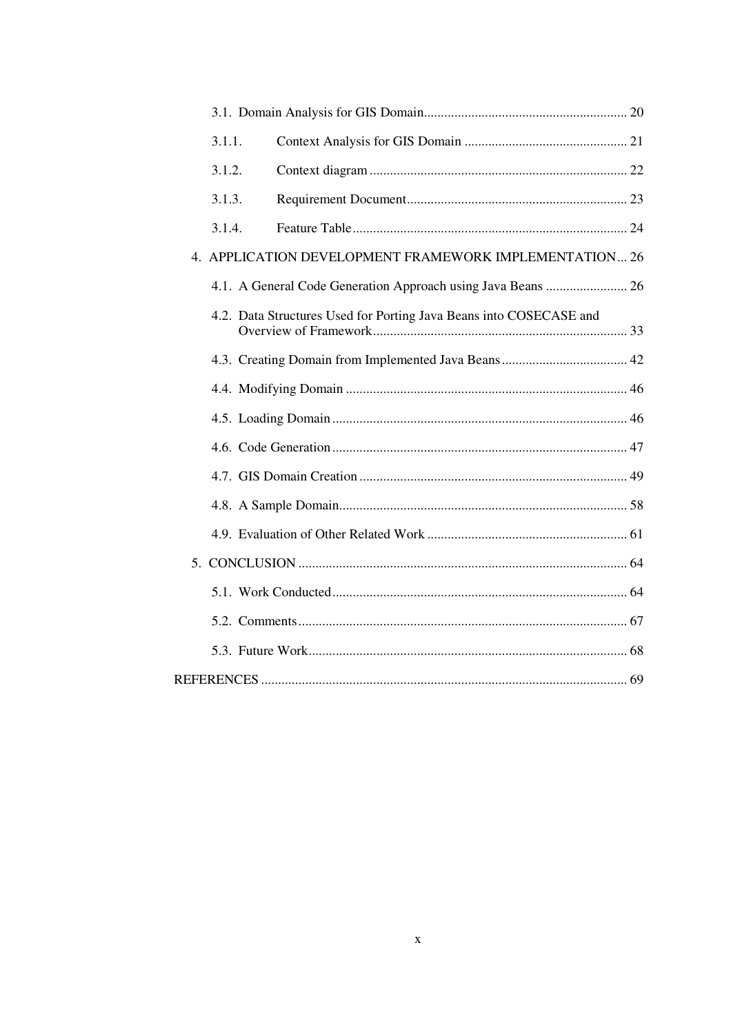| 3.1.1. |                                                                    |  |
|--------|--------------------------------------------------------------------|--|
| 3.1.2. |                                                                    |  |
| 3.1.3. |                                                                    |  |
| 3.1.4. |                                                                    |  |
|        | 4. APPLICATION DEVELOPMENT FRAMEWORK IMPLEMENTATION 26             |  |
|        |                                                                    |  |
|        | 4.2. Data Structures Used for Porting Java Beans into COSECASE and |  |
|        |                                                                    |  |
|        |                                                                    |  |
|        |                                                                    |  |
|        |                                                                    |  |
|        |                                                                    |  |
|        |                                                                    |  |
|        |                                                                    |  |
|        |                                                                    |  |
|        |                                                                    |  |
|        |                                                                    |  |
|        |                                                                    |  |
|        |                                                                    |  |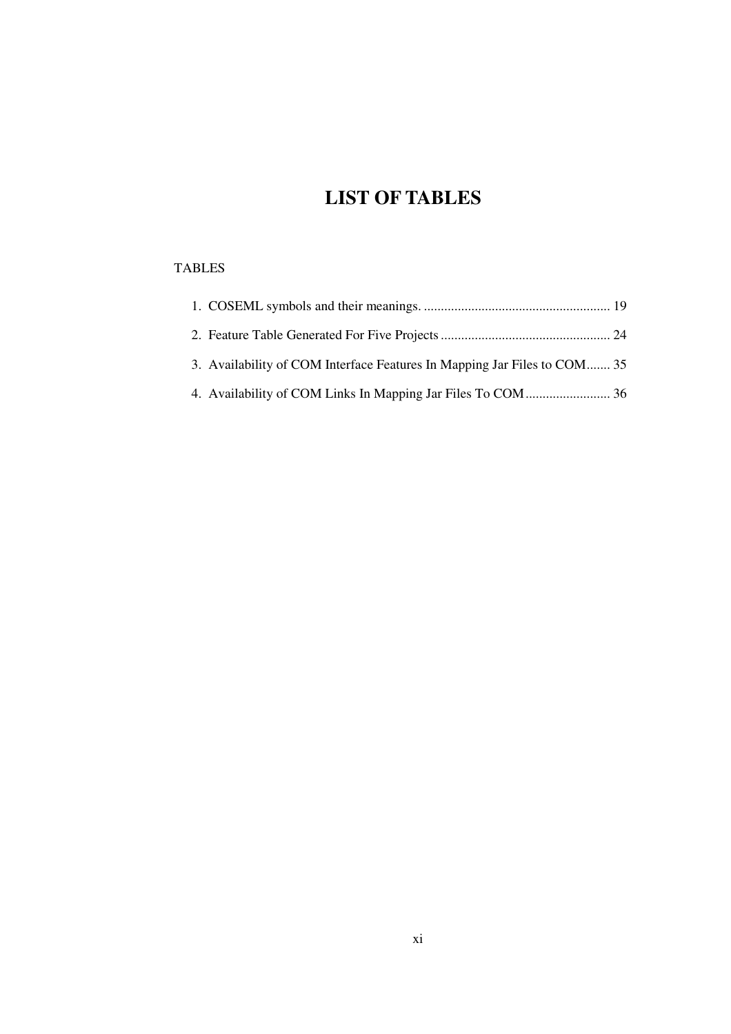# **LIST OF TABLES**

### TABLES

| 3. Availability of COM Interface Features In Mapping Jar Files to COM 35 |  |
|--------------------------------------------------------------------------|--|
|                                                                          |  |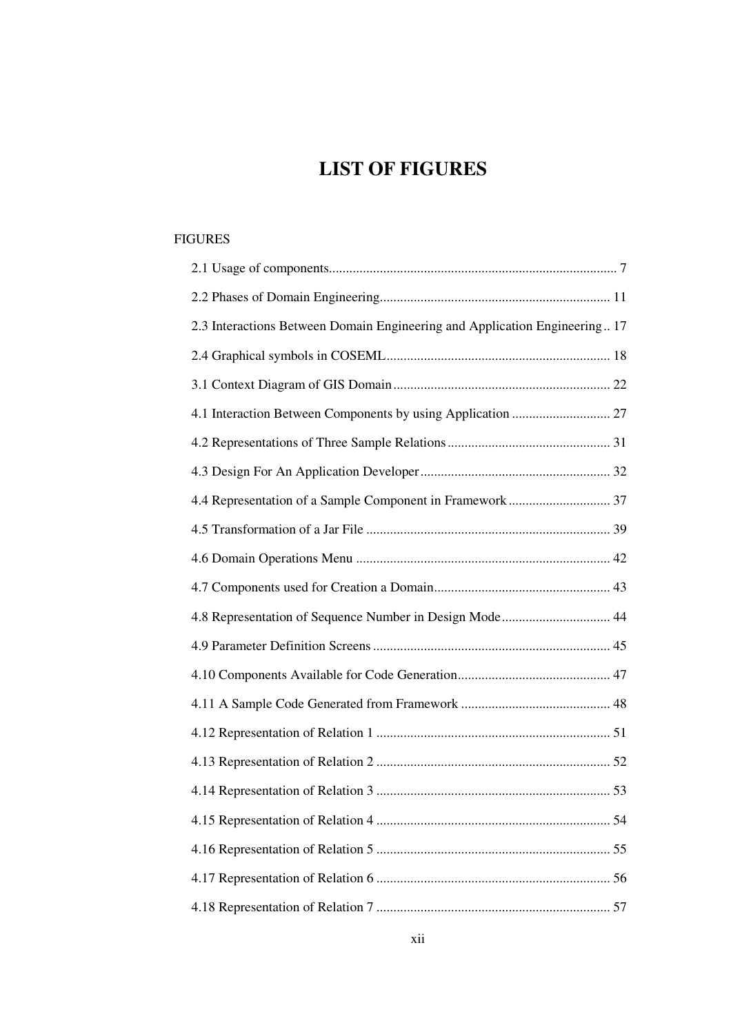# **LIST OF FIGURES**

#### FIGURES

| 2.3 Interactions Between Domain Engineering and Application Engineering 17 |
|----------------------------------------------------------------------------|
|                                                                            |
|                                                                            |
|                                                                            |
|                                                                            |
|                                                                            |
|                                                                            |
|                                                                            |
|                                                                            |
|                                                                            |
| 4.8 Representation of Sequence Number in Design Mode 44                    |
|                                                                            |
|                                                                            |
|                                                                            |
|                                                                            |
|                                                                            |
|                                                                            |
|                                                                            |
|                                                                            |
|                                                                            |
|                                                                            |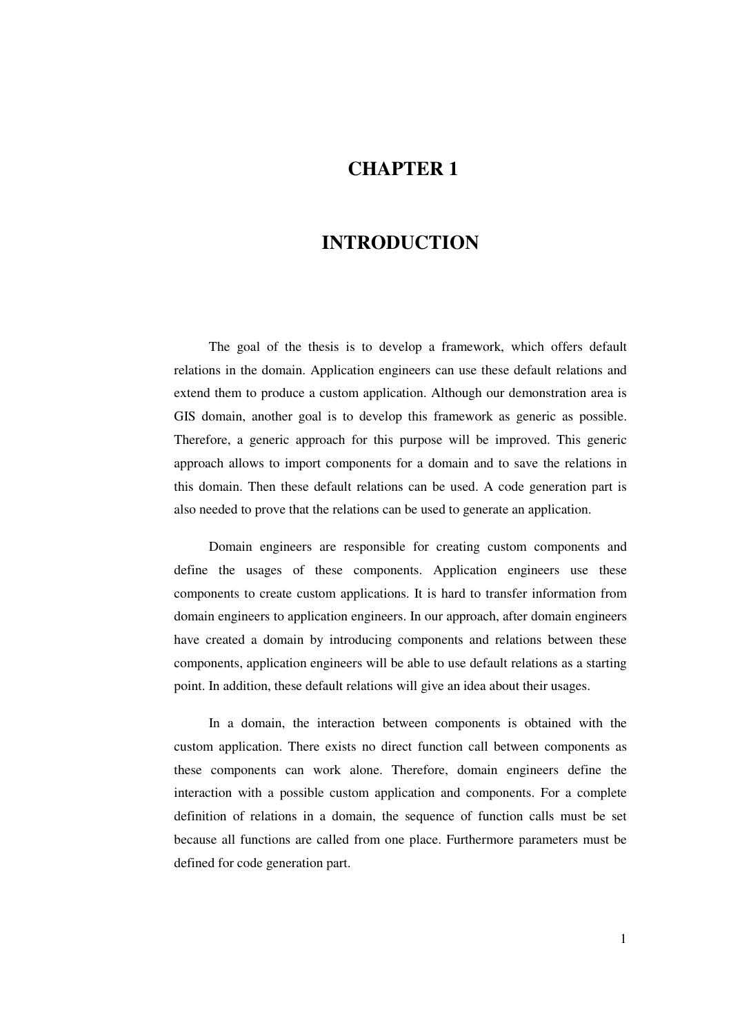## **CHAPTER 1**

## **INTRODUCTION**

The goal of the thesis is to develop a framework, which offers default relations in the domain. Application engineers can use these default relations and extend them to produce a custom application. Although our demonstration area is GIS domain, another goal is to develop this framework as generic as possible. Therefore, a generic approach for this purpose will be improved. This generic approach allows to import components for a domain and to save the relations in this domain. Then these default relations can be used. A code generation part is also needed to prove that the relations can be used to generate an application.

Domain engineers are responsible for creating custom components and define the usages of these components. Application engineers use these components to create custom applications. It is hard to transfer information from domain engineers to application engineers. In our approach, after domain engineers have created a domain by introducing components and relations between these components, application engineers will be able to use default relations as a starting point. In addition, these default relations will give an idea about their usages.

In a domain, the interaction between components is obtained with the custom application. There exists no direct function call between components as these components can work alone. Therefore, domain engineers define the interaction with a possible custom application and components. For a complete definition of relations in a domain, the sequence of function calls must be set because all functions are called from one place. Furthermore parameters must be defined for code generation part.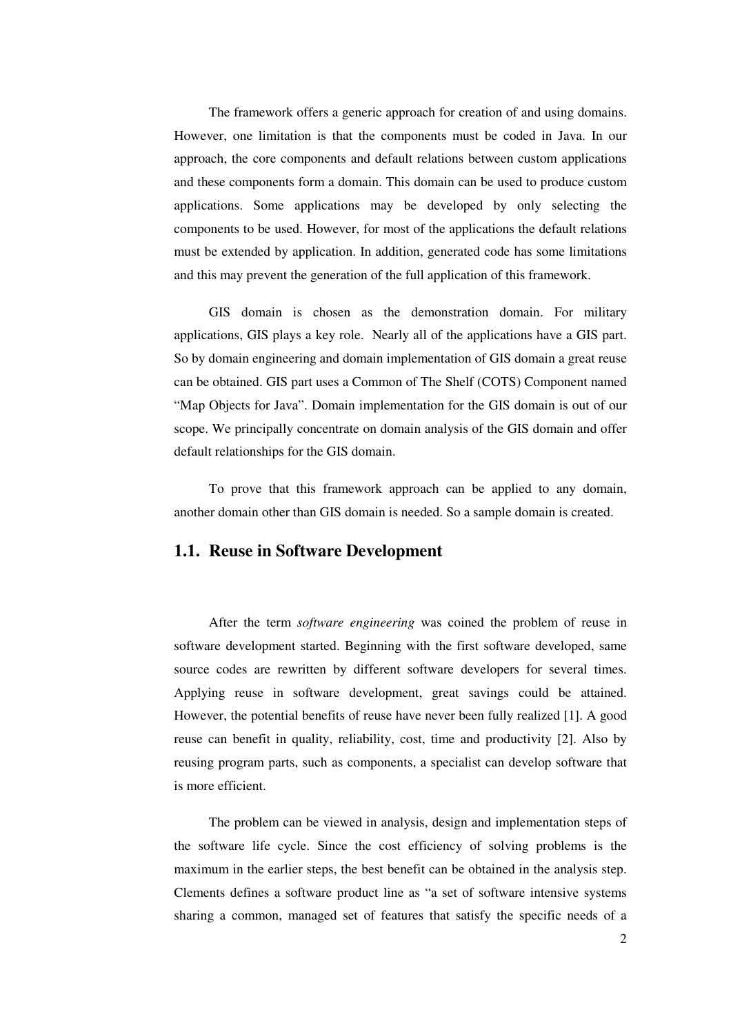The framework offers a generic approach for creation of and using domains. However, one limitation is that the components must be coded in Java. In our approach, the core components and default relations between custom applications and these components form a domain. This domain can be used to produce custom applications. Some applications may be developed by only selecting the components to be used. However, for most of the applications the default relations must be extended by application. In addition, generated code has some limitations and this may prevent the generation of the full application of this framework.

GIS domain is chosen as the demonstration domain. For military applications, GIS plays a key role. Nearly all of the applications have a GIS part. So by domain engineering and domain implementation of GIS domain a great reuse can be obtained. GIS part uses a Common of The Shelf (COTS) Component named "Map Objects for Java". Domain implementation for the GIS domain is out of our scope. We principally concentrate on domain analysis of the GIS domain and offer default relationships for the GIS domain.

To prove that this framework approach can be applied to any domain, another domain other than GIS domain is needed. So a sample domain is created.

#### **1.1. Reuse in Software Development**

After the term *software engineering* was coined the problem of reuse in software development started. Beginning with the first software developed, same source codes are rewritten by different software developers for several times. Applying reuse in software development, great savings could be attained. However, the potential benefits of reuse have never been fully realized [1]. A good reuse can benefit in quality, reliability, cost, time and productivity [2]. Also by reusing program parts, such as components, a specialist can develop software that is more efficient.

The problem can be viewed in analysis, design and implementation steps of the software life cycle. Since the cost efficiency of solving problems is the maximum in the earlier steps, the best benefit can be obtained in the analysis step. Clements defines a software product line as "a set of software intensive systems sharing a common, managed set of features that satisfy the specific needs of a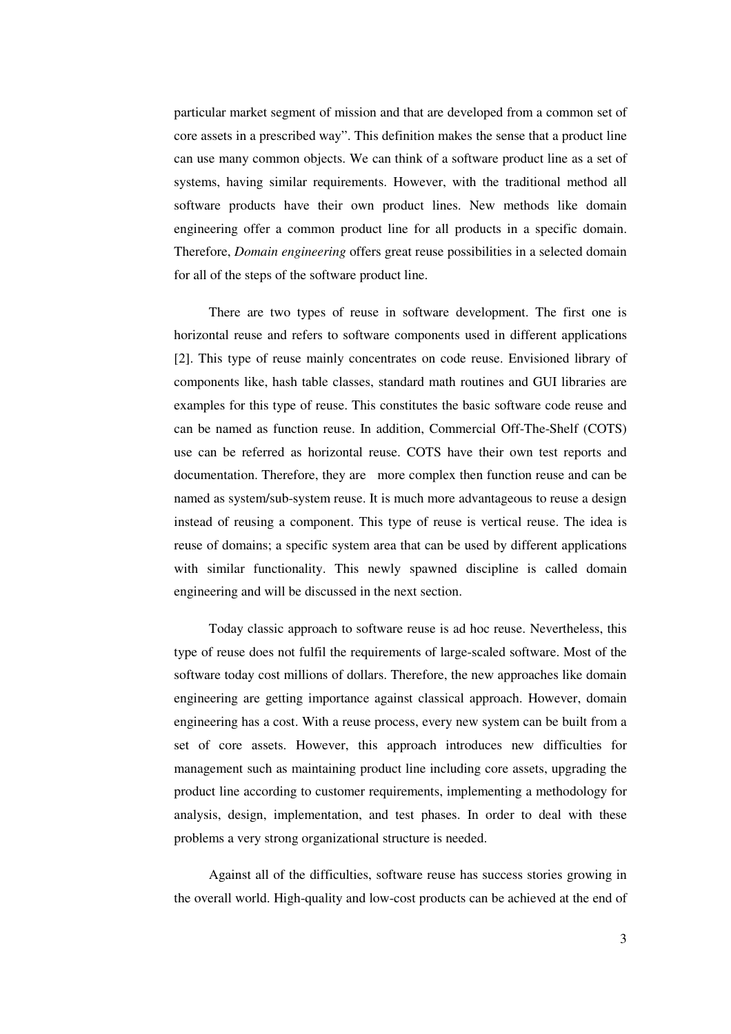particular market segment of mission and that are developed from a common set of core assets in a prescribed way". This definition makes the sense that a product line can use many common objects. We can think of a software product line as a set of systems, having similar requirements. However, with the traditional method all software products have their own product lines. New methods like domain engineering offer a common product line for all products in a specific domain. Therefore, *Domain engineering* offers great reuse possibilities in a selected domain for all of the steps of the software product line.

There are two types of reuse in software development. The first one is horizontal reuse and refers to software components used in different applications [2]. This type of reuse mainly concentrates on code reuse. Envisioned library of components like, hash table classes, standard math routines and GUI libraries are examples for this type of reuse. This constitutes the basic software code reuse and can be named as function reuse. In addition, Commercial Off-The-Shelf (COTS) use can be referred as horizontal reuse. COTS have their own test reports and documentation. Therefore, they are more complex then function reuse and can be named as system/sub-system reuse. It is much more advantageous to reuse a design instead of reusing a component. This type of reuse is vertical reuse. The idea is reuse of domains; a specific system area that can be used by different applications with similar functionality. This newly spawned discipline is called domain engineering and will be discussed in the next section.

Today classic approach to software reuse is ad hoc reuse. Nevertheless, this type of reuse does not fulfil the requirements of large-scaled software. Most of the software today cost millions of dollars. Therefore, the new approaches like domain engineering are getting importance against classical approach. However, domain engineering has a cost. With a reuse process, every new system can be built from a set of core assets. However, this approach introduces new difficulties for management such as maintaining product line including core assets, upgrading the product line according to customer requirements, implementing a methodology for analysis, design, implementation, and test phases. In order to deal with these problems a very strong organizational structure is needed.

Against all of the difficulties, software reuse has success stories growing in the overall world. High-quality and low-cost products can be achieved at the end of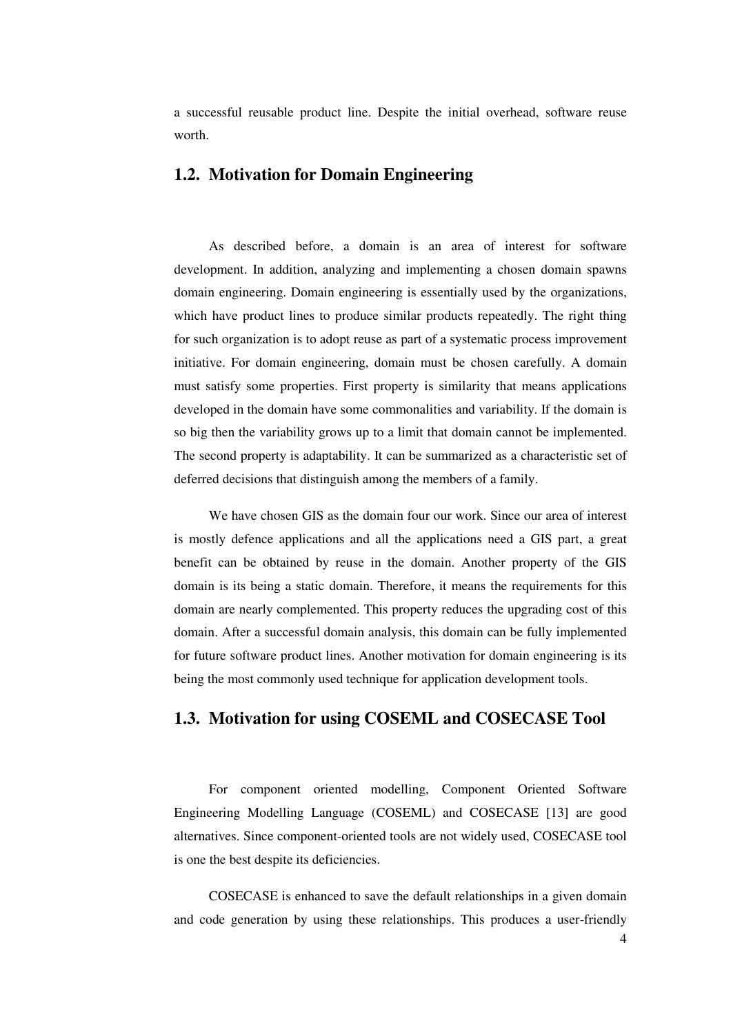a successful reusable product line. Despite the initial overhead, software reuse worth.

### **1.2. Motivation for Domain Engineering**

As described before, a domain is an area of interest for software development. In addition, analyzing and implementing a chosen domain spawns domain engineering. Domain engineering is essentially used by the organizations, which have product lines to produce similar products repeatedly. The right thing for such organization is to adopt reuse as part of a systematic process improvement initiative. For domain engineering, domain must be chosen carefully. A domain must satisfy some properties. First property is similarity that means applications developed in the domain have some commonalities and variability. If the domain is so big then the variability grows up to a limit that domain cannot be implemented. The second property is adaptability. It can be summarized as a characteristic set of deferred decisions that distinguish among the members of a family.

We have chosen GIS as the domain four our work. Since our area of interest is mostly defence applications and all the applications need a GIS part, a great benefit can be obtained by reuse in the domain. Another property of the GIS domain is its being a static domain. Therefore, it means the requirements for this domain are nearly complemented. This property reduces the upgrading cost of this domain. After a successful domain analysis, this domain can be fully implemented for future software product lines. Another motivation for domain engineering is its being the most commonly used technique for application development tools.

## **1.3. Motivation for using COSEML and COSECASE Tool**

For component oriented modelling, Component Oriented Software Engineering Modelling Language (COSEML) and COSECASE [13] are good alternatives. Since component-oriented tools are not widely used, COSECASE tool is one the best despite its deficiencies.

COSECASE is enhanced to save the default relationships in a given domain and code generation by using these relationships. This produces a user-friendly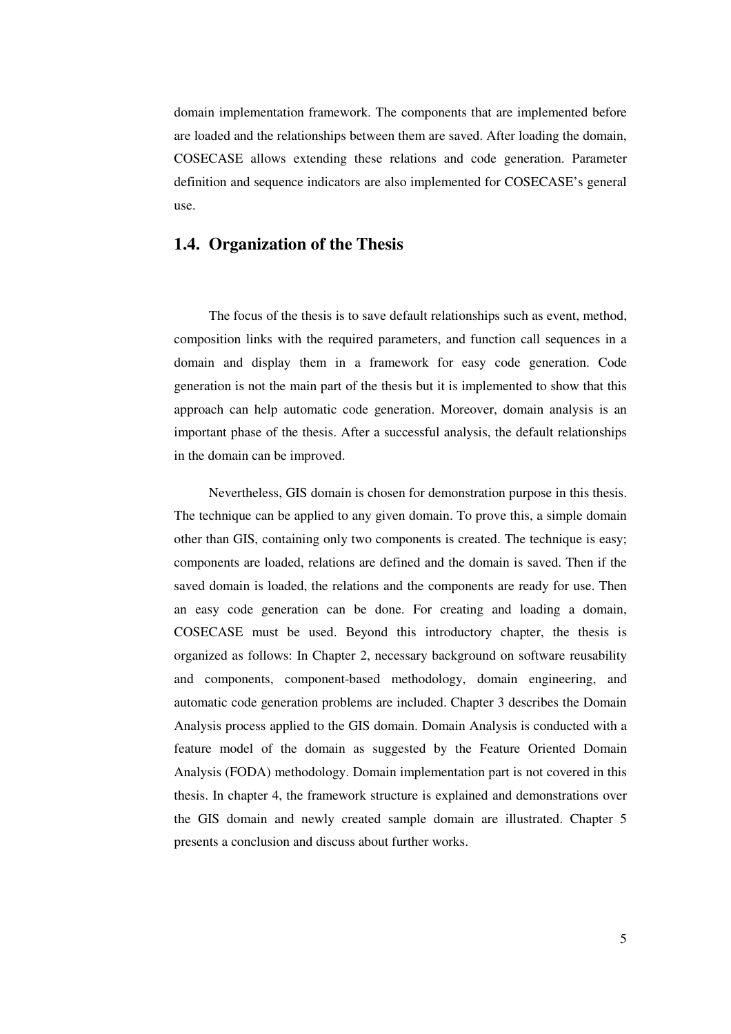domain implementation framework. The components that are implemented before are loaded and the relationships between them are saved. After loading the domain, COSECASE allows extending these relations and code generation. Parameter definition and sequence indicators are also implemented for COSECASE's general use.

### **1.4. Organization of the Thesis**

The focus of the thesis is to save default relationships such as event, method, composition links with the required parameters, and function call sequences in a domain and display them in a framework for easy code generation. Code generation is not the main part of the thesis but it is implemented to show that this approach can help automatic code generation. Moreover, domain analysis is an important phase of the thesis. After a successful analysis, the default relationships in the domain can be improved.

Nevertheless, GIS domain is chosen for demonstration purpose in this thesis. The technique can be applied to any given domain. To prove this, a simple domain other than GIS, containing only two components is created. The technique is easy; components are loaded, relations are defined and the domain is saved. Then if the saved domain is loaded, the relations and the components are ready for use. Then an easy code generation can be done. For creating and loading a domain, COSECASE must be used. Beyond this introductory chapter, the thesis is organized as follows: In Chapter 2, necessary background on software reusability and components, component-based methodology, domain engineering, and automatic code generation problems are included. Chapter 3 describes the Domain Analysis process applied to the GIS domain. Domain Analysis is conducted with a feature model of the domain as suggested by the Feature Oriented Domain Analysis (FODA) methodology. Domain implementation part is not covered in this thesis. In chapter 4, the framework structure is explained and demonstrations over the GIS domain and newly created sample domain are illustrated. Chapter 5 presents a conclusion and discuss about further works.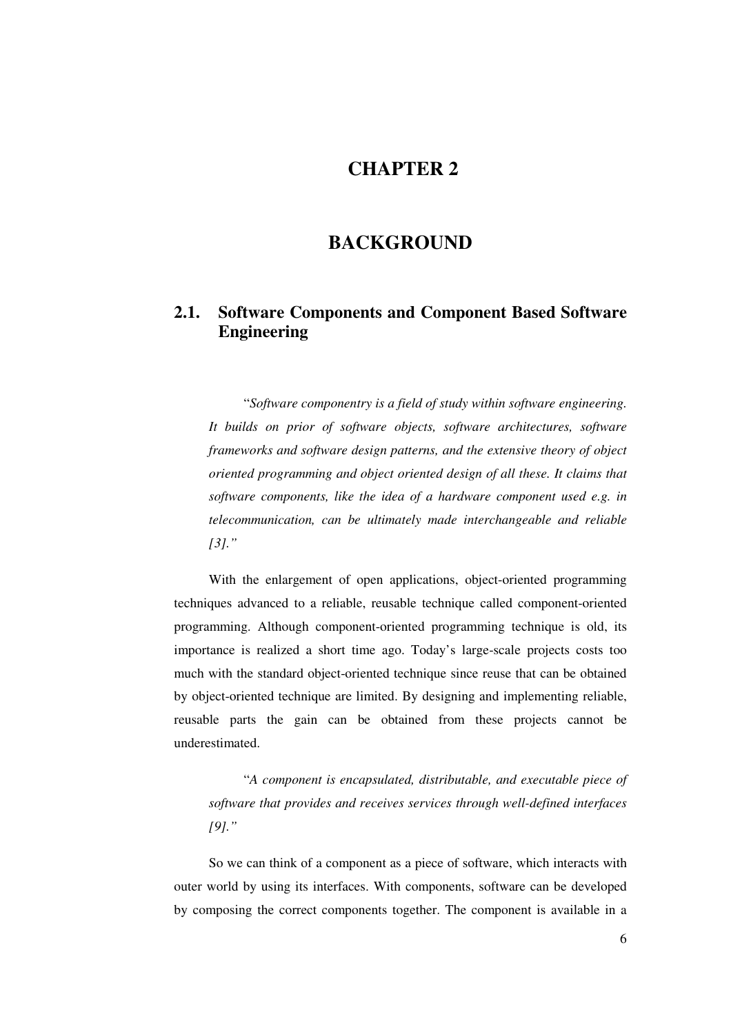## **CHAPTER 2**

## **BACKGROUND**

## **2.1. Software Components and Component Based Software Engineering**

"*Software componentry is a field of study within software engineering. It builds on prior of software objects, software architectures, software frameworks and software design patterns, and the extensive theory of object oriented programming and object oriented design of all these. It claims that software components, like the idea of a hardware component used e.g. in telecommunication, can be ultimately made interchangeable and reliable [3]."*

With the enlargement of open applications, object-oriented programming techniques advanced to a reliable, reusable technique called component-oriented programming. Although component-oriented programming technique is old, its importance is realized a short time ago. Today's large-scale projects costs too much with the standard object-oriented technique since reuse that can be obtained by object-oriented technique are limited. By designing and implementing reliable, reusable parts the gain can be obtained from these projects cannot be underestimated.

"*A component is encapsulated, distributable, and executable piece of software that provides and receives services through well-defined interfaces [9]."*

So we can think of a component as a piece of software, which interacts with outer world by using its interfaces. With components, software can be developed by composing the correct components together. The component is available in a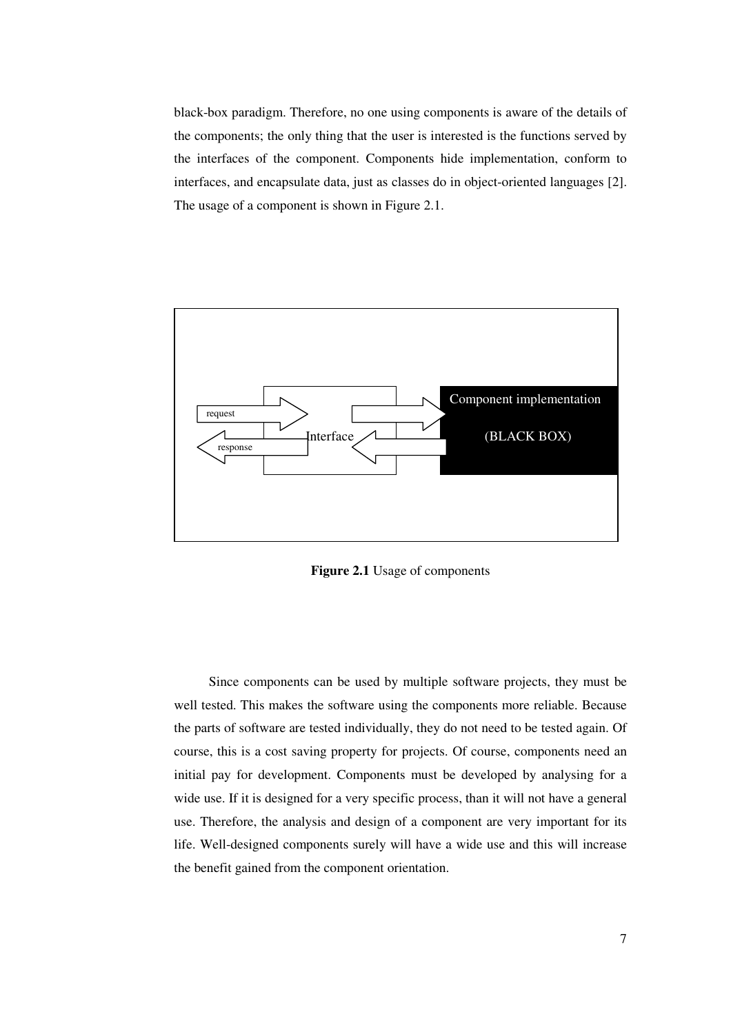black-box paradigm. Therefore, no one using components is aware of the details of the components; the only thing that the user is interested is the functions served by the interfaces of the component. Components hide implementation, conform to interfaces, and encapsulate data, just as classes do in object-oriented languages [2]. The usage of a component is shown in Figure 2.1.



**Figure 2.1** Usage of components

Since components can be used by multiple software projects, they must be well tested. This makes the software using the components more reliable. Because the parts of software are tested individually, they do not need to be tested again. Of course, this is a cost saving property for projects. Of course, components need an initial pay for development. Components must be developed by analysing for a wide use. If it is designed for a very specific process, than it will not have a general use. Therefore, the analysis and design of a component are very important for its life. Well-designed components surely will have a wide use and this will increase the benefit gained from the component orientation.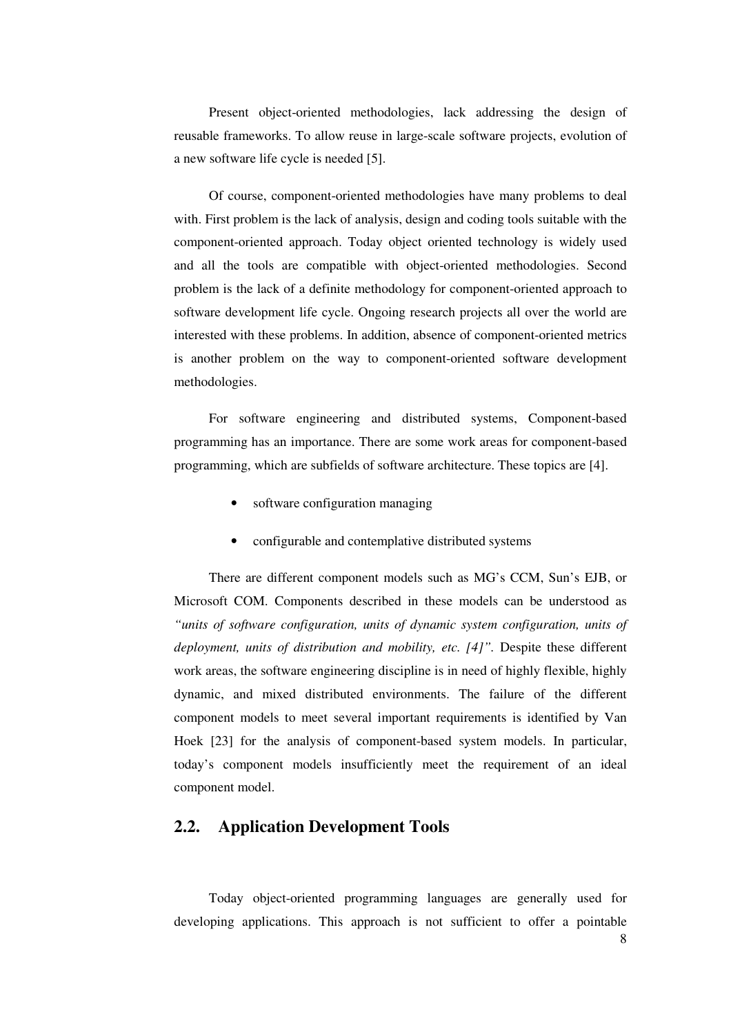Present object-oriented methodologies, lack addressing the design of reusable frameworks. To allow reuse in large-scale software projects, evolution of a new software life cycle is needed [5].

Of course, component-oriented methodologies have many problems to deal with. First problem is the lack of analysis, design and coding tools suitable with the component-oriented approach. Today object oriented technology is widely used and all the tools are compatible with object-oriented methodologies. Second problem is the lack of a definite methodology for component-oriented approach to software development life cycle. Ongoing research projects all over the world are interested with these problems. In addition, absence of component-oriented metrics is another problem on the way to component-oriented software development methodologies.

For software engineering and distributed systems, Component-based programming has an importance. There are some work areas for component-based programming, which are subfields of software architecture. These topics are [4].

- software configuration managing
- configurable and contemplative distributed systems

There are different component models such as MG's CCM, Sun's EJB, or Microsoft COM. Components described in these models can be understood as *"units of software configuration, units of dynamic system configuration, units of deployment, units of distribution and mobility, etc. [4]".* Despite these different work areas, the software engineering discipline is in need of highly flexible, highly dynamic, and mixed distributed environments. The failure of the different component models to meet several important requirements is identified by Van Hoek [23] for the analysis of component-based system models. In particular, today's component models insufficiently meet the requirement of an ideal component model.

## **2.2. Application Development Tools**

Today object-oriented programming languages are generally used for developing applications. This approach is not sufficient to offer a pointable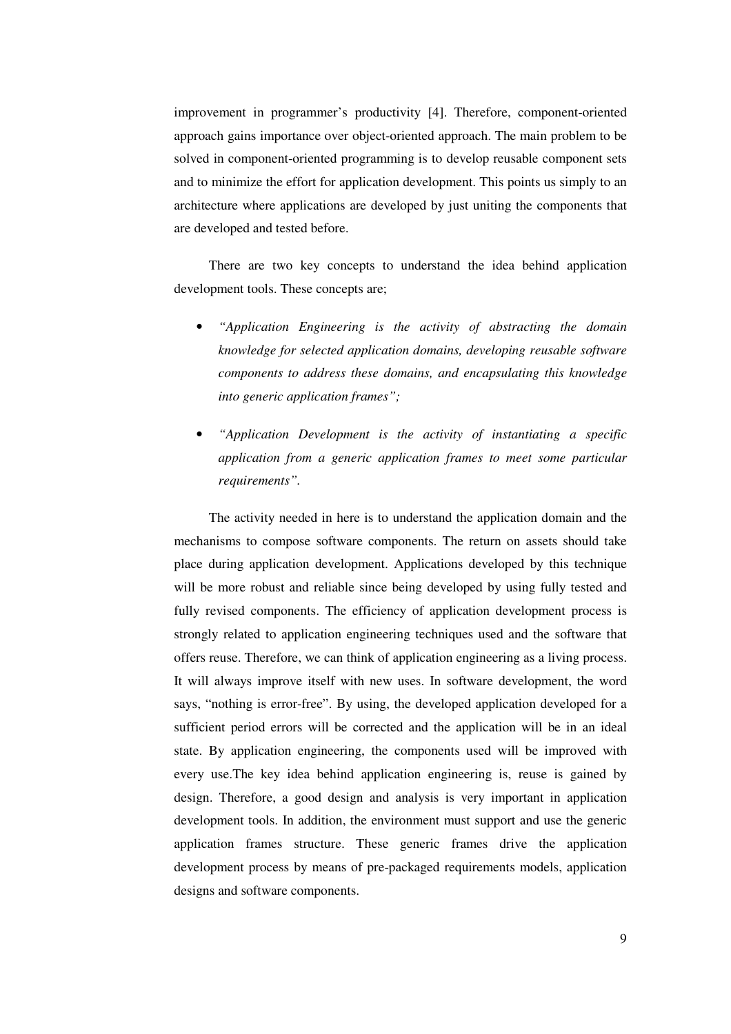improvement in programmer's productivity [4]. Therefore, component-oriented approach gains importance over object-oriented approach. The main problem to be solved in component-oriented programming is to develop reusable component sets and to minimize the effort for application development. This points us simply to an architecture where applications are developed by just uniting the components that are developed and tested before.

There are two key concepts to understand the idea behind application development tools. These concepts are;

- *"Application Engineering is the activity of abstracting the domain knowledge for selected application domains, developing reusable software components to address these domains, and encapsulating this knowledge into generic application frames";*
- *"Application Development is the activity of instantiating a specific application from a generic application frames to meet some particular requirements".*

The activity needed in here is to understand the application domain and the mechanisms to compose software components. The return on assets should take place during application development. Applications developed by this technique will be more robust and reliable since being developed by using fully tested and fully revised components. The efficiency of application development process is strongly related to application engineering techniques used and the software that offers reuse. Therefore, we can think of application engineering as a living process. It will always improve itself with new uses. In software development, the word says, "nothing is error-free". By using, the developed application developed for a sufficient period errors will be corrected and the application will be in an ideal state. By application engineering, the components used will be improved with every use.The key idea behind application engineering is, reuse is gained by design. Therefore, a good design and analysis is very important in application development tools. In addition, the environment must support and use the generic application frames structure. These generic frames drive the application development process by means of pre-packaged requirements models, application designs and software components.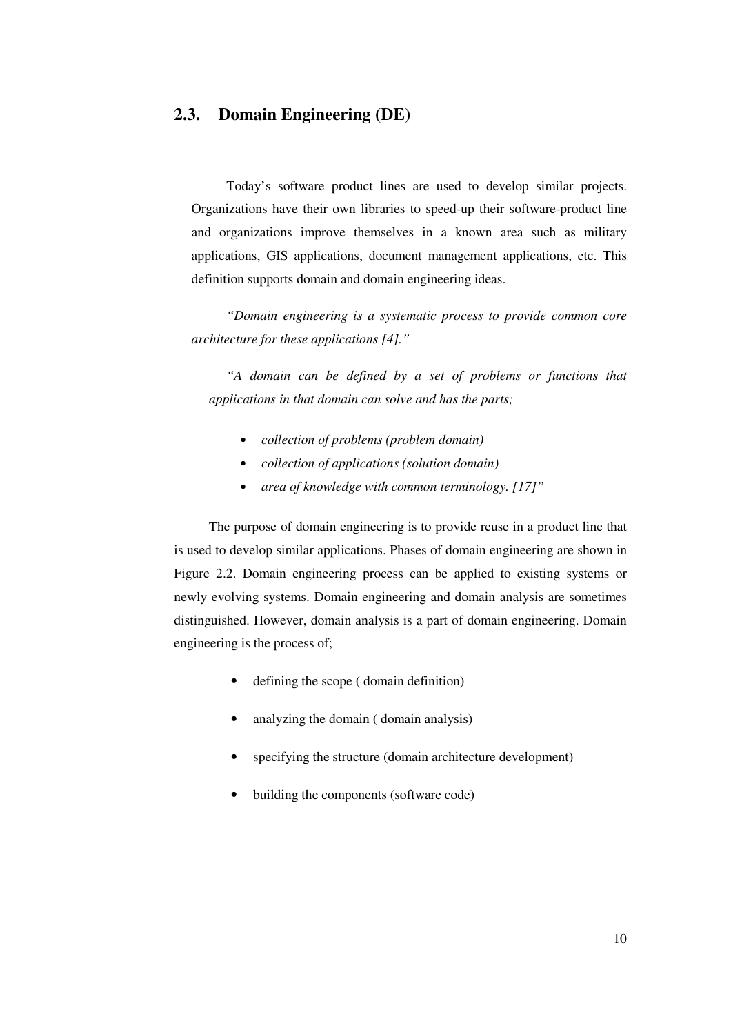## **2.3. Domain Engineering (DE)**

Today's software product lines are used to develop similar projects. Organizations have their own libraries to speed-up their software-product line and organizations improve themselves in a known area such as military applications, GIS applications, document management applications, etc. This definition supports domain and domain engineering ideas.

*"Domain engineering is a systematic process to provide common core architecture for these applications [4]."*

*"A domain can be defined by a set of problems or functions that applications in that domain can solve and has the parts;*

- *collection of problems (problem domain)*
- *collection of applications (solution domain)*
- *area of knowledge with common terminology. [17]"*

The purpose of domain engineering is to provide reuse in a product line that is used to develop similar applications. Phases of domain engineering are shown in Figure 2.2. Domain engineering process can be applied to existing systems or newly evolving systems. Domain engineering and domain analysis are sometimes distinguished. However, domain analysis is a part of domain engineering. Domain engineering is the process of;

- defining the scope ( domain definition)
- analyzing the domain ( domain analysis)
- specifying the structure (domain architecture development)
- building the components (software code)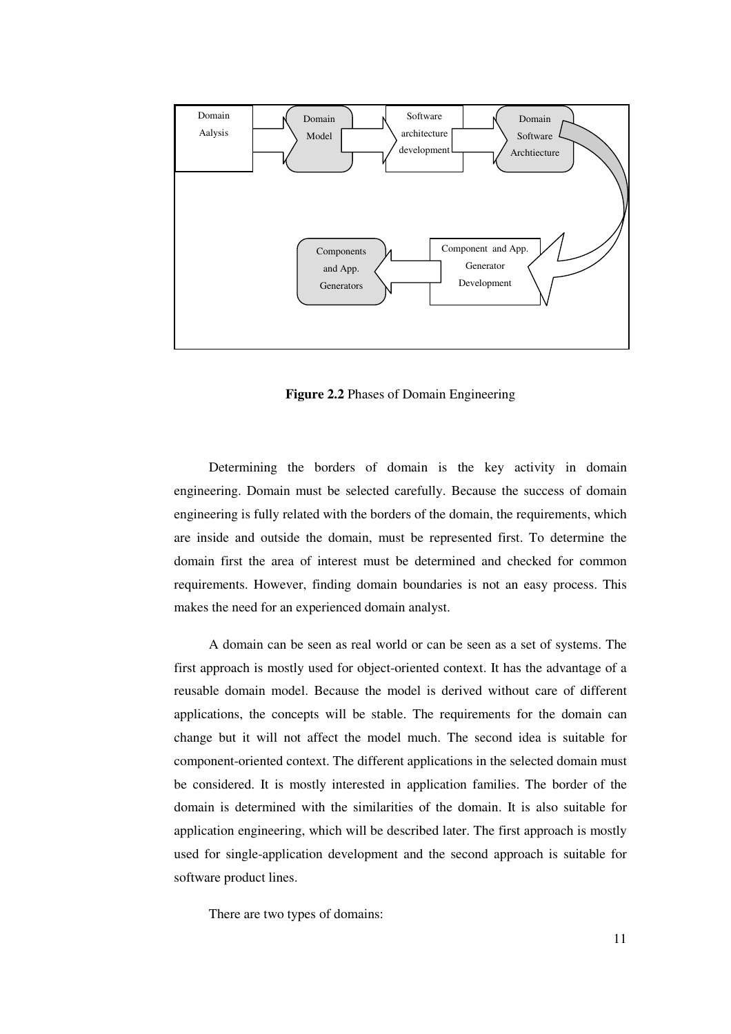

**Figure 2.2** Phases of Domain Engineering

Determining the borders of domain is the key activity in domain engineering. Domain must be selected carefully. Because the success of domain engineering is fully related with the borders of the domain, the requirements, which are inside and outside the domain, must be represented first. To determine the domain first the area of interest must be determined and checked for common requirements. However, finding domain boundaries is not an easy process. This makes the need for an experienced domain analyst.

A domain can be seen as real world or can be seen as a set of systems. The first approach is mostly used for object-oriented context. It has the advantage of a reusable domain model. Because the model is derived without care of different applications, the concepts will be stable. The requirements for the domain can change but it will not affect the model much. The second idea is suitable for component-oriented context. The different applications in the selected domain must be considered. It is mostly interested in application families. The border of the domain is determined with the similarities of the domain. It is also suitable for application engineering, which will be described later. The first approach is mostly used for single-application development and the second approach is suitable for software product lines.

There are two types of domains: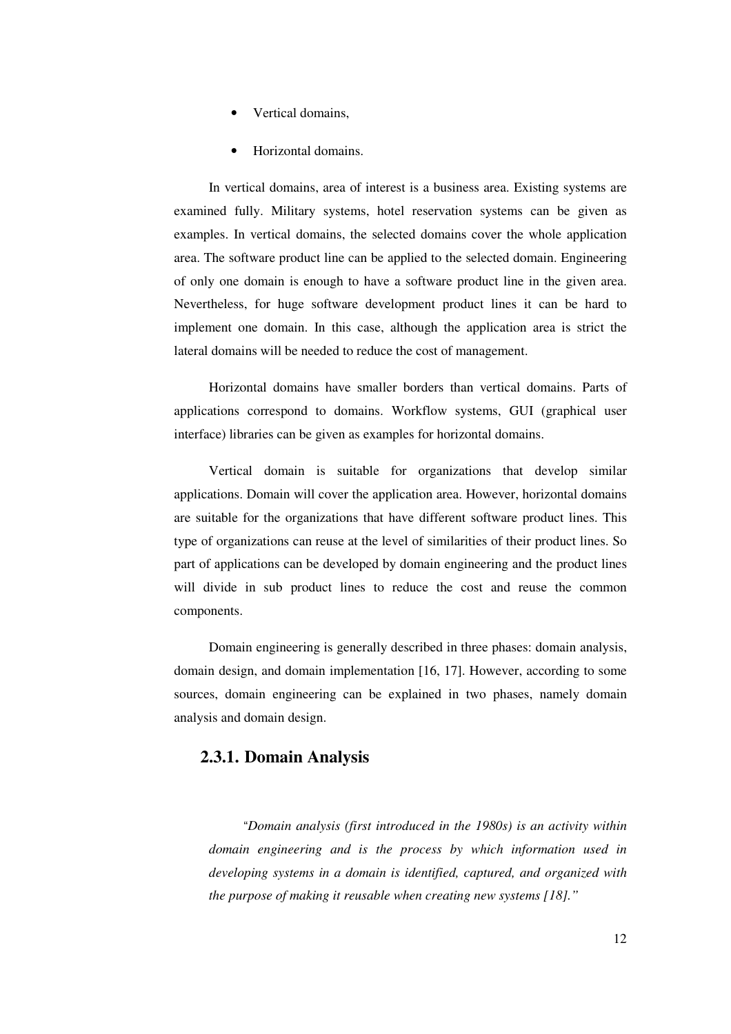- Vertical domains,
- Horizontal domains.

In vertical domains, area of interest is a business area. Existing systems are examined fully. Military systems, hotel reservation systems can be given as examples. In vertical domains, the selected domains cover the whole application area. The software product line can be applied to the selected domain. Engineering of only one domain is enough to have a software product line in the given area. Nevertheless, for huge software development product lines it can be hard to implement one domain. In this case, although the application area is strict the lateral domains will be needed to reduce the cost of management.

Horizontal domains have smaller borders than vertical domains. Parts of applications correspond to domains. Workflow systems, GUI (graphical user interface) libraries can be given as examples for horizontal domains.

Vertical domain is suitable for organizations that develop similar applications. Domain will cover the application area. However, horizontal domains are suitable for the organizations that have different software product lines. This type of organizations can reuse at the level of similarities of their product lines. So part of applications can be developed by domain engineering and the product lines will divide in sub product lines to reduce the cost and reuse the common components.

Domain engineering is generally described in three phases: domain analysis, domain design, and domain implementation [16, 17]. However, according to some sources, domain engineering can be explained in two phases, namely domain analysis and domain design.

#### **2.3.1. Domain Analysis**

"*Domain analysis (first introduced in the 1980s) is an activity within domain engineering and is the process by which information used in developing systems in a domain is identified, captured, and organized with the purpose of making it reusable when creating new systems [18]."*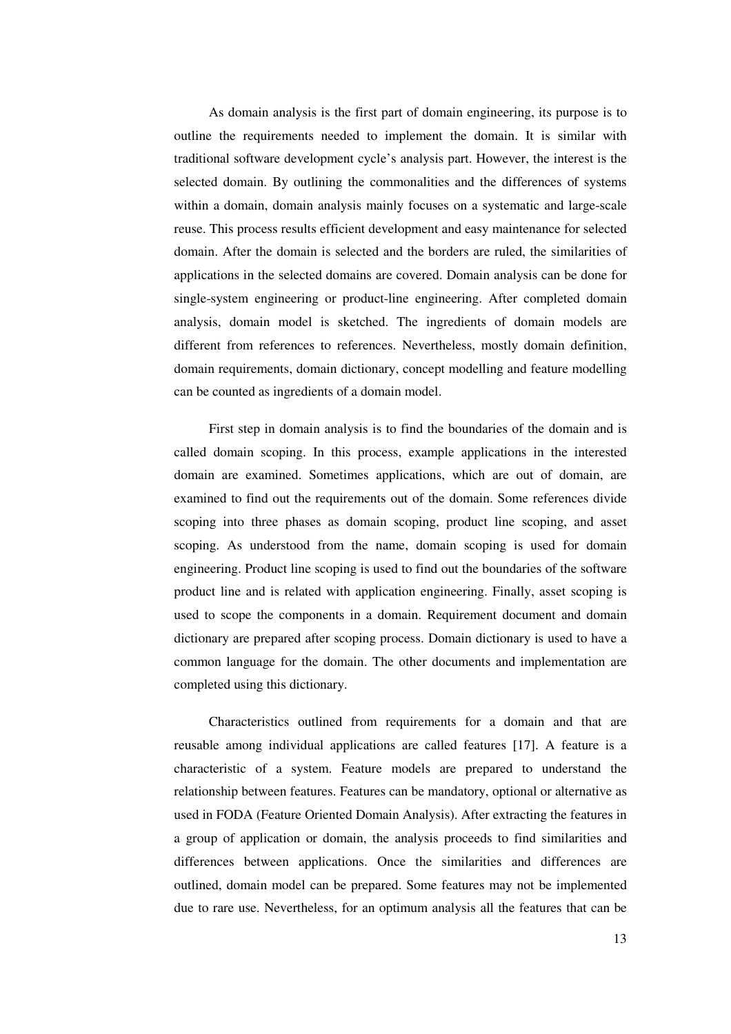As domain analysis is the first part of domain engineering, its purpose is to outline the requirements needed to implement the domain. It is similar with traditional software development cycle's analysis part. However, the interest is the selected domain. By outlining the commonalities and the differences of systems within a domain, domain analysis mainly focuses on a systematic and large-scale reuse. This process results efficient development and easy maintenance for selected domain. After the domain is selected and the borders are ruled, the similarities of applications in the selected domains are covered. Domain analysis can be done for single-system engineering or product-line engineering. After completed domain analysis, domain model is sketched. The ingredients of domain models are different from references to references. Nevertheless, mostly domain definition, domain requirements, domain dictionary, concept modelling and feature modelling can be counted as ingredients of a domain model.

First step in domain analysis is to find the boundaries of the domain and is called domain scoping. In this process, example applications in the interested domain are examined. Sometimes applications, which are out of domain, are examined to find out the requirements out of the domain. Some references divide scoping into three phases as domain scoping, product line scoping, and asset scoping. As understood from the name, domain scoping is used for domain engineering. Product line scoping is used to find out the boundaries of the software product line and is related with application engineering. Finally, asset scoping is used to scope the components in a domain. Requirement document and domain dictionary are prepared after scoping process. Domain dictionary is used to have a common language for the domain. The other documents and implementation are completed using this dictionary.

Characteristics outlined from requirements for a domain and that are reusable among individual applications are called features [17]. A feature is a characteristic of a system. Feature models are prepared to understand the relationship between features. Features can be mandatory, optional or alternative as used in FODA (Feature Oriented Domain Analysis). After extracting the features in a group of application or domain, the analysis proceeds to find similarities and differences between applications. Once the similarities and differences are outlined, domain model can be prepared. Some features may not be implemented due to rare use. Nevertheless, for an optimum analysis all the features that can be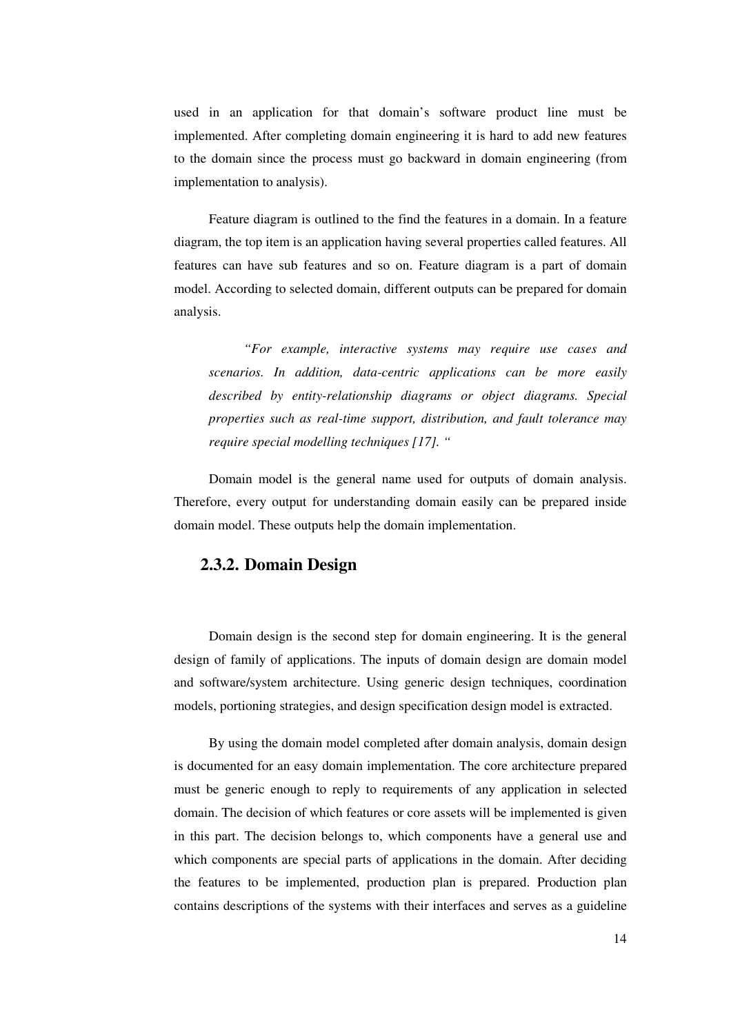used in an application for that domain's software product line must be implemented. After completing domain engineering it is hard to add new features to the domain since the process must go backward in domain engineering (from implementation to analysis).

Feature diagram is outlined to the find the features in a domain. In a feature diagram, the top item is an application having several properties called features. All features can have sub features and so on. Feature diagram is a part of domain model. According to selected domain, different outputs can be prepared for domain analysis.

*"For example, interactive systems may require use cases and scenarios. In addition, data-centric applications can be more easily described by entity-relationship diagrams or object diagrams. Special properties such as real-time support, distribution, and fault tolerance may require special modelling techniques [17]. "*

Domain model is the general name used for outputs of domain analysis. Therefore, every output for understanding domain easily can be prepared inside domain model. These outputs help the domain implementation.

#### **2.3.2. Domain Design**

Domain design is the second step for domain engineering. It is the general design of family of applications. The inputs of domain design are domain model and software/system architecture. Using generic design techniques, coordination models, portioning strategies, and design specification design model is extracted.

By using the domain model completed after domain analysis, domain design is documented for an easy domain implementation. The core architecture prepared must be generic enough to reply to requirements of any application in selected domain. The decision of which features or core assets will be implemented is given in this part. The decision belongs to, which components have a general use and which components are special parts of applications in the domain. After deciding the features to be implemented, production plan is prepared. Production plan contains descriptions of the systems with their interfaces and serves as a guideline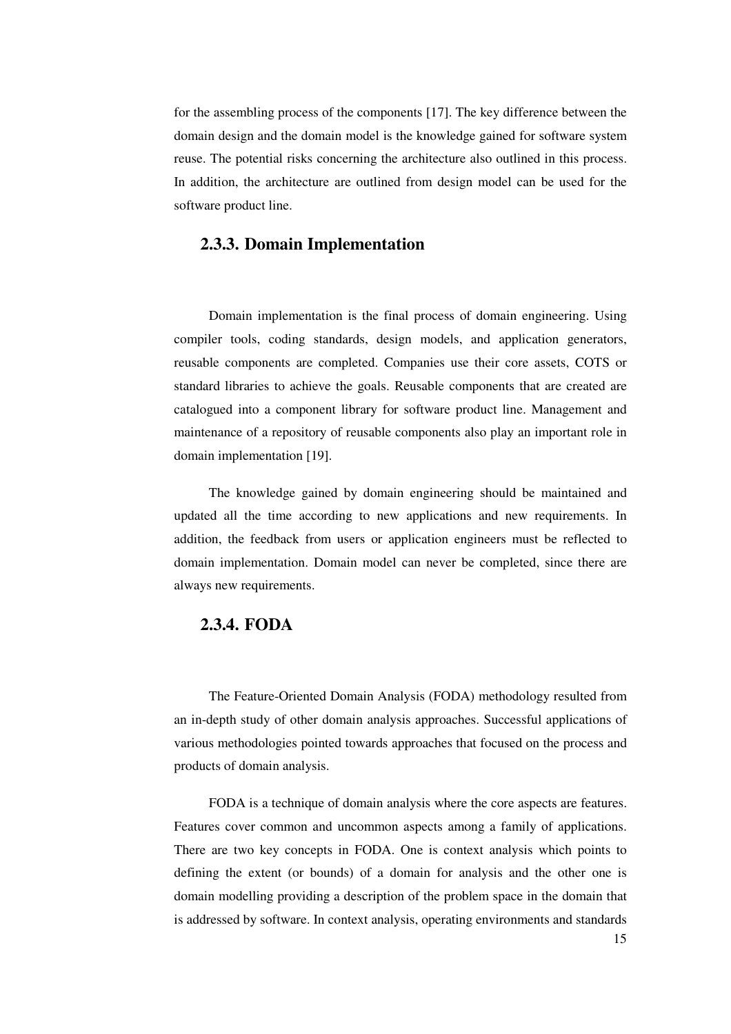for the assembling process of the components [17]. The key difference between the domain design and the domain model is the knowledge gained for software system reuse. The potential risks concerning the architecture also outlined in this process. In addition, the architecture are outlined from design model can be used for the software product line.

#### **2.3.3. Domain Implementation**

Domain implementation is the final process of domain engineering. Using compiler tools, coding standards, design models, and application generators, reusable components are completed. Companies use their core assets, COTS or standard libraries to achieve the goals. Reusable components that are created are catalogued into a component library for software product line. Management and maintenance of a repository of reusable components also play an important role in domain implementation [19].

The knowledge gained by domain engineering should be maintained and updated all the time according to new applications and new requirements. In addition, the feedback from users or application engineers must be reflected to domain implementation. Domain model can never be completed, since there are always new requirements.

## **2.3.4. FODA**

The Feature-Oriented Domain Analysis (FODA) methodology resulted from an in-depth study of other domain analysis approaches. Successful applications of various methodologies pointed towards approaches that focused on the process and products of domain analysis.

FODA is a technique of domain analysis where the core aspects are features. Features cover common and uncommon aspects among a family of applications. There are two key concepts in FODA. One is context analysis which points to defining the extent (or bounds) of a domain for analysis and the other one is domain modelling providing a description of the problem space in the domain that is addressed by software. In context analysis, operating environments and standards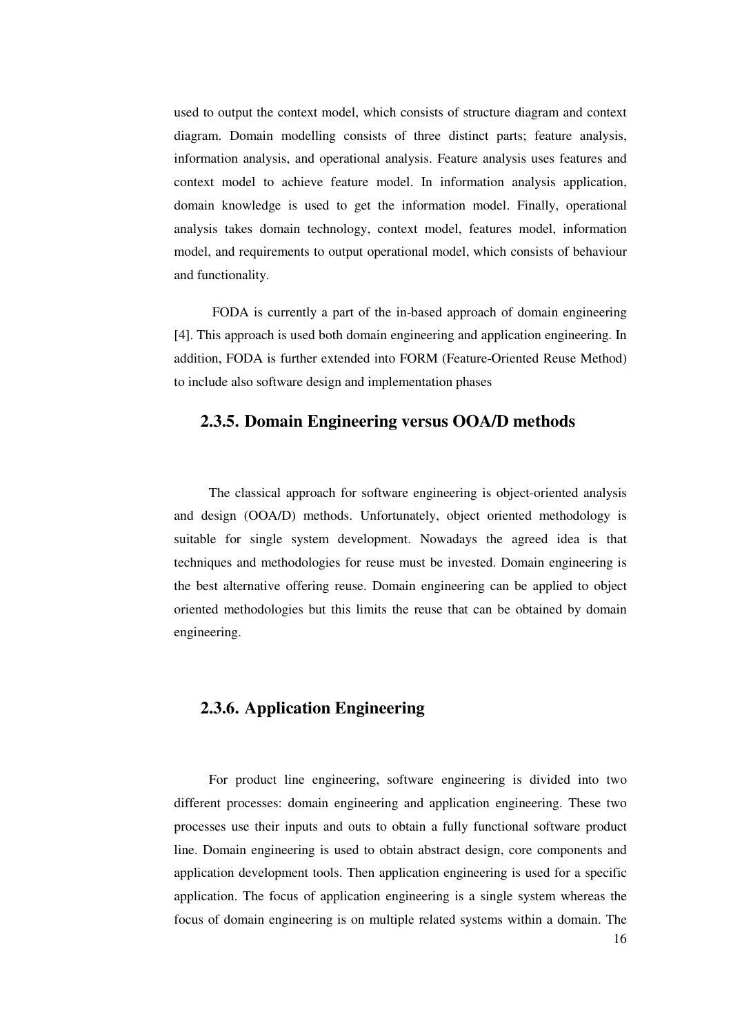used to output the context model, which consists of structure diagram and context diagram. Domain modelling consists of three distinct parts; feature analysis, information analysis, and operational analysis. Feature analysis uses features and context model to achieve feature model. In information analysis application, domain knowledge is used to get the information model. Finally, operational analysis takes domain technology, context model, features model, information model, and requirements to output operational model, which consists of behaviour and functionality.

FODA is currently a part of the in-based approach of domain engineering [4]. This approach is used both domain engineering and application engineering. In addition, FODA is further extended into FORM (Feature-Oriented Reuse Method) to include also software design and implementation phases

#### **2.3.5. Domain Engineering versus OOA/D methods**

The classical approach for software engineering is object-oriented analysis and design (OOA/D) methods. Unfortunately, object oriented methodology is suitable for single system development. Nowadays the agreed idea is that techniques and methodologies for reuse must be invested. Domain engineering is the best alternative offering reuse. Domain engineering can be applied to object oriented methodologies but this limits the reuse that can be obtained by domain engineering.

## **2.3.6. Application Engineering**

For product line engineering, software engineering is divided into two different processes: domain engineering and application engineering. These two processes use their inputs and outs to obtain a fully functional software product line. Domain engineering is used to obtain abstract design, core components and application development tools. Then application engineering is used for a specific application. The focus of application engineering is a single system whereas the focus of domain engineering is on multiple related systems within a domain. The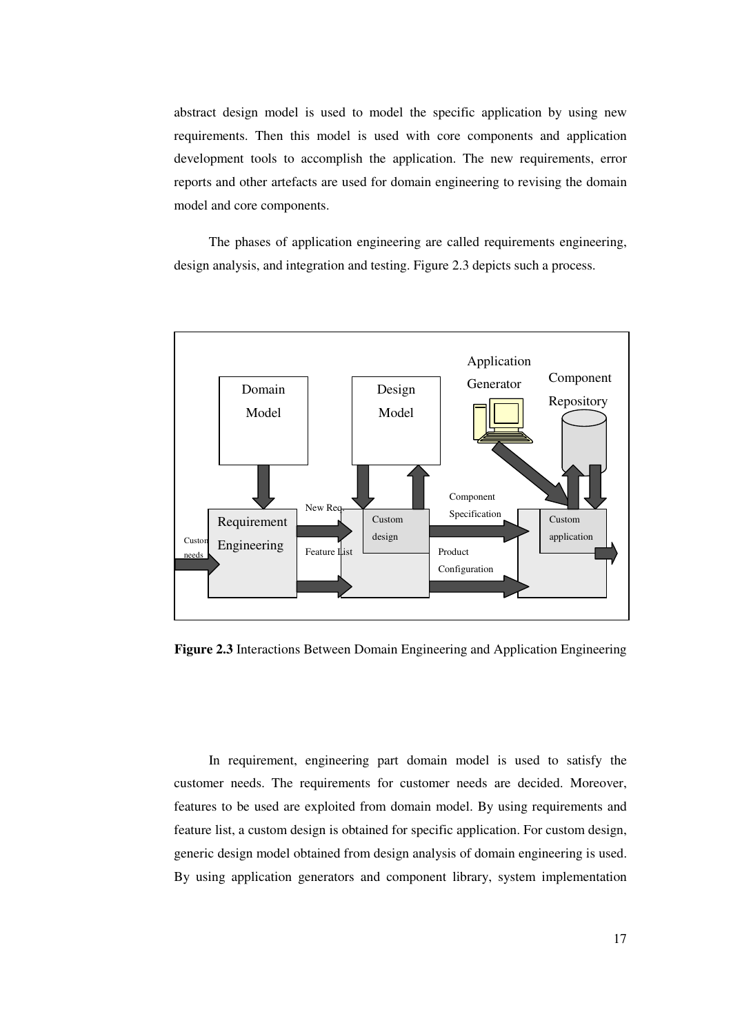abstract design model is used to model the specific application by using new requirements. Then this model is used with core components and application development tools to accomplish the application. The new requirements, error reports and other artefacts are used for domain engineering to revising the domain model and core components.

The phases of application engineering are called requirements engineering, design analysis, and integration and testing. Figure 2.3 depicts such a process.



**Figure 2.3** Interactions Between Domain Engineering and Application Engineering

In requirement, engineering part domain model is used to satisfy the customer needs. The requirements for customer needs are decided. Moreover, features to be used are exploited from domain model. By using requirements and feature list, a custom design is obtained for specific application. For custom design, generic design model obtained from design analysis of domain engineering is used. By using application generators and component library, system implementation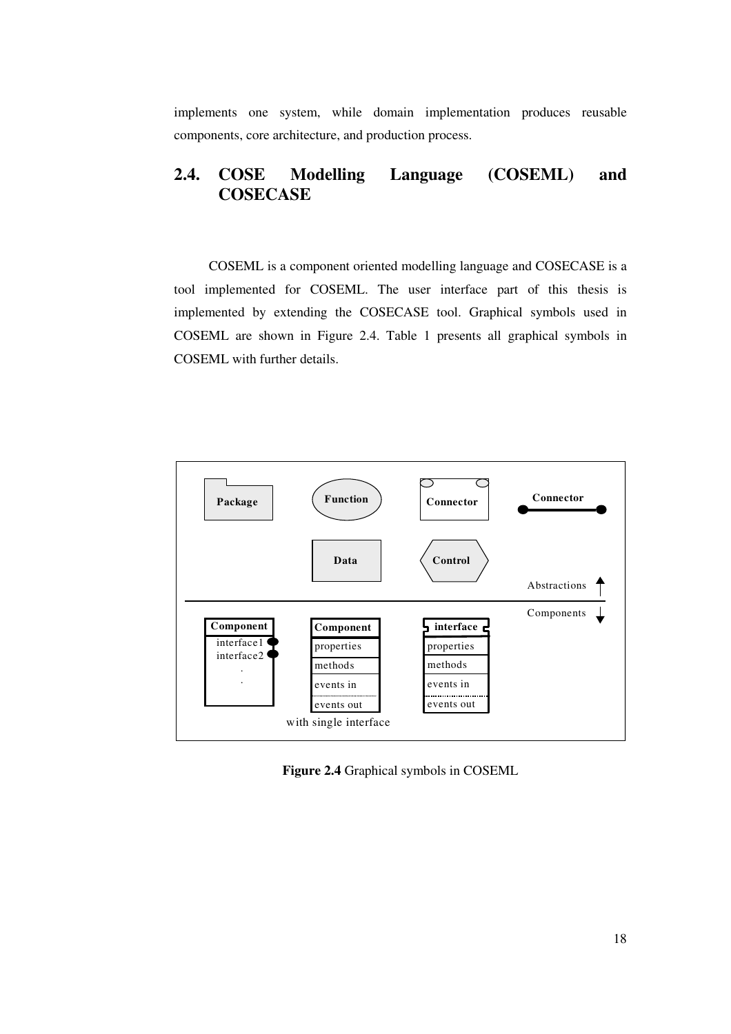implements one system, while domain implementation produces reusable components, core architecture, and production process.

## **2.4. COSE Modelling Language (COSEML) and COSECASE**

COSEML is a component oriented modelling language and COSECASE is a tool implemented for COSEML. The user interface part of this thesis is implemented by extending the COSECASE tool. Graphical symbols used in COSEML are shown in Figure 2.4. Table 1 presents all graphical symbols in COSEML with further details.



**Figure 2.4** Graphical symbols in COSEML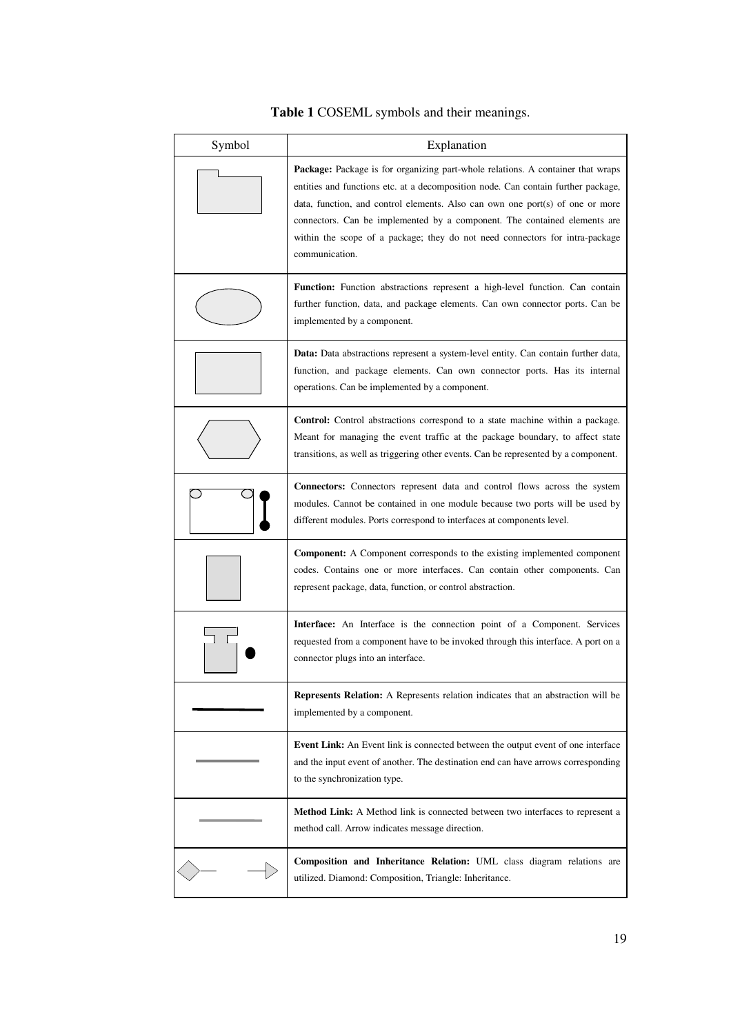| Symbol | Explanation                                                                                                                                                                                                                                                                                                                                                                                                                          |
|--------|--------------------------------------------------------------------------------------------------------------------------------------------------------------------------------------------------------------------------------------------------------------------------------------------------------------------------------------------------------------------------------------------------------------------------------------|
|        | Package: Package is for organizing part-whole relations. A container that wraps<br>entities and functions etc. at a decomposition node. Can contain further package,<br>data, function, and control elements. Also can own one port(s) of one or more<br>connectors. Can be implemented by a component. The contained elements are<br>within the scope of a package; they do not need connectors for intra-package<br>communication. |
|        | <b>Function:</b> Function abstractions represent a high-level function. Can contain<br>further function, data, and package elements. Can own connector ports. Can be<br>implemented by a component.                                                                                                                                                                                                                                  |
|        | <b>Data:</b> Data abstractions represent a system-level entity. Can contain further data,<br>function, and package elements. Can own connector ports. Has its internal<br>operations. Can be implemented by a component.                                                                                                                                                                                                             |
|        | <b>Control:</b> Control abstractions correspond to a state machine within a package.<br>Meant for managing the event traffic at the package boundary, to affect state<br>transitions, as well as triggering other events. Can be represented by a component.                                                                                                                                                                         |
|        | <b>Connectors:</b> Connectors represent data and control flows across the system<br>modules. Cannot be contained in one module because two ports will be used by<br>different modules. Ports correspond to interfaces at components level.                                                                                                                                                                                           |
|        | <b>Component:</b> A Component corresponds to the existing implemented component<br>codes. Contains one or more interfaces. Can contain other components. Can<br>represent package, data, function, or control abstraction.                                                                                                                                                                                                           |
|        | <b>Interface:</b> An Interface is the connection point of a Component. Services<br>requested from a component have to be invoked through this interface. A port on a<br>connector plugs into an interface.                                                                                                                                                                                                                           |
|        | Represents Relation: A Represents relation indicates that an abstraction will be<br>implemented by a component.                                                                                                                                                                                                                                                                                                                      |
|        | <b>Event Link:</b> An Event link is connected between the output event of one interface<br>and the input event of another. The destination end can have arrows corresponding<br>to the synchronization type.                                                                                                                                                                                                                         |
|        | Method Link: A Method link is connected between two interfaces to represent a<br>method call. Arrow indicates message direction.                                                                                                                                                                                                                                                                                                     |
|        | Composition and Inheritance Relation: UML class diagram relations are<br>utilized. Diamond: Composition, Triangle: Inheritance.                                                                                                                                                                                                                                                                                                      |

## **Table 1** COSEML symbols and their meanings.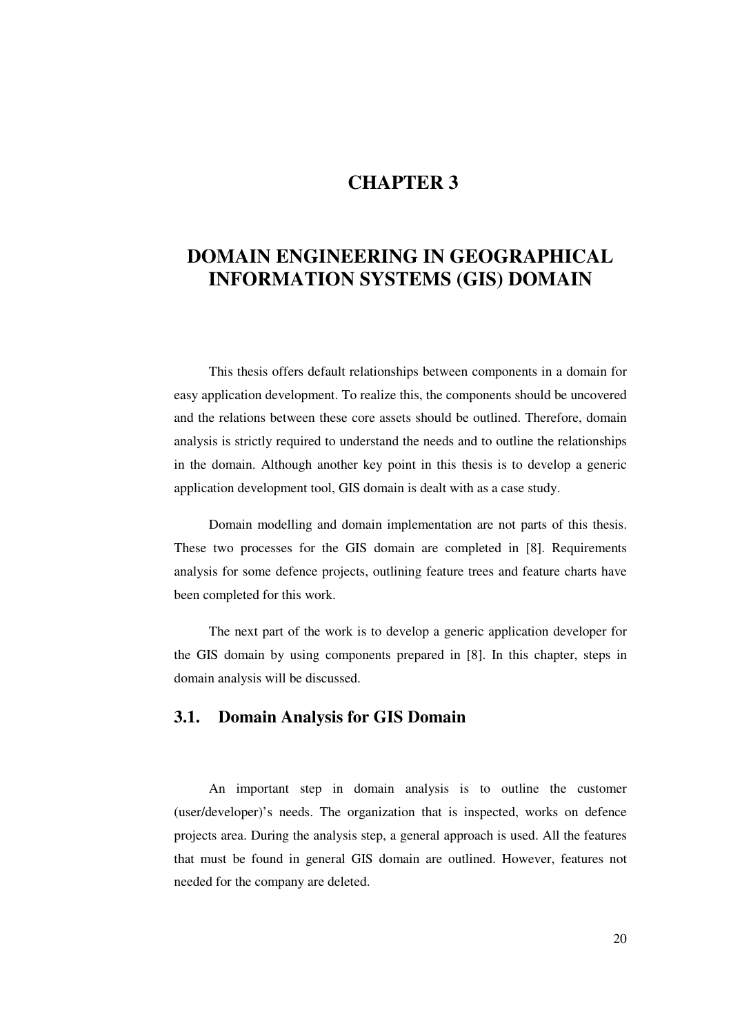## **CHAPTER 3**

## **DOMAIN ENGINEERING IN GEOGRAPHICAL INFORMATION SYSTEMS (GIS) DOMAIN**

This thesis offers default relationships between components in a domain for easy application development. To realize this, the components should be uncovered and the relations between these core assets should be outlined. Therefore, domain analysis is strictly required to understand the needs and to outline the relationships in the domain. Although another key point in this thesis is to develop a generic application development tool, GIS domain is dealt with as a case study.

Domain modelling and domain implementation are not parts of this thesis. These two processes for the GIS domain are completed in [8]. Requirements analysis for some defence projects, outlining feature trees and feature charts have been completed for this work.

The next part of the work is to develop a generic application developer for the GIS domain by using components prepared in [8]. In this chapter, steps in domain analysis will be discussed.

### **3.1. Domain Analysis for GIS Domain**

An important step in domain analysis is to outline the customer (user/developer)'s needs. The organization that is inspected, works on defence projects area. During the analysis step, a general approach is used. All the features that must be found in general GIS domain are outlined. However, features not needed for the company are deleted.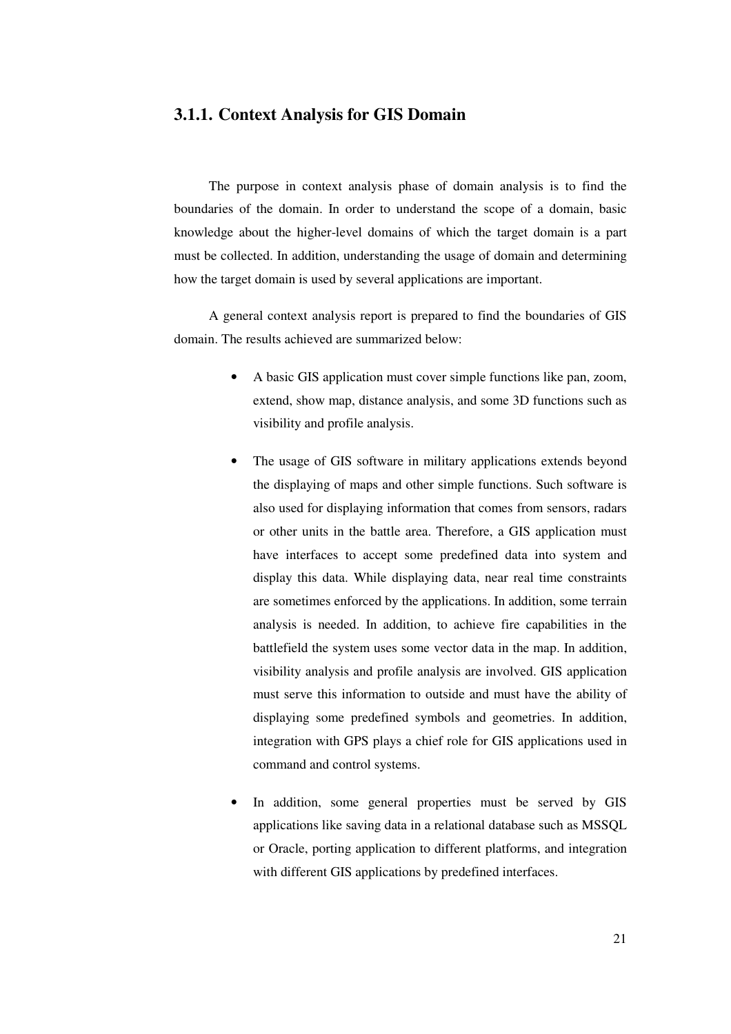#### **3.1.1. Context Analysis for GIS Domain**

The purpose in context analysis phase of domain analysis is to find the boundaries of the domain. In order to understand the scope of a domain, basic knowledge about the higher-level domains of which the target domain is a part must be collected. In addition, understanding the usage of domain and determining how the target domain is used by several applications are important.

A general context analysis report is prepared to find the boundaries of GIS domain. The results achieved are summarized below:

- A basic GIS application must cover simple functions like pan, zoom, extend, show map, distance analysis, and some 3D functions such as visibility and profile analysis.
- The usage of GIS software in military applications extends beyond the displaying of maps and other simple functions. Such software is also used for displaying information that comes from sensors, radars or other units in the battle area. Therefore, a GIS application must have interfaces to accept some predefined data into system and display this data. While displaying data, near real time constraints are sometimes enforced by the applications. In addition, some terrain analysis is needed. In addition, to achieve fire capabilities in the battlefield the system uses some vector data in the map. In addition, visibility analysis and profile analysis are involved. GIS application must serve this information to outside and must have the ability of displaying some predefined symbols and geometries. In addition, integration with GPS plays a chief role for GIS applications used in command and control systems.
- In addition, some general properties must be served by GIS applications like saving data in a relational database such as MSSQL or Oracle, porting application to different platforms, and integration with different GIS applications by predefined interfaces.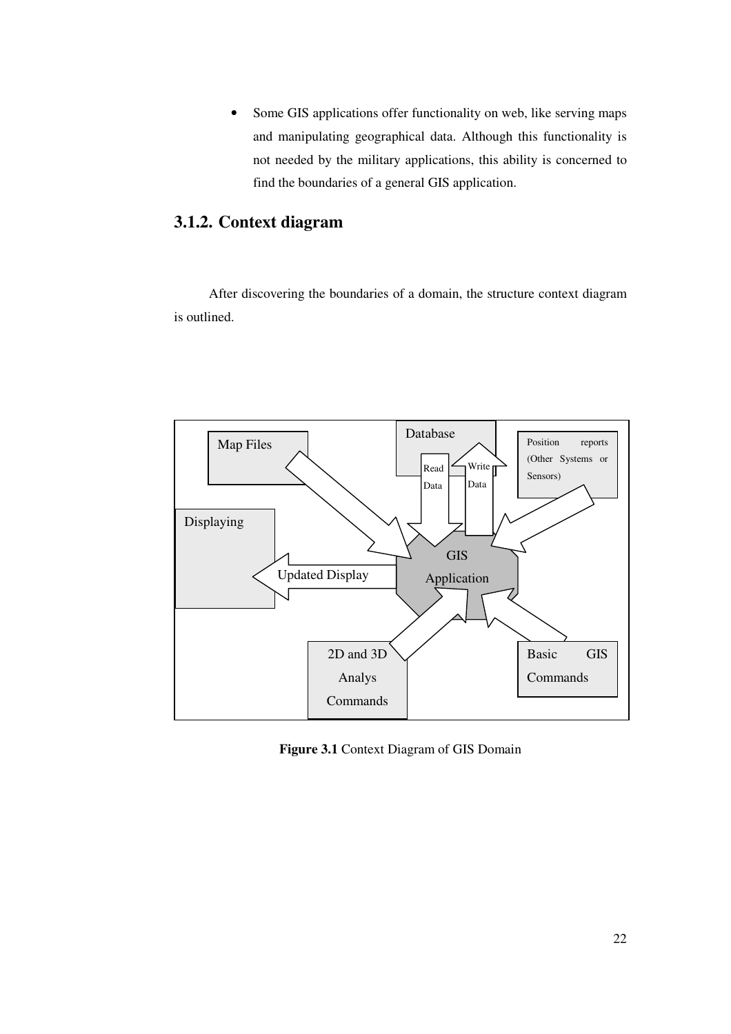• Some GIS applications offer functionality on web, like serving maps and manipulating geographical data. Although this functionality is not needed by the military applications, this ability is concerned to find the boundaries of a general GIS application.

## **3.1.2. Context diagram**

After discovering the boundaries of a domain, the structure context diagram is outlined.



**Figure 3.1** Context Diagram of GIS Domain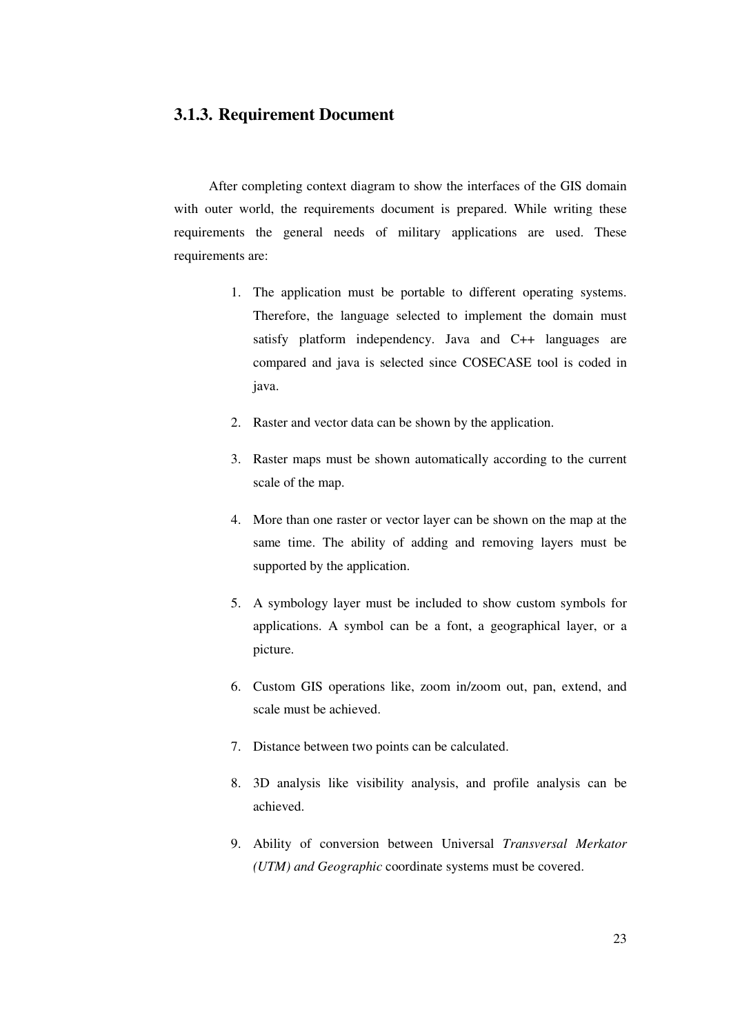## **3.1.3. Requirement Document**

After completing context diagram to show the interfaces of the GIS domain with outer world, the requirements document is prepared. While writing these requirements the general needs of military applications are used. These requirements are:

- 1. The application must be portable to different operating systems. Therefore, the language selected to implement the domain must satisfy platform independency. Java and C++ languages are compared and java is selected since COSECASE tool is coded in java.
- 2. Raster and vector data can be shown by the application.
- 3. Raster maps must be shown automatically according to the current scale of the map.
- 4. More than one raster or vector layer can be shown on the map at the same time. The ability of adding and removing layers must be supported by the application.
- 5. A symbology layer must be included to show custom symbols for applications. A symbol can be a font, a geographical layer, or a picture.
- 6. Custom GIS operations like, zoom in/zoom out, pan, extend, and scale must be achieved.
- 7. Distance between two points can be calculated.
- 8. 3D analysis like visibility analysis, and profile analysis can be achieved.
- 9. Ability of conversion between Universal *Transversal Merkator (UTM) and Geographic* coordinate systems must be covered.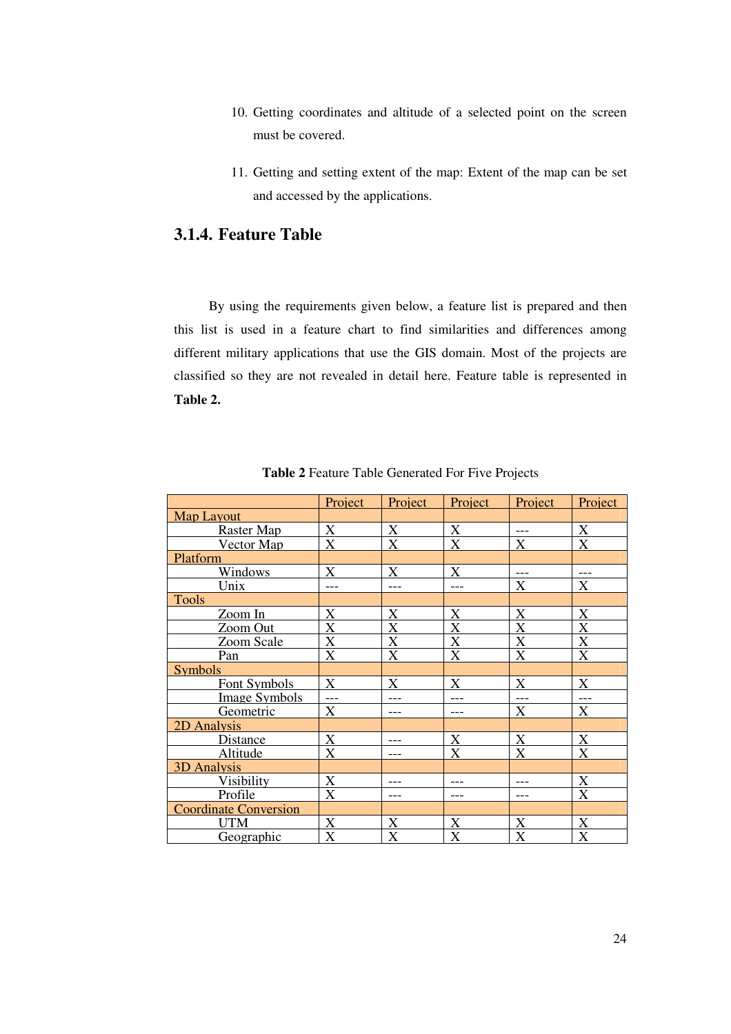- 10. Getting coordinates and altitude of a selected point on the screen must be covered.
- 11. Getting and setting extent of the map: Extent of the map can be set and accessed by the applications.

# **3.1.4. Feature Table**

By using the requirements given below, a feature list is prepared and then this list is used in a feature chart to find similarities and differences among different military applications that use the GIS domain. Most of the projects are classified so they are not revealed in detail here. Feature table is represented in **Table 2.**

|                              | Project                   | Project                   | Project                   | Project                   | Project                   |
|------------------------------|---------------------------|---------------------------|---------------------------|---------------------------|---------------------------|
| <b>Map Layout</b>            |                           |                           |                           |                           |                           |
| Raster Map                   | X                         | $\boldsymbol{\mathrm{X}}$ | $\boldsymbol{\mathrm{X}}$ | ---                       | X                         |
| Vector Map                   | X                         | X                         | X                         | X                         | X                         |
| Platform                     |                           |                           |                           |                           |                           |
| <b>Windows</b>               | X                         | X                         | X                         | $---$                     | $---$                     |
| Unix                         | ---                       | ---                       | ---                       | $\boldsymbol{\mathrm{X}}$ | $\mathbf X$               |
| <b>Tools</b>                 |                           |                           |                           |                           |                           |
| Zoom In                      | $\boldsymbol{\mathrm{X}}$ | $\boldsymbol{\mathrm{X}}$ | X                         | $\boldsymbol{\mathrm{X}}$ | X                         |
| Zoom Out                     | X                         | X                         | X                         | X                         | X                         |
| Zoom Scale                   | X                         | X                         | X                         | X                         | $\overline{\text{X}}$     |
| Pan                          | X                         | X                         | X                         | X                         | X                         |
| <b>Symbols</b>               |                           |                           |                           |                           |                           |
| Font Symbols                 | X                         | X                         | X                         | X                         | X                         |
| <b>Image Symbols</b>         | $\overline{a}$            |                           |                           | $\overline{a}$            | $\overline{a}$            |
| Geometric                    | X                         | ---                       |                           | $\boldsymbol{\mathrm{X}}$ | $\mathbf X$               |
| 2D Analysis                  |                           |                           |                           |                           |                           |
| Distance                     | X                         | ---                       | $\boldsymbol{\mathrm{X}}$ | $\boldsymbol{\mathrm{X}}$ | $\boldsymbol{\mathrm{X}}$ |
| Altitude                     | $\boldsymbol{\mathrm{X}}$ | ---                       | $\mathbf X$               | X                         | X                         |
| 3D Analysis                  |                           |                           |                           |                           |                           |
| <b>Visibility</b>            | $\overline{X}$            |                           |                           |                           | X                         |
| Profile                      | $\overline{\text{X}}$     | ---                       | ---                       | ---                       | X                         |
| <b>Coordinate Conversion</b> |                           |                           |                           |                           |                           |
| <b>UTM</b>                   | X                         | $\boldsymbol{\mathrm{X}}$ | X                         | X                         | X                         |
| Geographic                   | X                         | X                         | X                         | X                         | X                         |

**Table 2** Feature Table Generated For Five Projects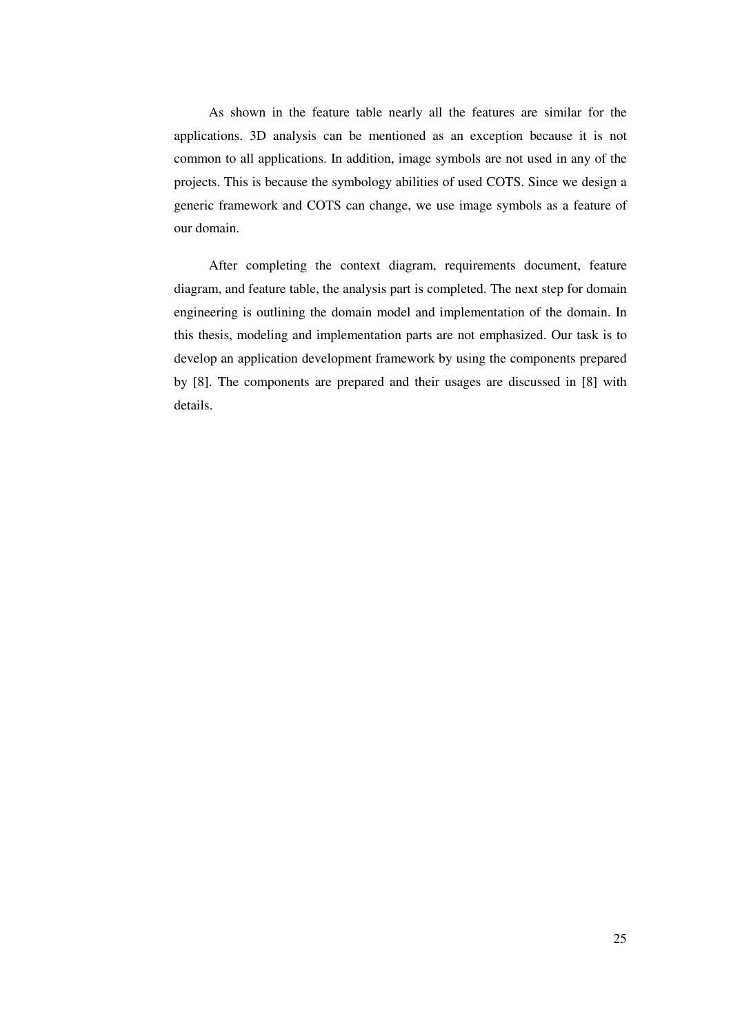As shown in the feature table nearly all the features are similar for the applications. 3D analysis can be mentioned as an exception because it is not common to all applications. In addition, image symbols are not used in any of the projects. This is because the symbology abilities of used COTS. Since we design a generic framework and COTS can change, we use image symbols as a feature of our domain.

After completing the context diagram, requirements document, feature diagram, and feature table, the analysis part is completed. The next step for domain engineering is outlining the domain model and implementation of the domain. In this thesis, modeling and implementation parts are not emphasized. Our task is to develop an application development framework by using the components prepared by [8]. The components are prepared and their usages are discussed in [8] with details.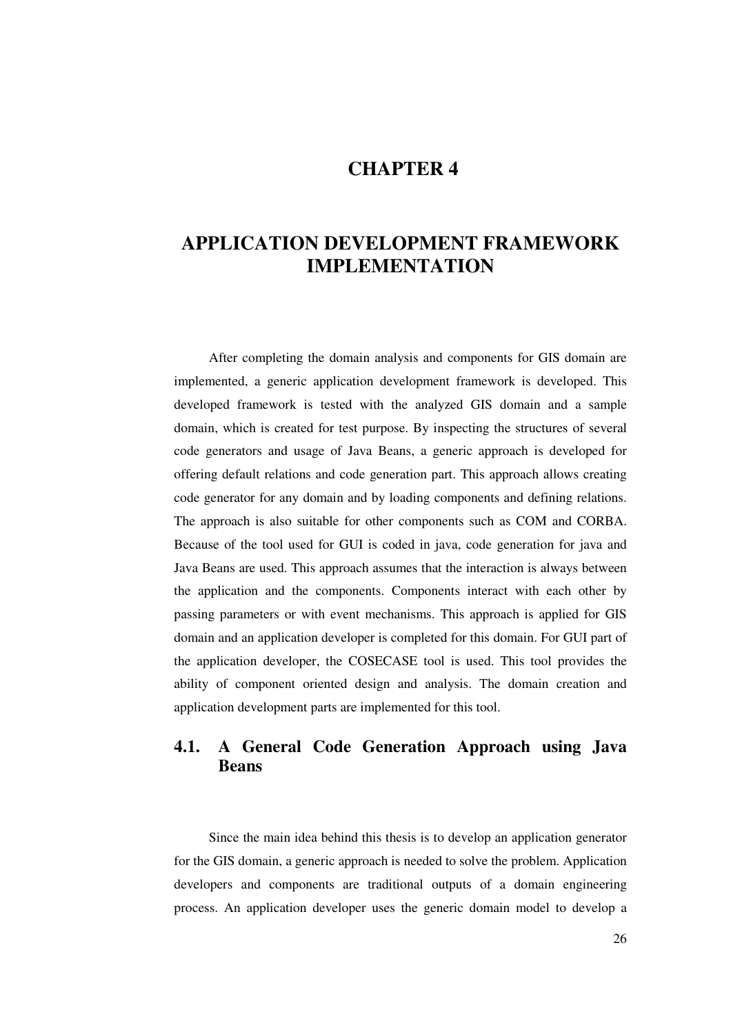# **CHAPTER 4**

# **APPLICATION DEVELOPMENT FRAMEWORK IMPLEMENTATION**

After completing the domain analysis and components for GIS domain are implemented, a generic application development framework is developed. This developed framework is tested with the analyzed GIS domain and a sample domain, which is created for test purpose. By inspecting the structures of several code generators and usage of Java Beans, a generic approach is developed for offering default relations and code generation part. This approach allows creating code generator for any domain and by loading components and defining relations. The approach is also suitable for other components such as COM and CORBA. Because of the tool used for GUI is coded in java, code generation for java and Java Beans are used. This approach assumes that the interaction is always between the application and the components. Components interact with each other by passing parameters or with event mechanisms. This approach is applied for GIS domain and an application developer is completed for this domain. For GUI part of the application developer, the COSECASE tool is used. This tool provides the ability of component oriented design and analysis. The domain creation and application development parts are implemented for this tool.

# **4.1. A General Code Generation Approach using Java Beans**

Since the main idea behind this thesis is to develop an application generator for the GIS domain, a generic approach is needed to solve the problem. Application developers and components are traditional outputs of a domain engineering process. An application developer uses the generic domain model to develop a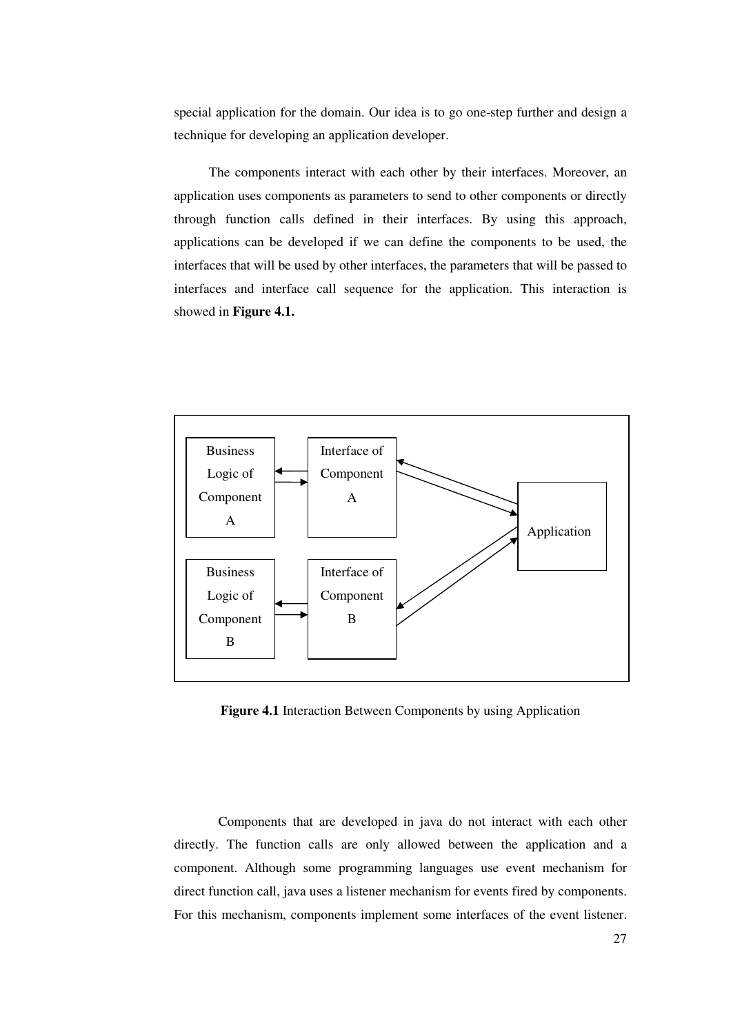special application for the domain. Our idea is to go one-step further and design a technique for developing an application developer.

The components interact with each other by their interfaces. Moreover, an application uses components as parameters to send to other components or directly through function calls defined in their interfaces. By using this approach, applications can be developed if we can define the components to be used, the interfaces that will be used by other interfaces, the parameters that will be passed to interfaces and interface call sequence for the application. This interaction is showed in **Figure 4.1.**



**Figure 4.1** Interaction Between Components by using Application

Components that are developed in java do not interact with each other directly. The function calls are only allowed between the application and a component. Although some programming languages use event mechanism for direct function call, java uses a listener mechanism for events fired by components. For this mechanism, components implement some interfaces of the event listener.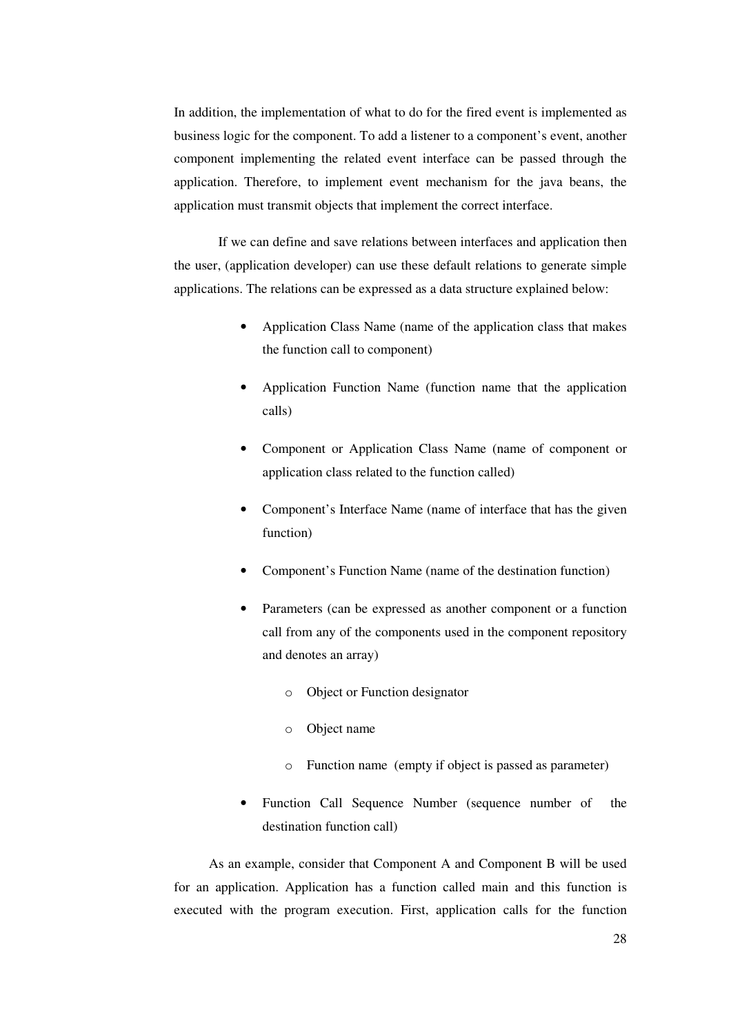In addition, the implementation of what to do for the fired event is implemented as business logic for the component. To add a listener to a component's event, another component implementing the related event interface can be passed through the application. Therefore, to implement event mechanism for the java beans, the application must transmit objects that implement the correct interface.

If we can define and save relations between interfaces and application then the user, (application developer) can use these default relations to generate simple applications. The relations can be expressed as a data structure explained below:

- Application Class Name (name of the application class that makes the function call to component)
- Application Function Name (function name that the application calls)
- Component or Application Class Name (name of component or application class related to the function called)
- Component's Interface Name (name of interface that has the given function)
- Component's Function Name (name of the destination function)
- Parameters (can be expressed as another component or a function call from any of the components used in the component repository and denotes an array)
	- o Object or Function designator
	- o Object name
	- o Function name (empty if object is passed as parameter)
- Function Call Sequence Number (sequence number of the destination function call)

As an example, consider that Component A and Component B will be used for an application. Application has a function called main and this function is executed with the program execution. First, application calls for the function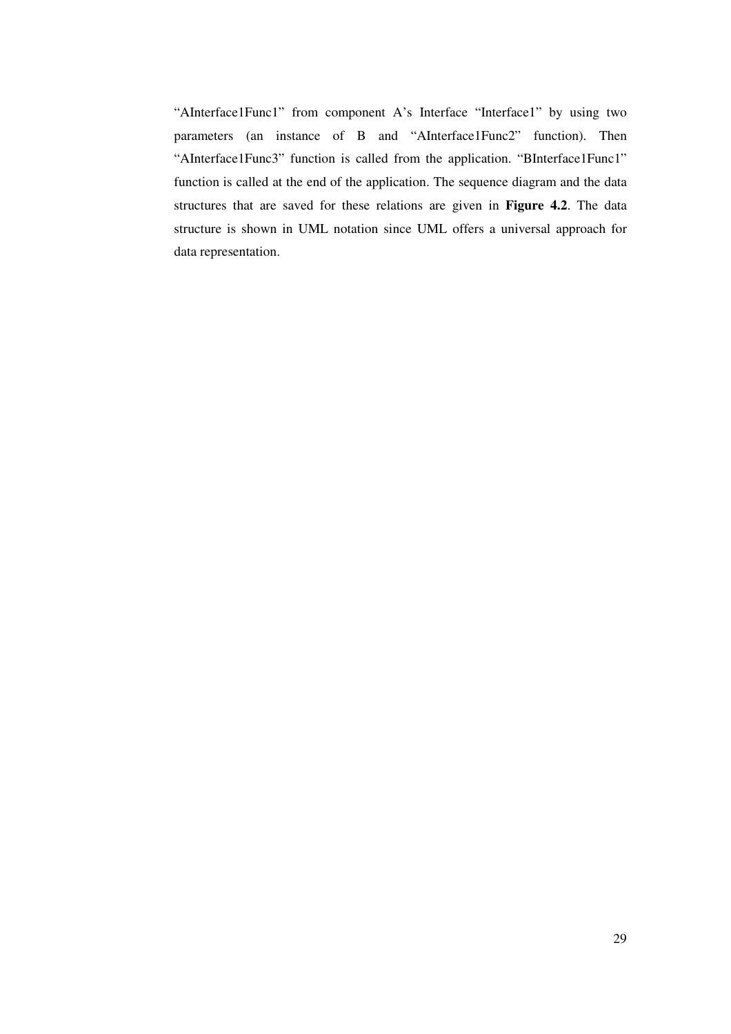"AInterface1Func1" from component A's Interface "Interface1" by using two parameters (an instance of B and "AInterface1Func2" function). Then "AInterface1Func3" function is called from the application. "BInterface1Func1" function is called at the end of the application. The sequence diagram and the data structures that are saved for these relations are given in **Figure 4.2**. The data structure is shown in UML notation since UML offers a universal approach for data representation.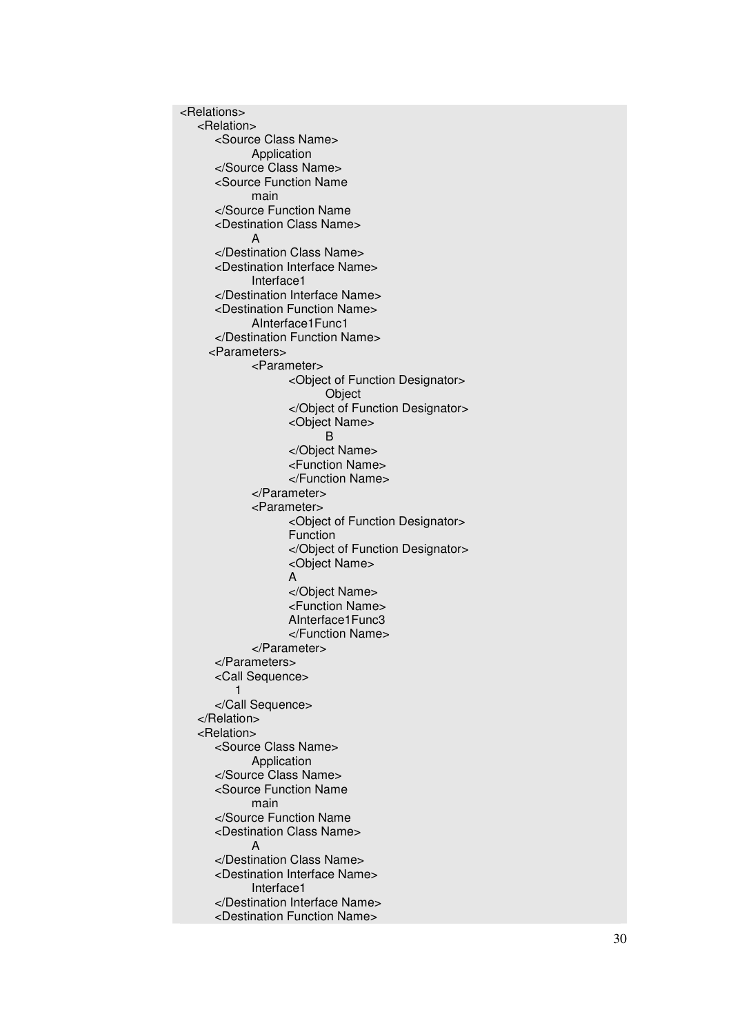< R ela tio n s > < R ela tio n > <Source Class Name> Application </Source Class Name> <Source Function Name m ain </Source Function Name <Destination Class Name> A </Destination Class Name> <Destination Interface Name> Interface1 </Destination Interface Name> <Destination Function Name> AInterface1Func1 </Destination Function Name> <Parameters> <Parameter> <
Object of Function Designator> Object <
/
Object of Function Designator> <Object Name> B </Object Name> <Function Name> </Function Name> </Parameter> <Parameter> <
Object of Function Designator> Function <
/Object of Function Designator> <Object Name> A<br></Object Name> <Function Name> AInterface1Func3 </Function Name> </Parameter> </Parameters> <Call Sequence> 1 </Call Sequence> < / R ela tio n > < R ela tio n > <Source Class Name> **Application** </Source Class Name> <Source Function Name m ain </Source Function Name <Destination Class Name> A </Destination Class Name> <Destination Interface Name> Interface1 </Destination Interface Name> <Destination Function Name>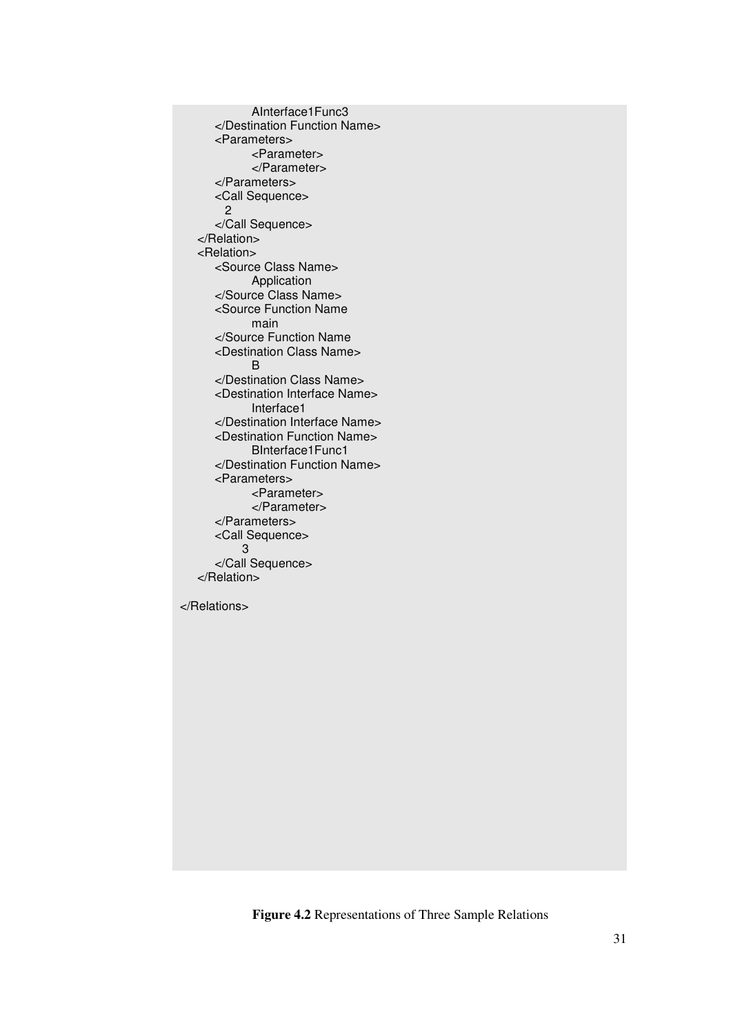```
AInterface1Func3
  </Destination Function Name>
  <Parameters>
        <Parameter>
        </Parameter>
  </Parameters>
  <Call Sequence>
    2
  </Call Sequence>
</Relation>
<Relation>
  <Source Class Name>
        Application
  </Source Class Name>
  <Source Function Name
        main
  </Source Function Name
  <Destination Class Name>
        B
  </Destination Class Name>
  <Destination Interface Name>
        Interface1
  </Destination Interface Name>
  <Destination Function Name>
        BInterface1Func1
  </Destination Function Name>
  <Parameters>
        <Parameter>
        </Parameter>
  </Parameters>
  <Call Sequence>
       3
  </Call Sequence>
</Relation>
```
</Relations>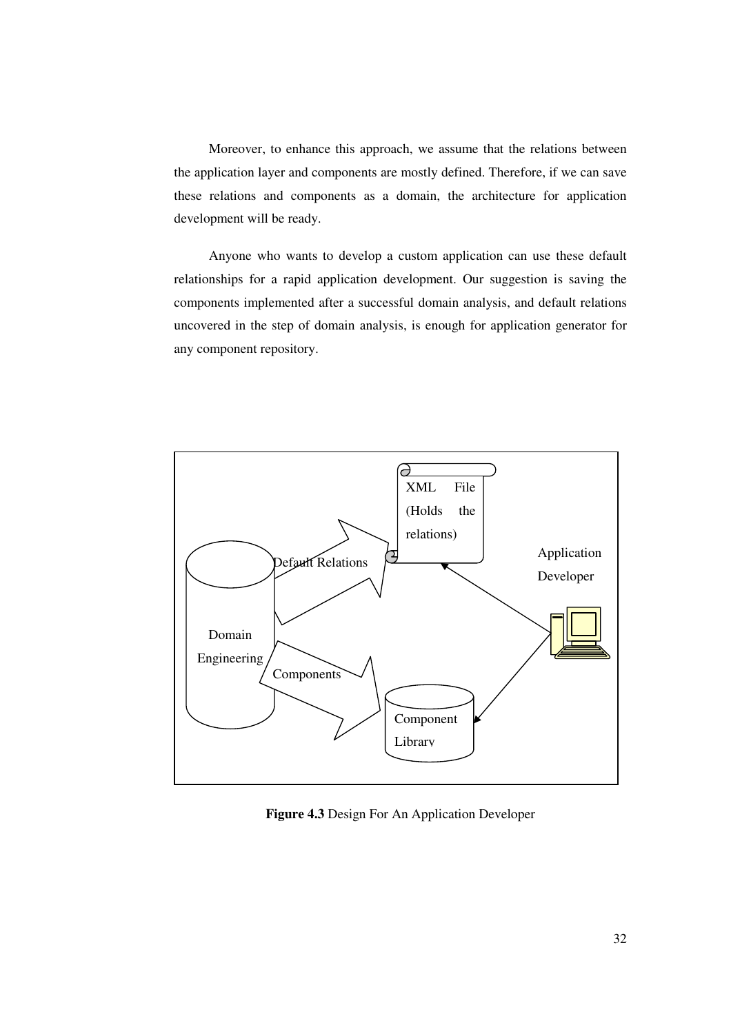Moreover, to enhance this approach, we assume that the relations between the application layer and components are mostly defined. Therefore, if we can save these relations and components as a domain, the architecture for application development will be ready.

Anyone who wants to develop a custom application can use these default relationships for a rapid application development. Our suggestion is saving the components implemented after a successful domain analysis, and default relations uncovered in the step of domain analysis, is enough for application generator for any component repository.



**Figure 4.3** Design For An Application Developer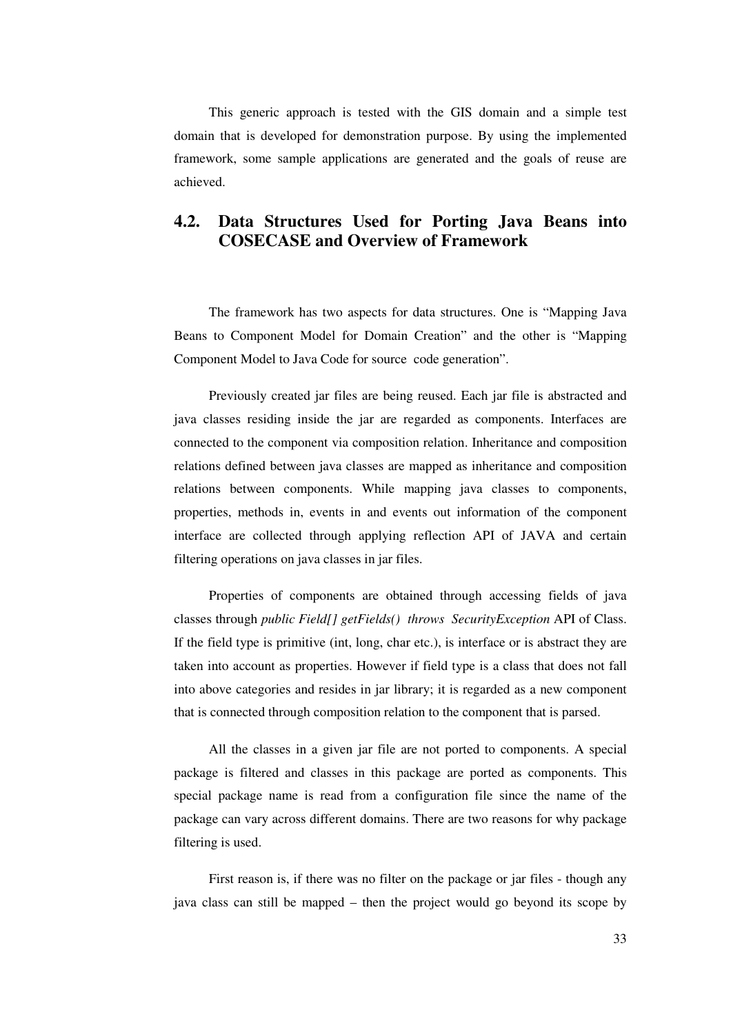This generic approach is tested with the GIS domain and a simple test domain that is developed for demonstration purpose. By using the implemented framework, some sample applications are generated and the goals of reuse are achieved.

# **4.2. Data Structures Used for Porting Java Beans into COSECASE and Overview of Framework**

The framework has two aspects for data structures. One is "Mapping Java Beans to Component Model for Domain Creation" and the other is "Mapping Component Model to Java Code for source code generation".

Previously created jar files are being reused. Each jar file is abstracted and java classes residing inside the jar are regarded as components. Interfaces are connected to the component via composition relation. Inheritance and composition relations defined between java classes are mapped as inheritance and composition relations between components. While mapping java classes to components, properties, methods in, events in and events out information of the component interface are collected through applying reflection API of JAVA and certain filtering operations on java classes in jar files.

Properties of components are obtained through accessing fields of java classes through *public Field[] getFields() throws SecurityException* API of Class. If the field type is primitive (int, long, char etc.), is interface or is abstract they are taken into account as properties. However if field type is a class that does not fall into above categories and resides in jar library; it is regarded as a new component that is connected through composition relation to the component that is parsed.

All the classes in a given jar file are not ported to components. A special package is filtered and classes in this package are ported as components. This special package name is read from a configuration file since the name of the package can vary across different domains. There are two reasons for why package filtering is used.

First reason is, if there was no filter on the package or jar files - though any java class can still be mapped – then the project would go beyond its scope by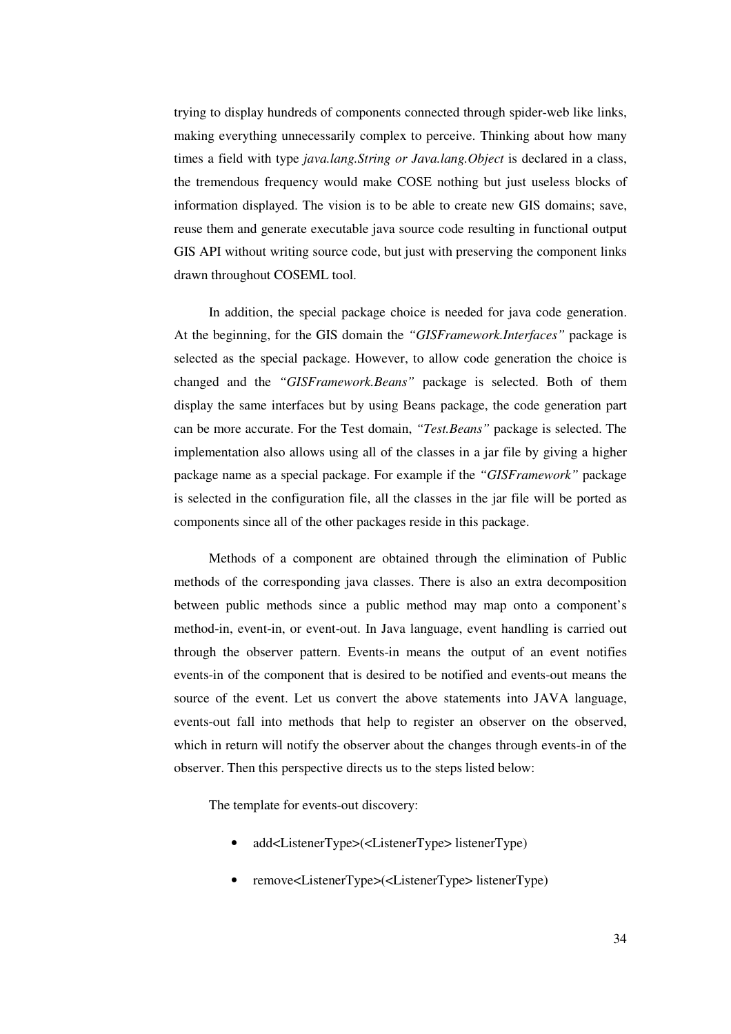trying to display hundreds of components connected through spider-web like links, making everything unnecessarily complex to perceive. Thinking about how many times a field with type *java.lang.String or Java.lang.Object* is declared in a class, the tremendous frequency would make COSE nothing but just useless blocks of information displayed. The vision is to be able to create new GIS domains; save, reuse them and generate executable java source code resulting in functional output GIS API without writing source code, but just with preserving the component links drawn throughout COSEML tool.

In addition, the special package choice is needed for java code generation. At the beginning, for the GIS domain the *"GISFramework.Interfaces"* package is selected as the special package. However, to allow code generation the choice is changed and the *"GISFramework.Beans"* package is selected. Both of them display the same interfaces but by using Beans package, the code generation part can be more accurate. For the Test domain, *"Test.Beans"* package is selected. The implementation also allows using all of the classes in a jar file by giving a higher package name as a special package. For example if the *"GISFramework"* package is selected in the configuration file, all the classes in the jar file will be ported as components since all of the other packages reside in this package.

Methods of a component are obtained through the elimination of Public methods of the corresponding java classes. There is also an extra decomposition between public methods since a public method may map onto a component's method-in, event-in, or event-out. In Java language, event handling is carried out through the observer pattern. Events-in means the output of an event notifies events-in of the component that is desired to be notified and events-out means the source of the event. Let us convert the above statements into JAVA language, events-out fall into methods that help to register an observer on the observed, which in return will notify the observer about the changes through events-in of the observer. Then this perspective directs us to the steps listed below:

The template for events-out discovery:

- add<ListenerType>(<ListenerType> listenerType)
- remove<ListenerType>(<ListenerType> listenerType)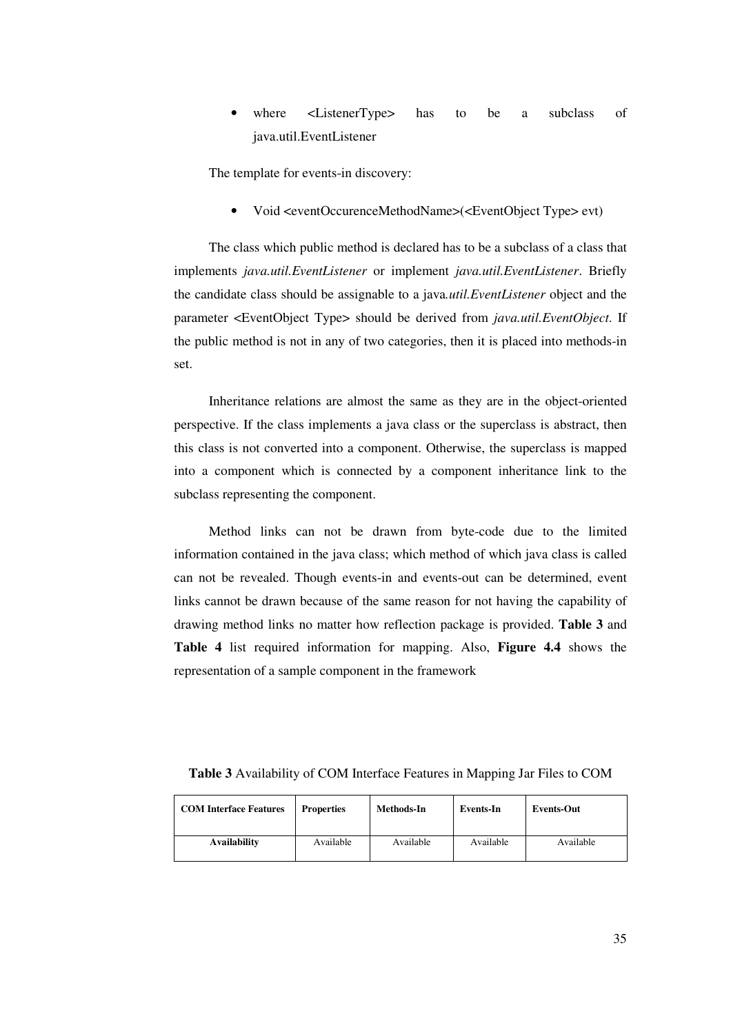where <ListenerType> has to be a subclass of java.util.EventListener

The template for events-in discovery:

• Void <eventOccurenceMethodName>(<EventObject Type> evt)

The class which public method is declared has to be a subclass of a class that implements *java.util.EventListener* or implement *java.util.EventListener*. Briefly the candidate class should be assignable to a java*.util.EventListener* object and the parameter <EventObject Type> should be derived from *java.util.EventObject*. If the public method is not in any of two categories, then it is placed into methods-in set.

Inheritance relations are almost the same as they are in the object-oriented perspective. If the class implements a java class or the superclass is abstract, then this class is not converted into a component. Otherwise, the superclass is mapped into a component which is connected by a component inheritance link to the subclass representing the component.

Method links can not be drawn from byte-code due to the limited information contained in the java class; which method of which java class is called can not be revealed. Though events-in and events-out can be determined, event links cannot be drawn because of the same reason for not having the capability of drawing method links no matter how reflection package is provided. **Table 3** and **Table 4** list required information for mapping. Also, **Figure 4.4** shows the representation of a sample component in the framework

| Table 3 Availability of COM Interface Features in Mapping Jar Files to COM |  |  |  |
|----------------------------------------------------------------------------|--|--|--|
|----------------------------------------------------------------------------|--|--|--|

| <b>COM Interface Features</b> | <b>Properties</b> | Methods-In | Events-In | <b>Events-Out</b> |
|-------------------------------|-------------------|------------|-----------|-------------------|
| <b>Availability</b>           | Available         | Available  | Available | Available         |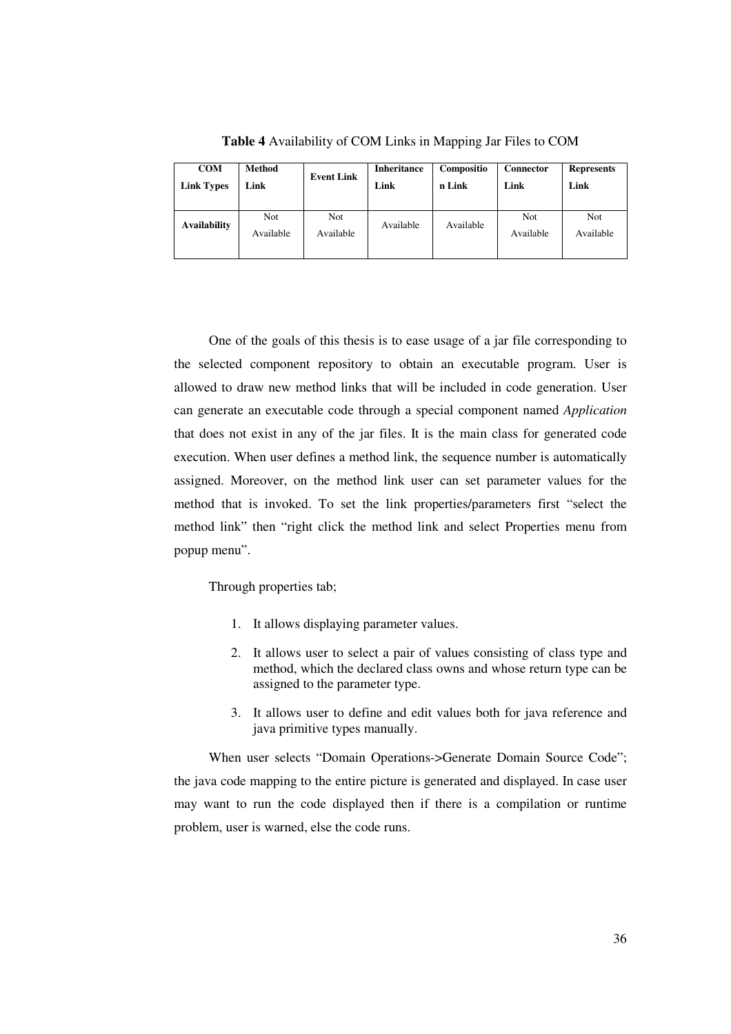| <b>COM</b>        | <b>Method</b>           | <b>Event Link</b>       | <b>Inheritance</b> | Compositio | Connector        | <b>Represents</b>       |
|-------------------|-------------------------|-------------------------|--------------------|------------|------------------|-------------------------|
| <b>Link Types</b> | Link                    |                         | Link               | n Link     | Link             | Link                    |
| Availability      | <b>Not</b><br>Available | <b>Not</b><br>Available | Available          | Available  | Not<br>Available | <b>Not</b><br>Available |

**Table 4** Availability of COM Links in Mapping Jar Files to COM

One of the goals of this thesis is to ease usage of a jar file corresponding to the selected component repository to obtain an executable program. User is allowed to draw new method links that will be included in code generation. User can generate an executable code through a special component named *Application* that does not exist in any of the jar files. It is the main class for generated code execution. When user defines a method link, the sequence number is automatically assigned. Moreover, on the method link user can set parameter values for the method that is invoked. To set the link properties/parameters first "select the method link" then "right click the method link and select Properties menu from popup menu".

Through properties tab;

- 1. It allows displaying parameter values.
- 2. It allows user to select a pair of values consisting of class type and method, which the declared class owns and whose return type can be assigned to the parameter type.
- 3. It allows user to define and edit values both for java reference and java primitive types manually.

When user selects "Domain Operations->Generate Domain Source Code"; the java code mapping to the entire picture is generated and displayed. In case user may want to run the code displayed then if there is a compilation or runtime problem, user is warned, else the code runs.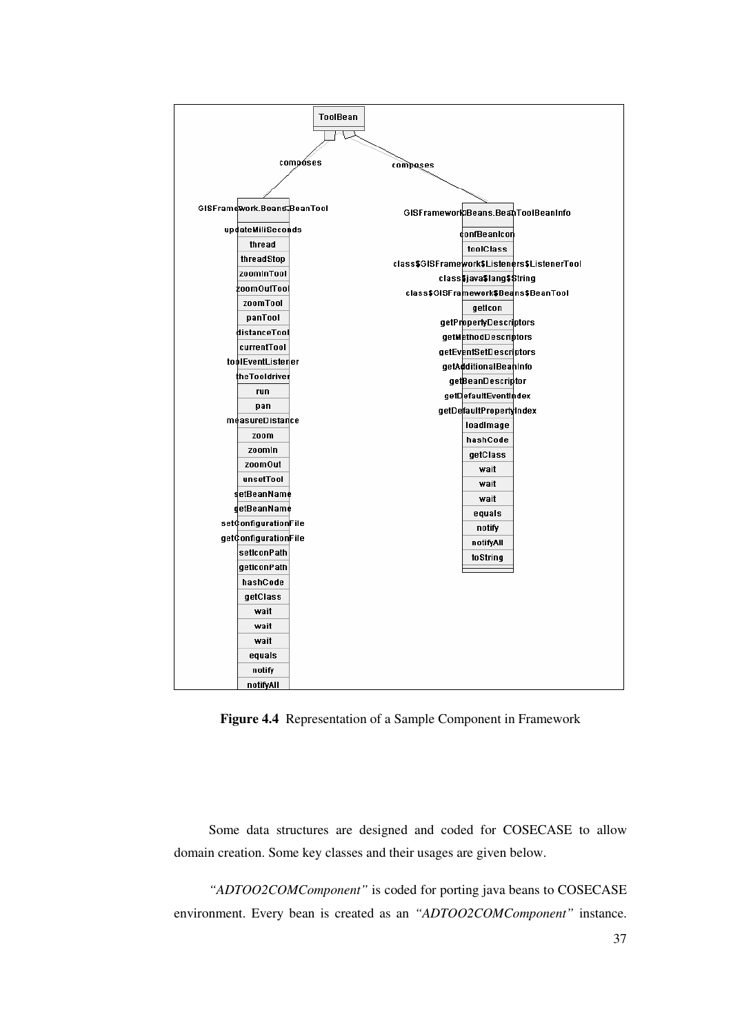

**Figure 4.4** Representation of a Sample Component in Framework

Some data structures are designed and coded for COSECASE to allow domain creation. Some key classes and their usages are given below.

*"ADTOO2COMComponent"* is coded for porting java beans to COSECASE environment. Every bean is created as an *"ADTOO2COMComponent"* instance.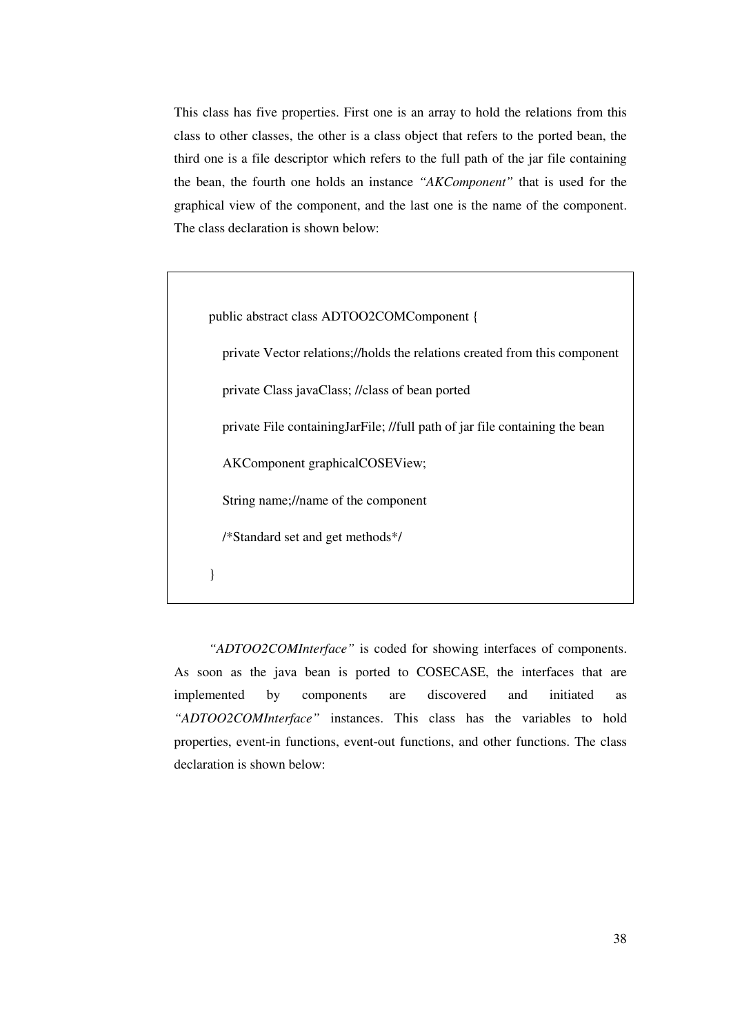This class has five properties. First one is an array to hold the relations from this class to other classes, the other is a class object that refers to the ported bean, the third one is a file descriptor which refers to the full path of the jar file containing the bean, the fourth one holds an instance *"AKComponent"* that is used for the graphical view of the component, and the last one is the name of the component. The class declaration is shown below:

public abstract class ADTOO2COMComponent { private Vector relations;//holds the relations created from this component private Class javaClass; //class of bean ported private File containingJarFile; //full path of jar file containing the bean AKComponent graphicalCOSEView; String name;//name of the component /\*Standard set and get methods\*/ }

*"ADTOO2COMInterface"* is coded for showing interfaces of components. As soon as the java bean is ported to COSECASE, the interfaces that are implemented by components are discovered and initiated as *"ADTOO2COMInterface"* instances. This class has the variables to hold properties, event-in functions, event-out functions, and other functions. The class declaration is shown below: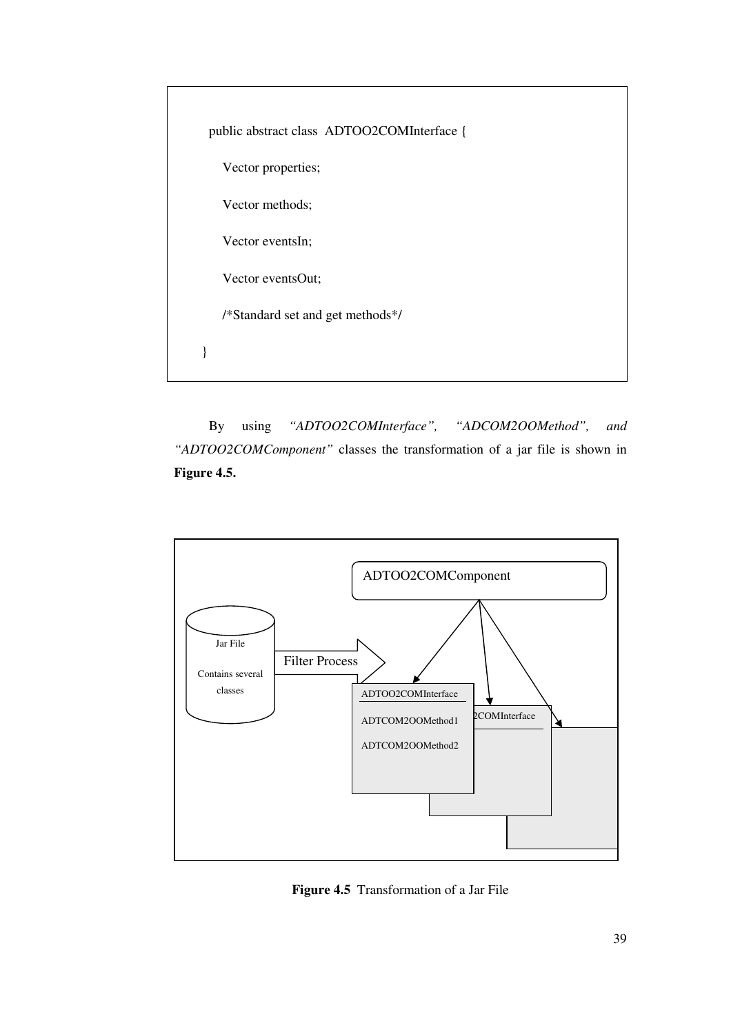| public abstract class ADTOO2COMInterface { |  |
|--------------------------------------------|--|
| Vector properties;                         |  |
| Vector methods;                            |  |
| Vector eventsIn;                           |  |
| Vector eventsOut;                          |  |
| /*Standard set and get methods*/           |  |
|                                            |  |
|                                            |  |

By using *"ADTOO2COMInterface", "ADCOM2OOMethod", and "ADTOO2COMComponent"* classes the transformation of a jar file is shown in **Figure 4.5.**



**Figure 4.5** Transformation of a Jar File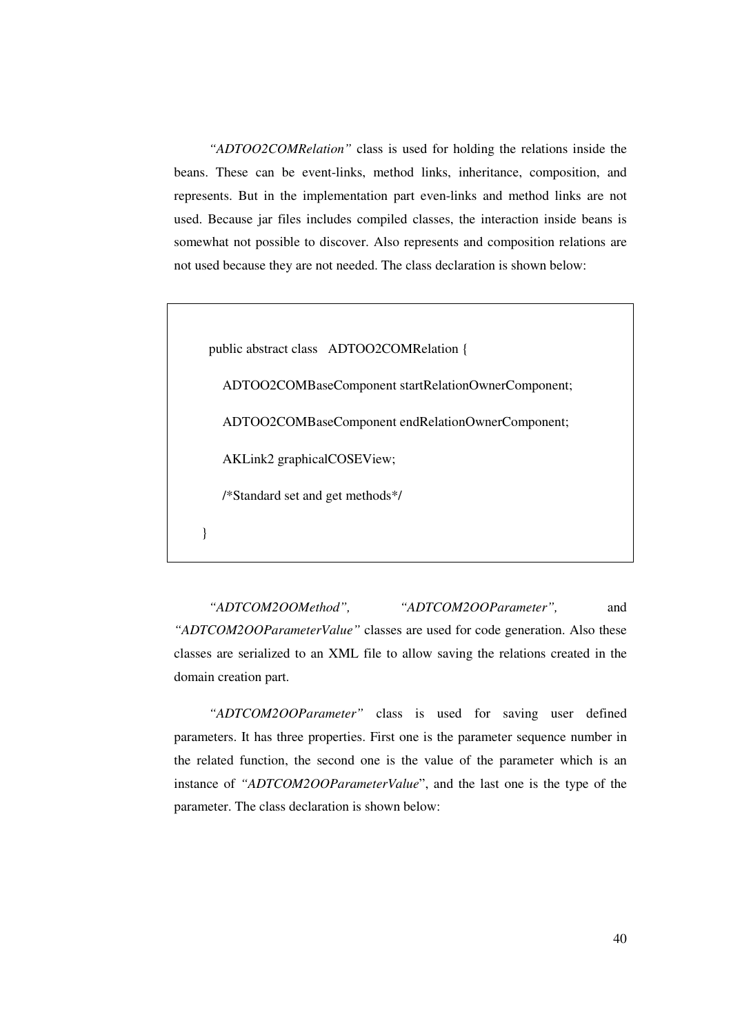*"ADTOO2COMRelation"* class is used for holding the relations inside the beans. These can be event-links, method links, inheritance, composition, and represents. But in the implementation part even-links and method links are not used. Because jar files includes compiled classes, the interaction inside beans is somewhat not possible to discover. Also represents and composition relations are not used because they are not needed. The class declaration is shown below:

public abstract class ADTOO2COMRelation {

ADTOO2COMBaseComponent startRelationOwnerComponent;

ADTOO2COMBaseComponent endRelationOwnerComponent;

AKLink2 graphicalCOSEView;

/\*Standard set and get methods\*/

}

*"ADTCOM2OOMethod", "ADTCOM2OOParameter",* and *"ADTCOM2OOParameterValue"* classes are used for code generation. Also these classes are serialized to an XML file to allow saving the relations created in the domain creation part.

*"ADTCOM2OOParameter"* class is used for saving user defined parameters. It has three properties. First one is the parameter sequence number in the related function, the second one is the value of the parameter which is an instance of *"ADTCOM2OOParameterValue*", and the last one is the type of the parameter. The class declaration is shown below: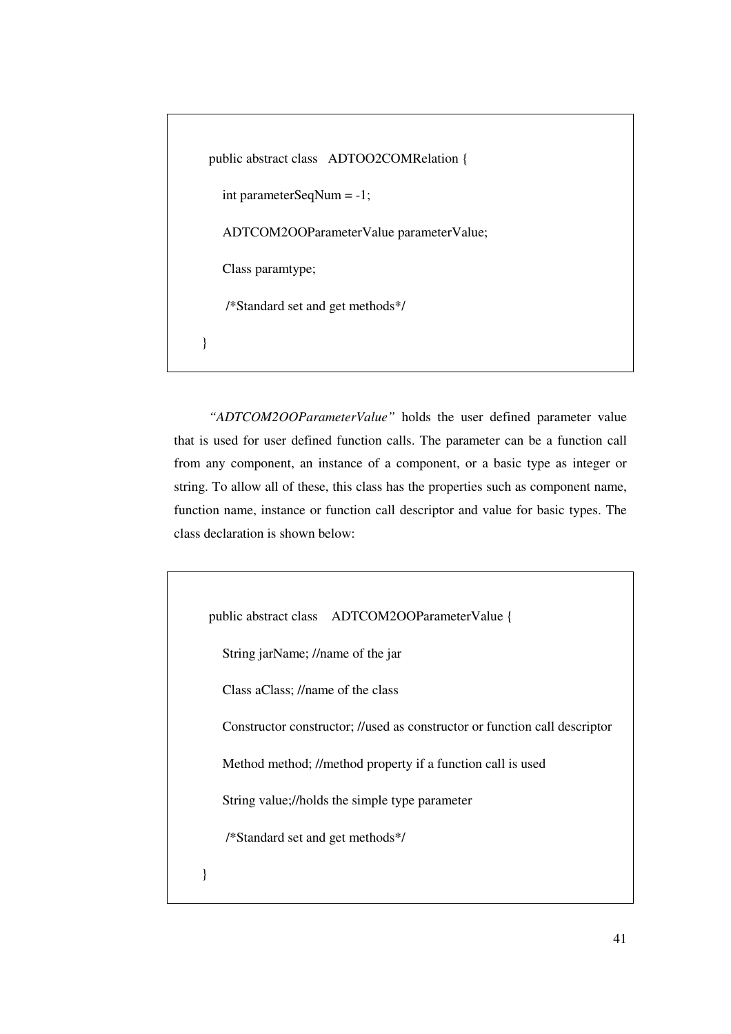```
public abstract class ADTOO2COMRelation {
   int parameterSeqNum = -1;
   ADTCOM2OOParameterValue parameterValue;
   Class paramtype;
   /*Standard set and get methods*/
}
```
*"ADTCOM2OOParameterValue"* holds the user defined parameter value that is used for user defined function calls. The parameter can be a function call from any component, an instance of a component, or a basic type as integer or string. To allow all of these, this class has the properties such as component name, function name, instance or function call descriptor and value for basic types. The class declaration is shown below:

```
public abstract class ADTCOM2OOParameterValue {
   String jarName; //name of the jar
   Class aClass; //name of the class
   Constructor constructor; //used as constructor or function call descriptor
   Method method; //method property if a function call is used
   String value;//holds the simple type parameter
    /*Standard set and get methods*/
}
```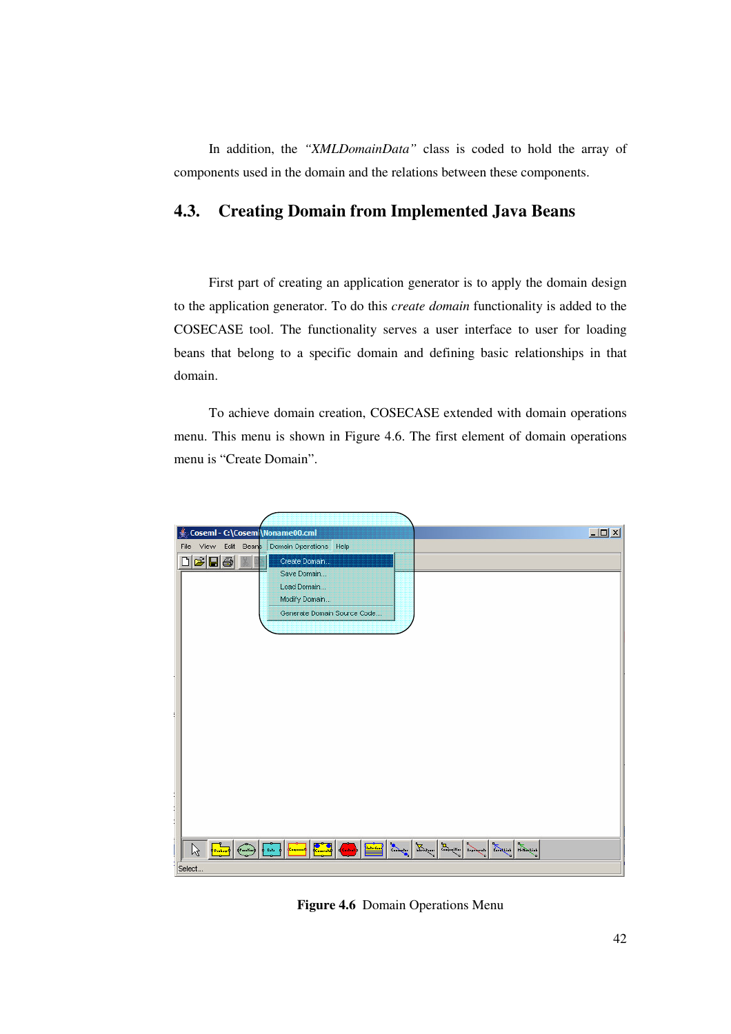In addition, the *"XMLDomainData"* class is coded to hold the array of components used in the domain and the relations between these components.

## **4.3. Creating Domain from Implemented Java Beans**

First part of creating an application generator is to apply the domain design to the application generator. To do this *create domain* functionality is added to the COSECASE tool. The functionality serves a user interface to user for loading beans that belong to a specific domain and defining basic relationships in that domain.

To achieve domain creation, COSECASE extended with domain operations menu. This menu is shown in Figure 4.6. The first element of domain operations menu is "Create Domain".



**Figure 4.6** Domain Operations Menu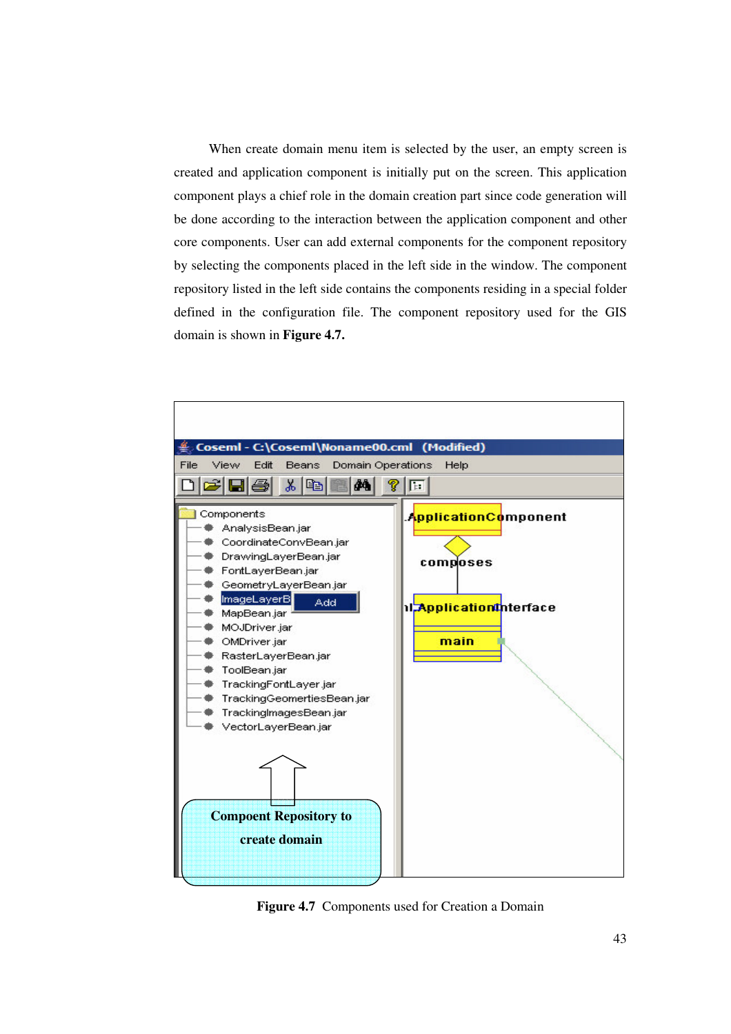When create domain menu item is selected by the user, an empty screen is created and application component is initially put on the screen. This application component plays a chief role in the domain creation part since code generation will be done according to the interaction between the application component and other core components. User can add external components for the component repository by selecting the components placed in the left side in the window. The component repository listed in the left side contains the components residing in a special folder defined in the configuration file. The component repository used for the GIS domain is shown in **Figure 4.7.**



**Figure 4.7** Components used for Creation a Domain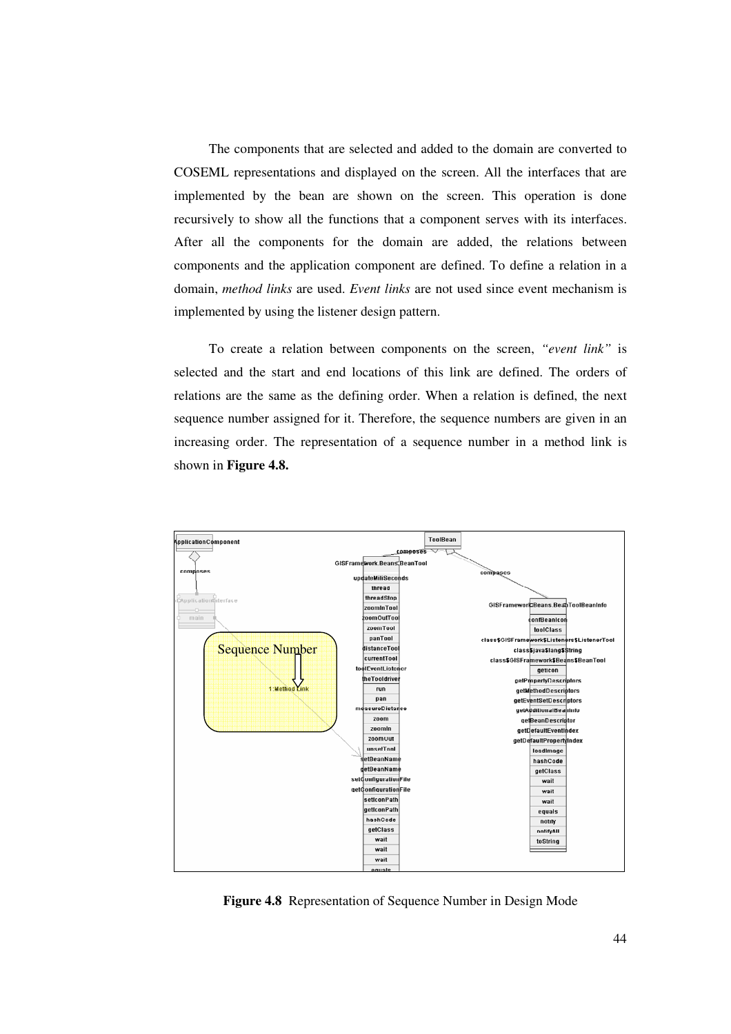The components that are selected and added to the domain are converted to COSEML representations and displayed on the screen. All the interfaces that are implemented by the bean are shown on the screen. This operation is done recursively to show all the functions that a component serves with its interfaces. After all the components for the domain are added, the relations between components and the application component are defined. To define a relation in a domain, *method links* are used. *Event links* are not used since event mechanism is implemented by using the listener design pattern.

To create a relation between components on the screen, *"event link"* is selected and the start and end locations of this link are defined. The orders of relations are the same as the defining order. When a relation is defined, the next sequence number assigned for it. Therefore, the sequence numbers are given in an increasing order. The representation of a sequence number in a method link is shown in **Figure 4.8.**



**Figure 4.8** Representation of Sequence Number in Design Mode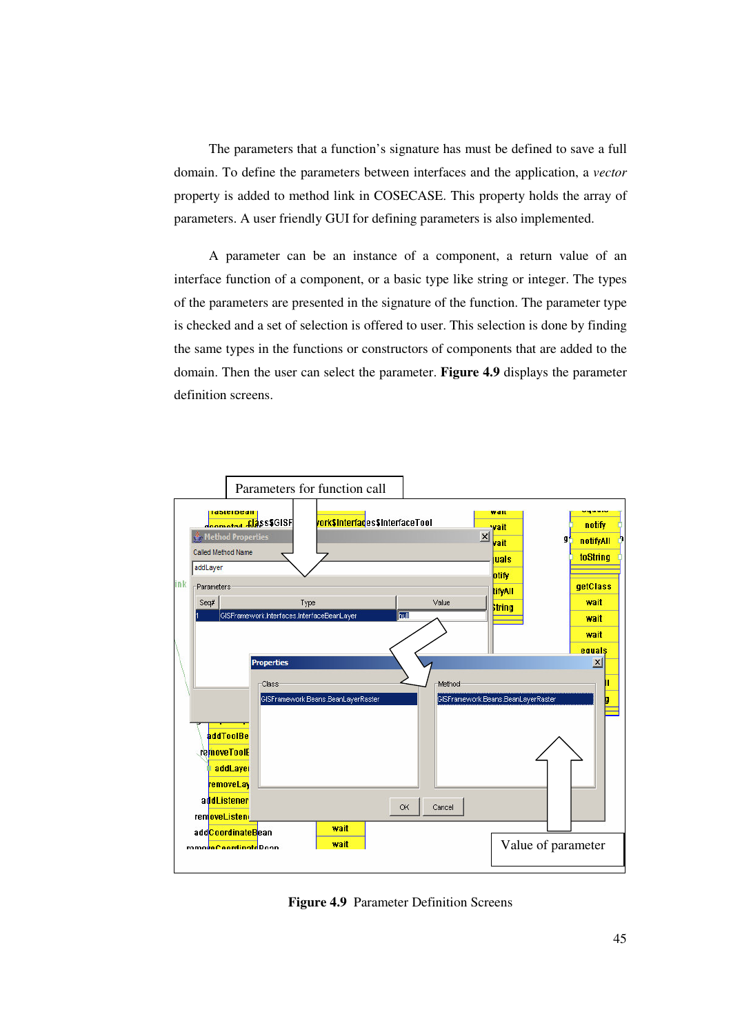The parameters that a function's signature has must be defined to save a full domain. To define the parameters between interfaces and the application, a *vector* property is added to method link in COSECASE. This property holds the array of parameters. A user friendly GUI for defining parameters is also implemented.

A parameter can be an instance of a component, a return value of an interface function of a component, or a basic type like string or integer. The types of the parameters are presented in the signature of the function. The parameter type is checked and a set of selection is offered to user. This selection is done by finding the same types in the functions or constructors of components that are added to the domain. Then the user can select the parameter. **Figure 4.9** displays the parameter definition screens.



**Figure 4.9** Parameter Definition Screens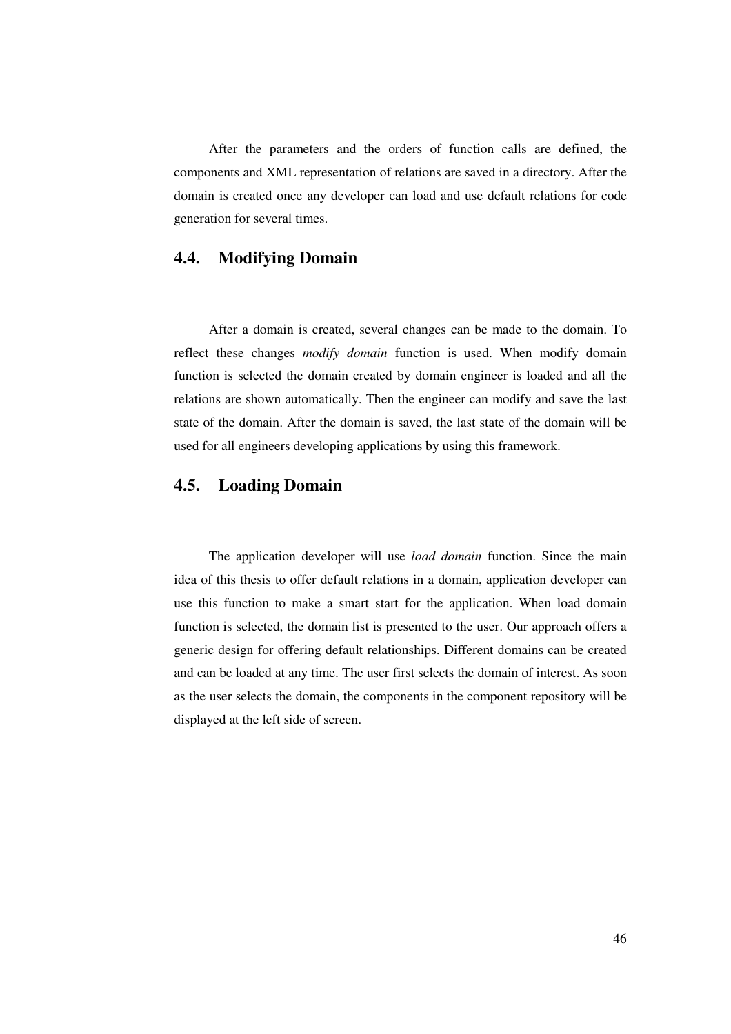After the parameters and the orders of function calls are defined, the components and XML representation of relations are saved in a directory. After the domain is created once any developer can load and use default relations for code generation for several times.

#### **4.4. Modifying Domain**

After a domain is created, several changes can be made to the domain. To reflect these changes *modify domain* function is used. When modify domain function is selected the domain created by domain engineer is loaded and all the relations are shown automatically. Then the engineer can modify and save the last state of the domain. After the domain is saved, the last state of the domain will be used for all engineers developing applications by using this framework.

## **4.5. Loading Domain**

The application developer will use *load domain* function. Since the main idea of this thesis to offer default relations in a domain, application developer can use this function to make a smart start for the application. When load domain function is selected, the domain list is presented to the user. Our approach offers a generic design for offering default relationships. Different domains can be created and can be loaded at any time. The user first selects the domain of interest. As soon as the user selects the domain, the components in the component repository will be displayed at the left side of screen.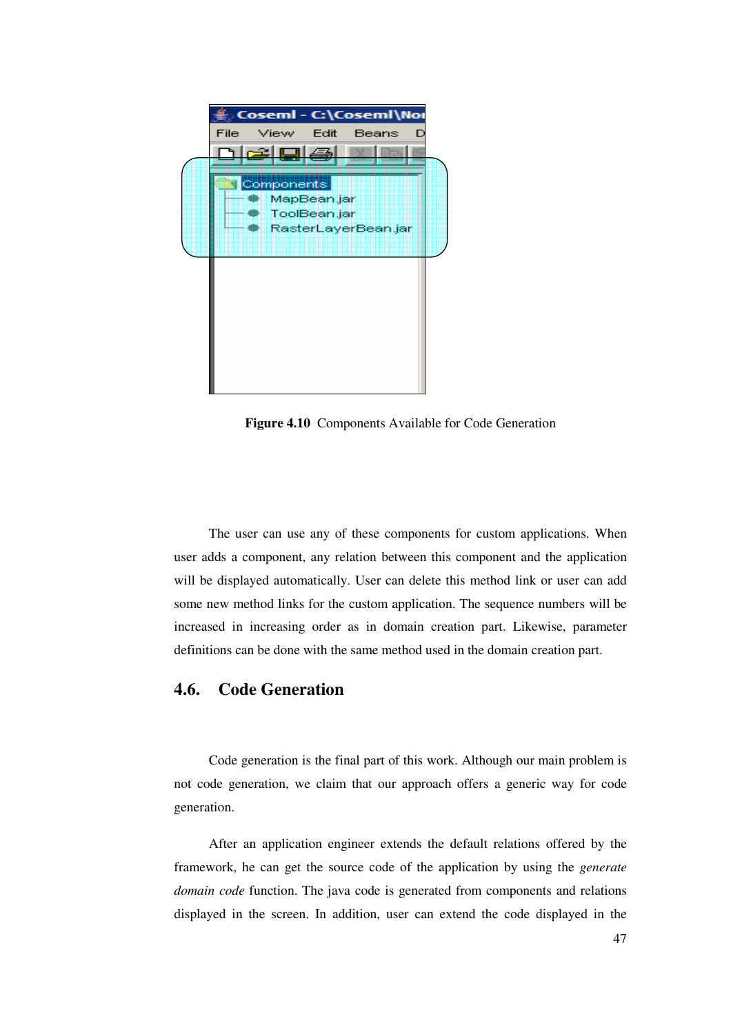

**Figure 4.10** Components Available for Code Generation

The user can use any of these components for custom applications. When user adds a component, any relation between this component and the application will be displayed automatically. User can delete this method link or user can add some new method links for the custom application. The sequence numbers will be increased in increasing order as in domain creation part. Likewise, parameter definitions can be done with the same method used in the domain creation part.

#### **4.6. Code Generation**

Code generation is the final part of this work. Although our main problem is not code generation, we claim that our approach offers a generic way for code generation.

After an application engineer extends the default relations offered by the framework, he can get the source code of the application by using the *generate domain code* function. The java code is generated from components and relations displayed in the screen. In addition, user can extend the code displayed in the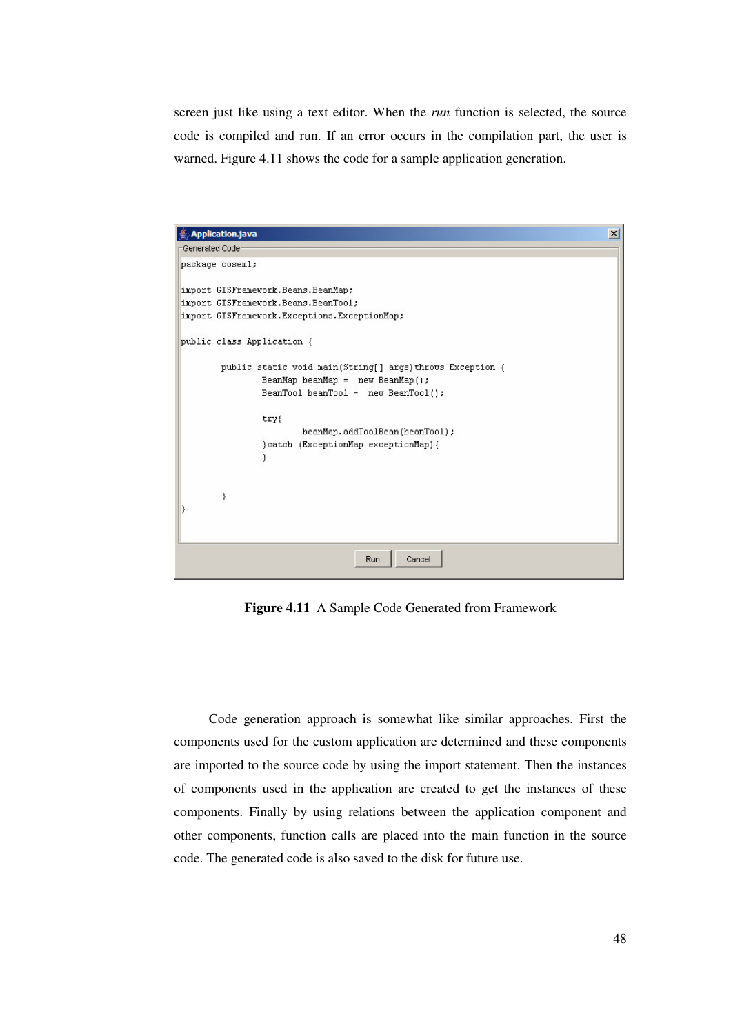screen just like using a text editor. When the *run* function is selected, the source code is compiled and run. If an error occurs in the compilation part, the user is warned. Figure 4.11 shows the code for a sample application generation.



**Figure 4.11** A Sample Code Generated from Framework

Code generation approach is somewhat like similar approaches. First the components used for the custom application are determined and these components are imported to the source code by using the import statement. Then the instances of components used in the application are created to get the instances of these components. Finally by using relations between the application component and other components, function calls are placed into the main function in the source code. The generated code is also saved to the disk for future use.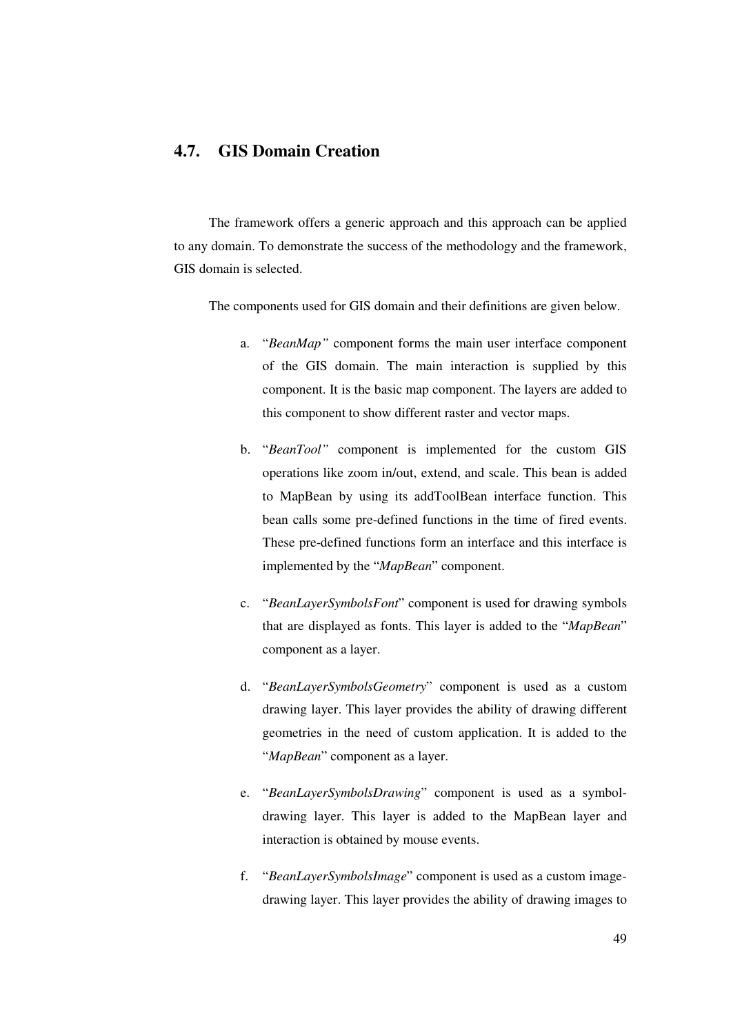## **4.7. GIS Domain Creation**

The framework offers a generic approach and this approach can be applied to any domain. To demonstrate the success of the methodology and the framework, GIS domain is selected.

The components used for GIS domain and their definitions are given below.

- a. "*BeanMap"* component forms the main user interface component of the GIS domain. The main interaction is supplied by this component. It is the basic map component. The layers are added to this component to show different raster and vector maps.
- b. "*BeanTool"* component is implemented for the custom GIS operations like zoom in/out, extend, and scale. This bean is added to MapBean by using its addToolBean interface function. This bean calls some pre-defined functions in the time of fired events. These pre-defined functions form an interface and this interface is implemented by the "*MapBean*" component.
- c. "*BeanLayerSymbolsFont*" component is used for drawing symbols that are displayed as fonts. This layer is added to the "*MapBean*" component as a layer.
- d. "*BeanLayerSymbolsGeometry*" component is used as a custom drawing layer. This layer provides the ability of drawing different geometries in the need of custom application. It is added to the "*MapBean*" component as a layer.
- e. "*BeanLayerSymbolsDrawing*" component is used as a symboldrawing layer. This layer is added to the MapBean layer and interaction is obtained by mouse events.
- f. "*BeanLayerSymbolsImage*" component is used as a custom imagedrawing layer. This layer provides the ability of drawing images to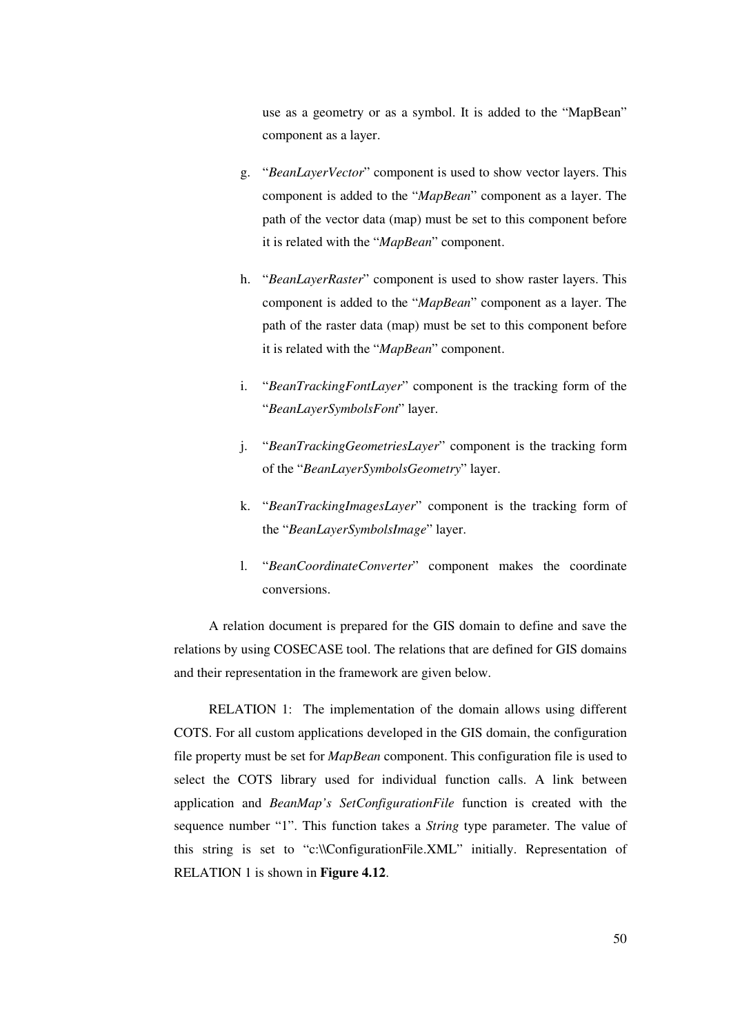use as a geometry or as a symbol. It is added to the "MapBean" component as a layer.

- g. "*BeanLayerVector*" component is used to show vector layers. This component is added to the "*MapBean*" component as a layer. The path of the vector data (map) must be set to this component before it is related with the "*MapBean*" component.
- h. "*BeanLayerRaster*" component is used to show raster layers. This component is added to the "*MapBean*" component as a layer. The path of the raster data (map) must be set to this component before it is related with the "*MapBean*" component.
- i. "*BeanTrackingFontLayer*" component is the tracking form of the "*BeanLayerSymbolsFont*" layer.
- j. "*BeanTrackingGeometriesLayer*" component is the tracking form of the "*BeanLayerSymbolsGeometry*" layer.
- k. "*BeanTrackingImagesLayer*" component is the tracking form of the "*BeanLayerSymbolsImage*" layer.
- l. "*BeanCoordinateConverter*" component makes the coordinate conversions.

A relation document is prepared for the GIS domain to define and save the relations by using COSECASE tool. The relations that are defined for GIS domains and their representation in the framework are given below.

RELATION 1: The implementation of the domain allows using different COTS. For all custom applications developed in the GIS domain, the configuration file property must be set for *MapBean* component. This configuration file is used to select the COTS library used for individual function calls. A link between application and *BeanMap's SetConfigurationFile* function is created with the sequence number "1". This function takes a *String* type parameter. The value of this string is set to "c:\\ConfigurationFile.XML" initially. Representation of RELATION 1 is shown in **Figure 4.12**.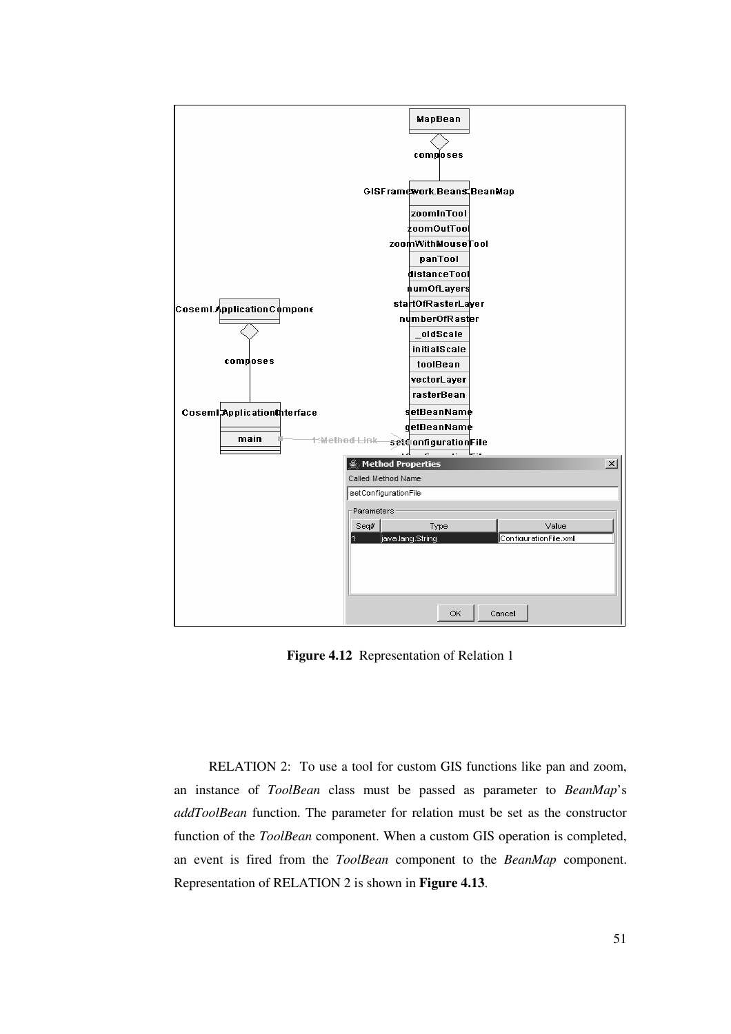

**Figure 4.12** Representation of Relation 1

RELATION 2: To use a tool for custom GIS functions like pan and zoom, an instance of *ToolBean* class must be passed as parameter to *BeanMap*'s *addToolBean* function. The parameter for relation must be set as the constructor function of the *ToolBean* component. When a custom GIS operation is completed, an event is fired from the *ToolBean* component to the *BeanMap* component. Representation of RELATION 2 is shown in **Figure 4.13**.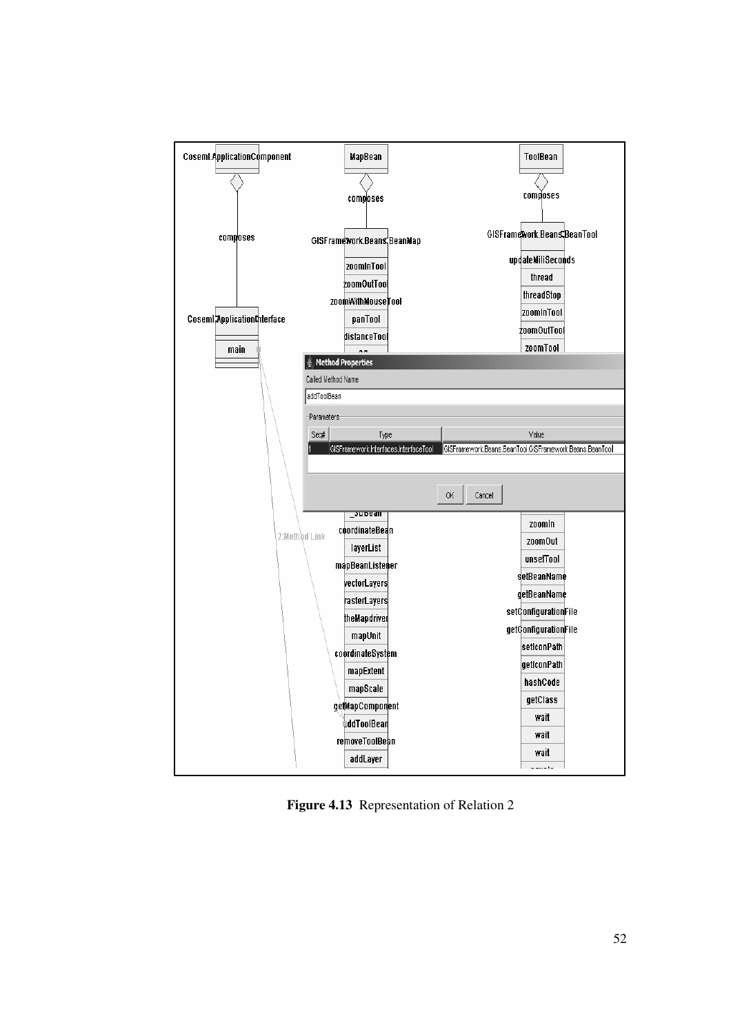

**Figure 4.13** Representation of Relation 2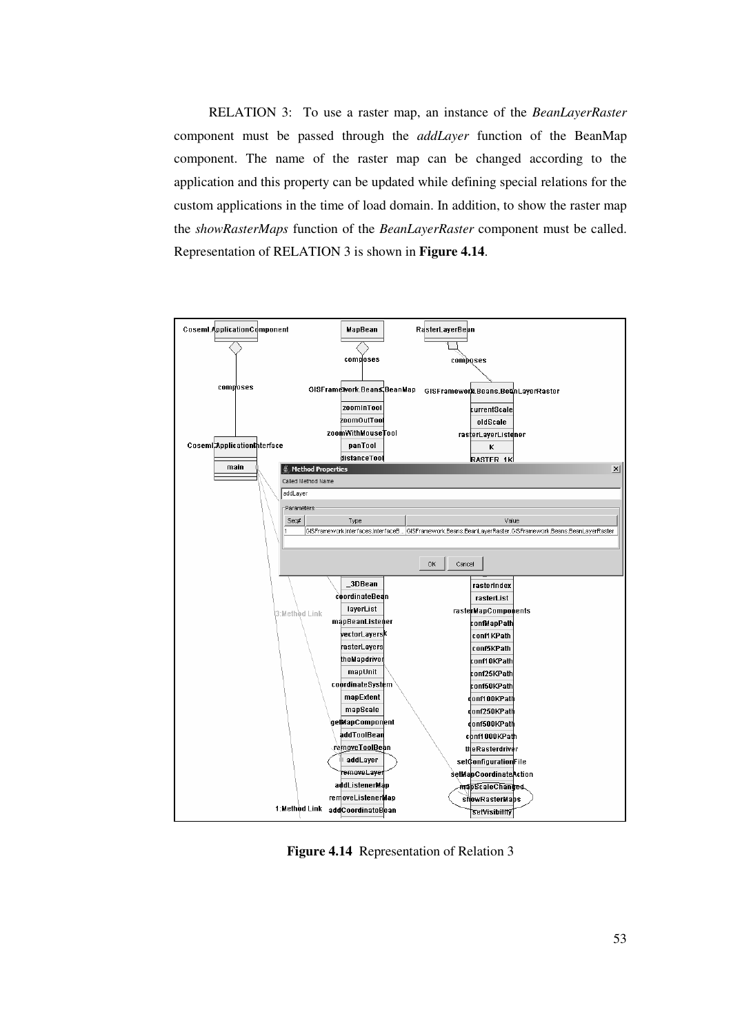RELATION 3: To use a raster map, an instance of the *BeanLayerRaster* component must be passed through the *addLayer* function of the BeanMap component. The name of the raster map can be changed according to the application and this property can be updated while defining special relations for the custom applications in the time of load domain. In addition, to show the raster map the *showRasterMaps* function of the *BeanLayerRaster* component must be called. Representation of RELATION 3 is shown in **Figure 4.14**.



**Figure 4.14** Representation of Relation 3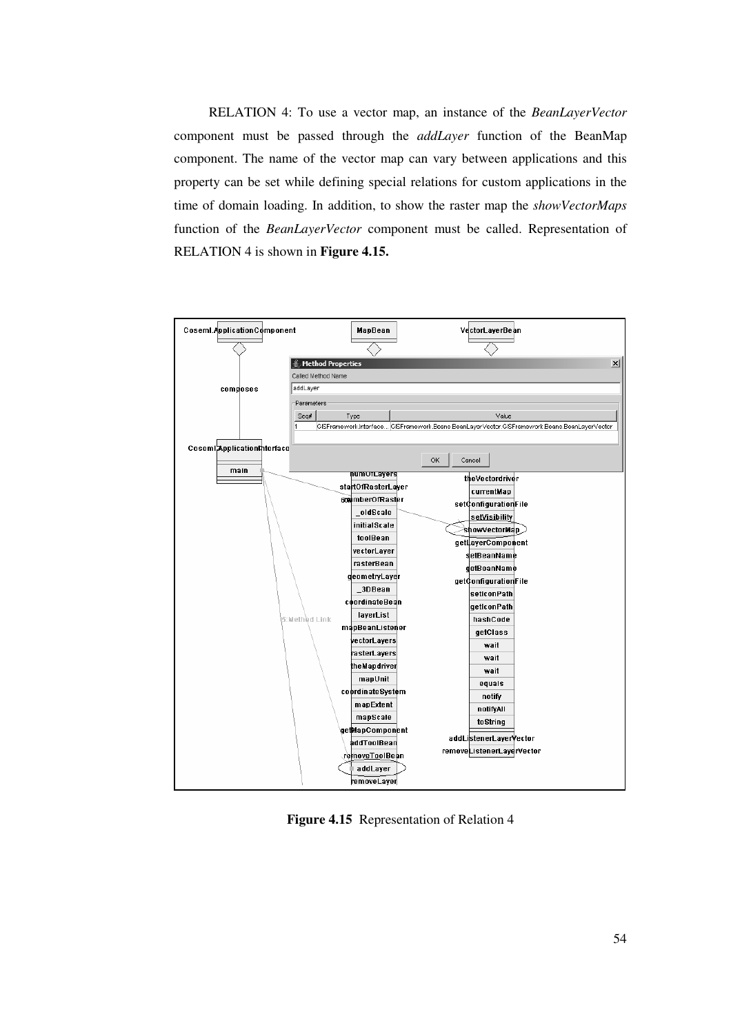RELATION 4: To use a vector map, an instance of the *BeanLayerVector* component must be passed through the *addLayer* function of the BeanMap component. The name of the vector map can vary between applications and this property can be set while defining special relations for custom applications in the time of domain loading. In addition, to show the raster map the *showVectorMaps* function of the *BeanLayerVector* component must be called. Representation of RELATION 4 is shown in **Figure 4.15.**



**Figure 4.15** Representation of Relation 4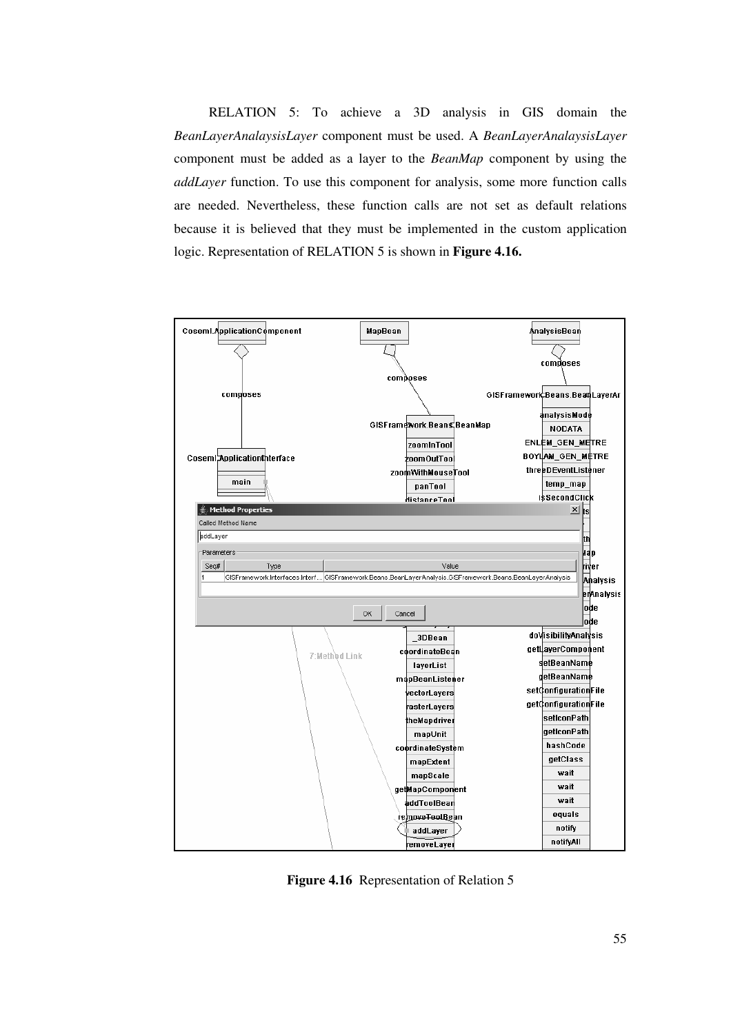RELATION 5: To achieve a 3D analysis in GIS domain the *BeanLayerAnalaysisLayer* component must be used. A *BeanLayerAnalaysisLayer* component must be added as a layer to the *BeanMap* component by using the *addLayer* function. To use this component for analysis, some more function calls are needed. Nevertheless, these function calls are not set as default relations because it is believed that they must be implemented in the custom application logic. Representation of RELATION 5 is shown in **Figure 4.16.**



**Figure 4.16** Representation of Relation 5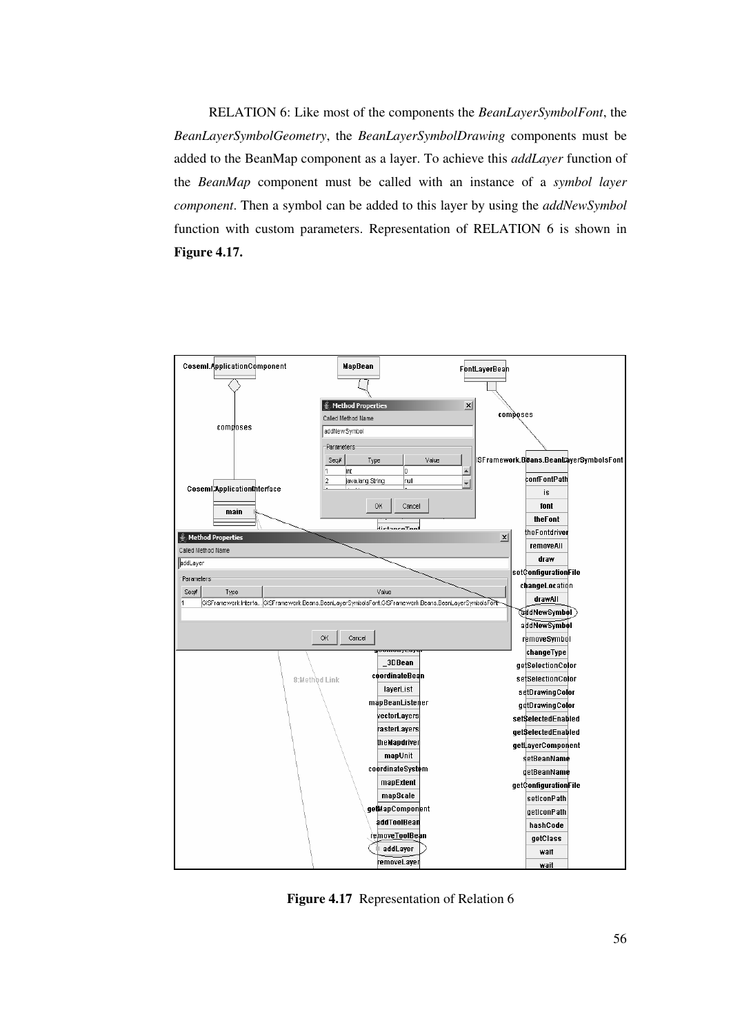RELATION 6: Like most of the components the *BeanLayerSymbolFont*, the *BeanLayerSymbolGeometry*, the *BeanLayerSymbolDrawing* components must be added to the BeanMap component as a layer. To achieve this *addLayer* function of the *BeanMap* component must be called with an instance of a *symbol layer component*. Then a symbol can be added to this layer by using the *addNewSymbol* function with custom parameters. Representation of RELATION 6 is shown in **Figure 4.17.**



**Figure 4.17** Representation of Relation 6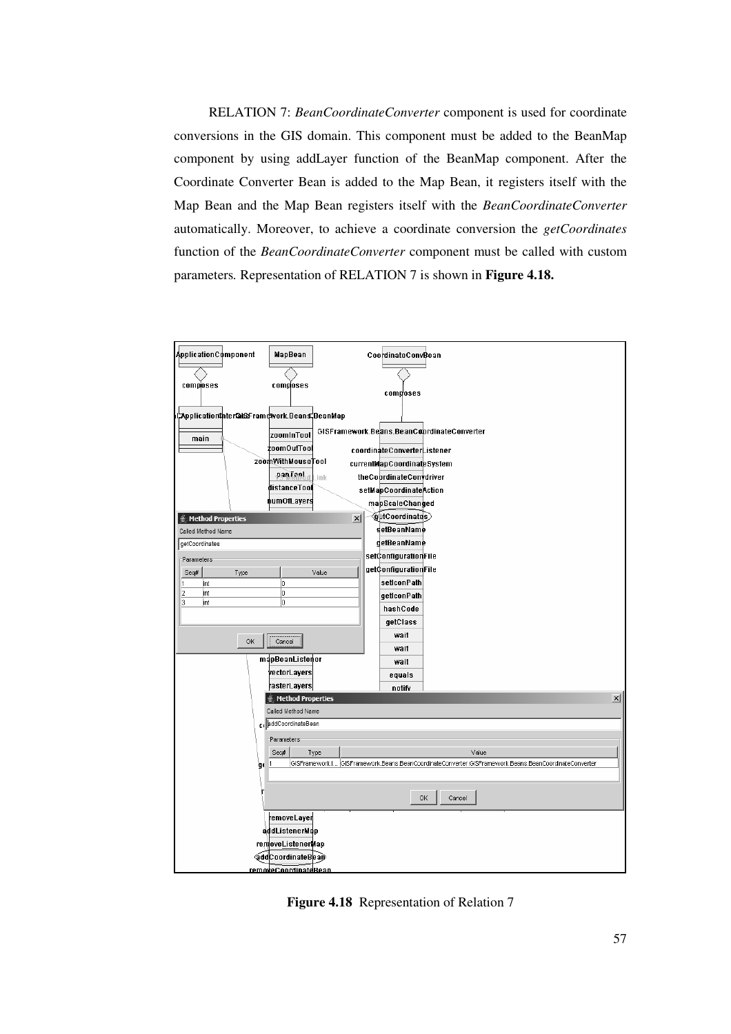RELATION 7: *BeanCoordinateConverter* component is used for coordinate conversions in the GIS domain. This component must be added to the BeanMap component by using addLayer function of the BeanMap component. After the Coordinate Converter Bean is added to the Map Bean, it registers itself with the Map Bean and the Map Bean registers itself with the *BeanCoordinateConverter* automatically. Moreover, to achieve a coordinate conversion the *getCoordinates* function of the *BeanCoordinateConverter* component must be called with custom parameters*.* Representation of RELATION 7 is shown in **Figure 4.18.**



**Figure 4.18** Representation of Relation 7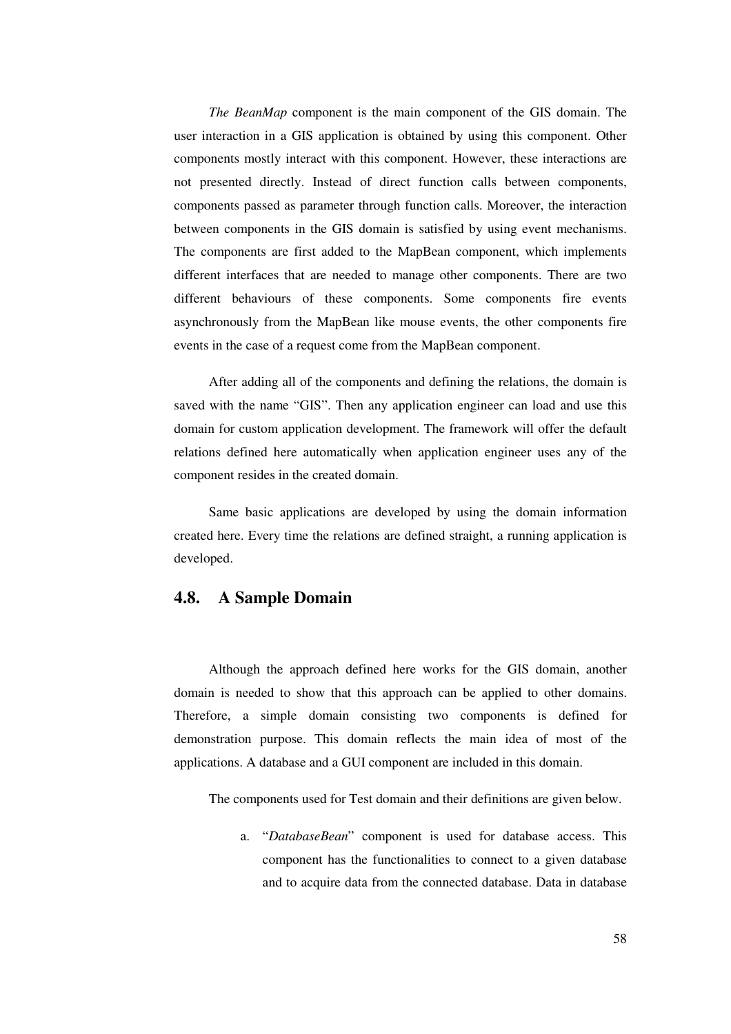*The BeanMap* component is the main component of the GIS domain. The user interaction in a GIS application is obtained by using this component. Other components mostly interact with this component. However, these interactions are not presented directly. Instead of direct function calls between components, components passed as parameter through function calls. Moreover, the interaction between components in the GIS domain is satisfied by using event mechanisms. The components are first added to the MapBean component, which implements different interfaces that are needed to manage other components. There are two different behaviours of these components. Some components fire events asynchronously from the MapBean like mouse events, the other components fire events in the case of a request come from the MapBean component.

After adding all of the components and defining the relations, the domain is saved with the name "GIS". Then any application engineer can load and use this domain for custom application development. The framework will offer the default relations defined here automatically when application engineer uses any of the component resides in the created domain.

Same basic applications are developed by using the domain information created here. Every time the relations are defined straight, a running application is developed.

### **4.8. A Sample Domain**

Although the approach defined here works for the GIS domain, another domain is needed to show that this approach can be applied to other domains. Therefore, a simple domain consisting two components is defined for demonstration purpose. This domain reflects the main idea of most of the applications. A database and a GUI component are included in this domain.

The components used for Test domain and their definitions are given below.

a. "*DatabaseBean*" component is used for database access. This component has the functionalities to connect to a given database and to acquire data from the connected database. Data in database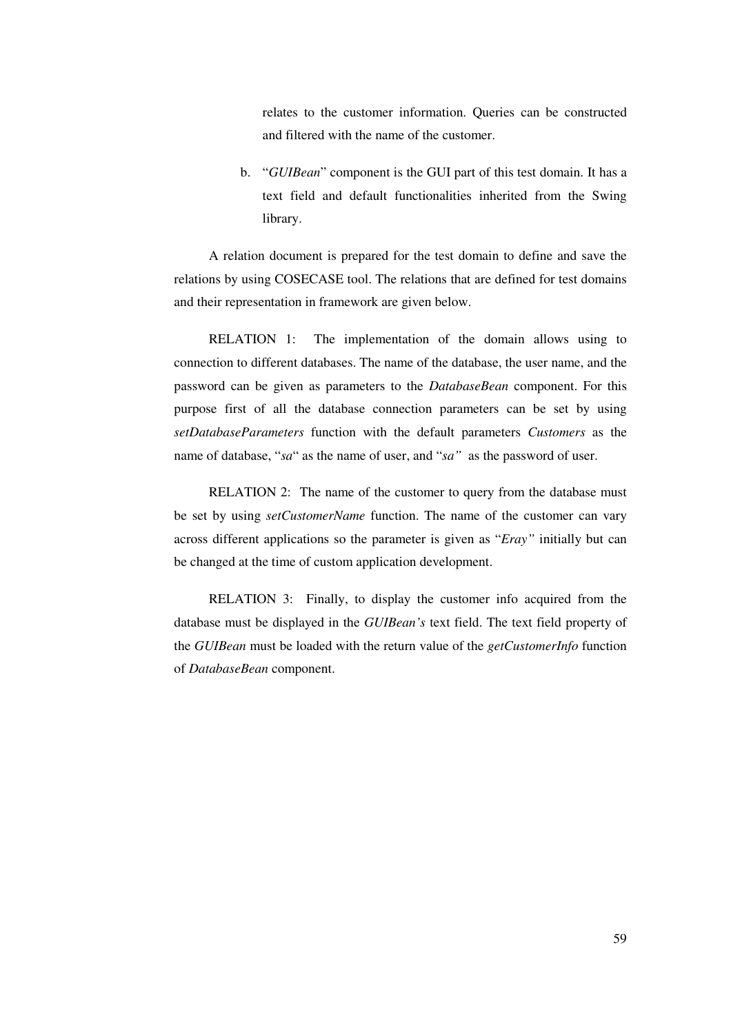relates to the customer information. Queries can be constructed and filtered with the name of the customer.

b. "*GUIBean*" component is the GUI part of this test domain. It has a text field and default functionalities inherited from the Swing library.

A relation document is prepared for the test domain to define and save the relations by using COSECASE tool. The relations that are defined for test domains and their representation in framework are given below.

RELATION 1: The implementation of the domain allows using to connection to different databases. The name of the database, the user name, and the password can be given as parameters to the *DatabaseBean* component. For this purpose first of all the database connection parameters can be set by using *setDatabaseParameters* function with the default parameters *Customers* as the name of database, "*sa*" as the name of user, and "*sa"* as the password of user.

RELATION 2: The name of the customer to query from the database must be set by using *setCustomerName* function. The name of the customer can vary across different applications so the parameter is given as "*Eray"* initially but can be changed at the time of custom application development.

RELATION 3: Finally, to display the customer info acquired from the database must be displayed in the *GUIBean's* text field. The text field property of the *GUIBean* must be loaded with the return value of the *getCustomerInfo* function of *DatabaseBean* component.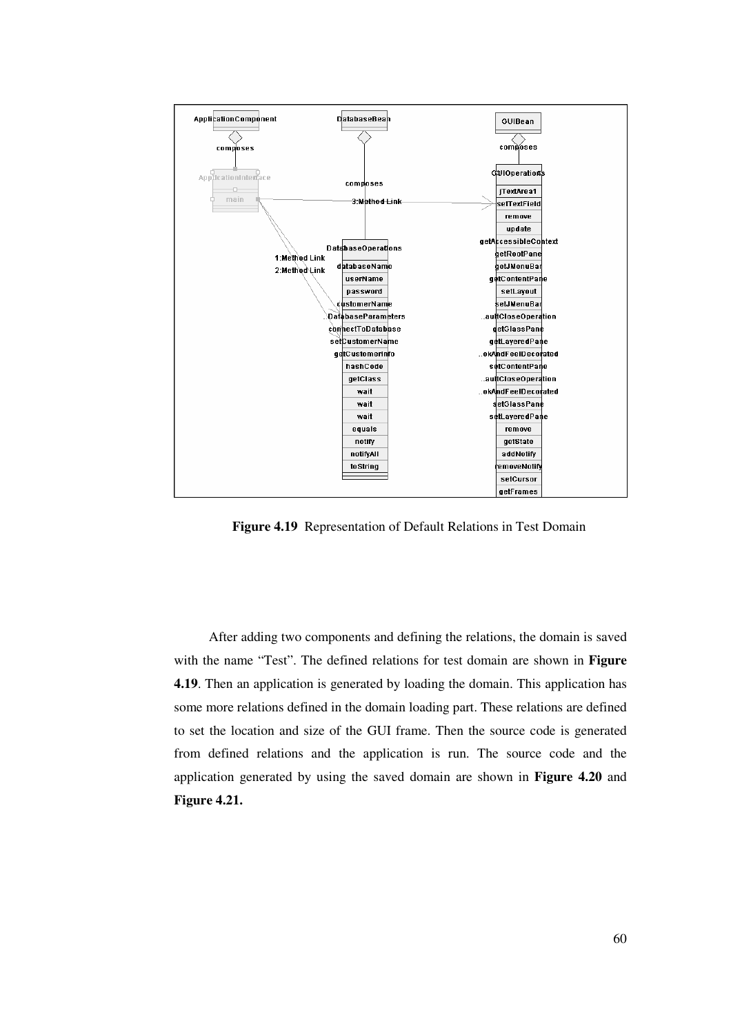

**Figure 4.19** Representation of Default Relations in Test Domain

After adding two components and defining the relations, the domain is saved with the name "Test". The defined relations for test domain are shown in **Figure 4.19**. Then an application is generated by loading the domain. This application has some more relations defined in the domain loading part. These relations are defined to set the location and size of the GUI frame. Then the source code is generated from defined relations and the application is run. The source code and the application generated by using the saved domain are shown in **Figure 4.20** and **Figure 4.21.**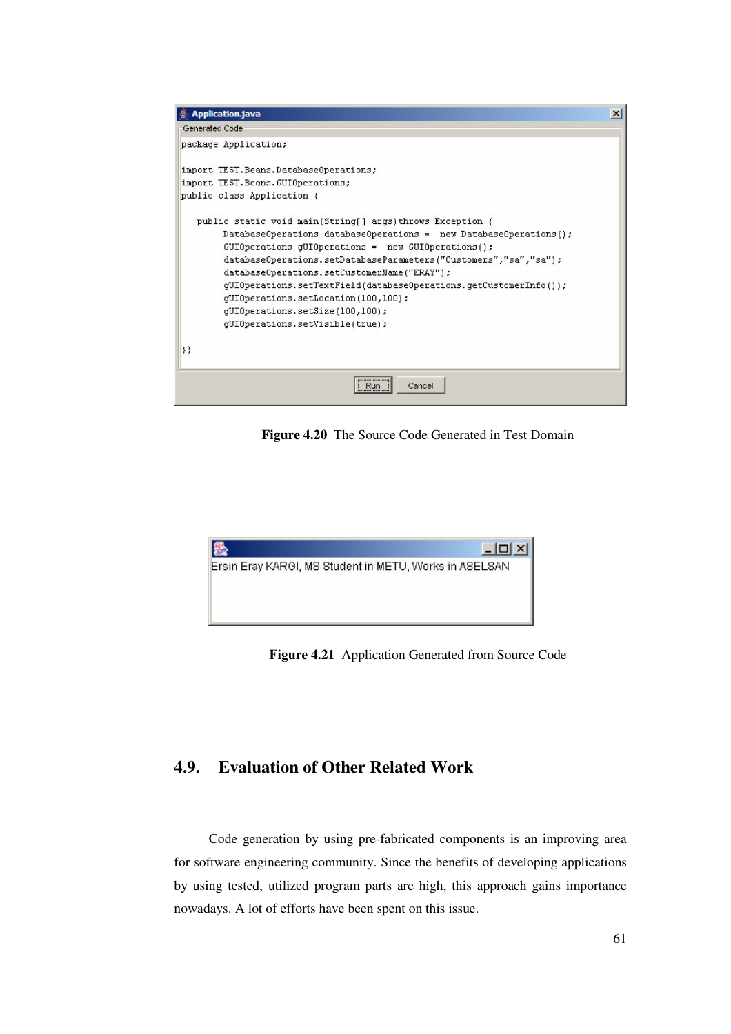

**Figure 4.20** The Source Code Generated in Test Domain



**Figure 4.21** Application Generated from Source Code

# **4.9. Evaluation of Other Related Work**

Code generation by using pre-fabricated components is an improving area for software engineering community. Since the benefits of developing applications by using tested, utilized program parts are high, this approach gains importance nowadays. A lot of efforts have been spent on this issue.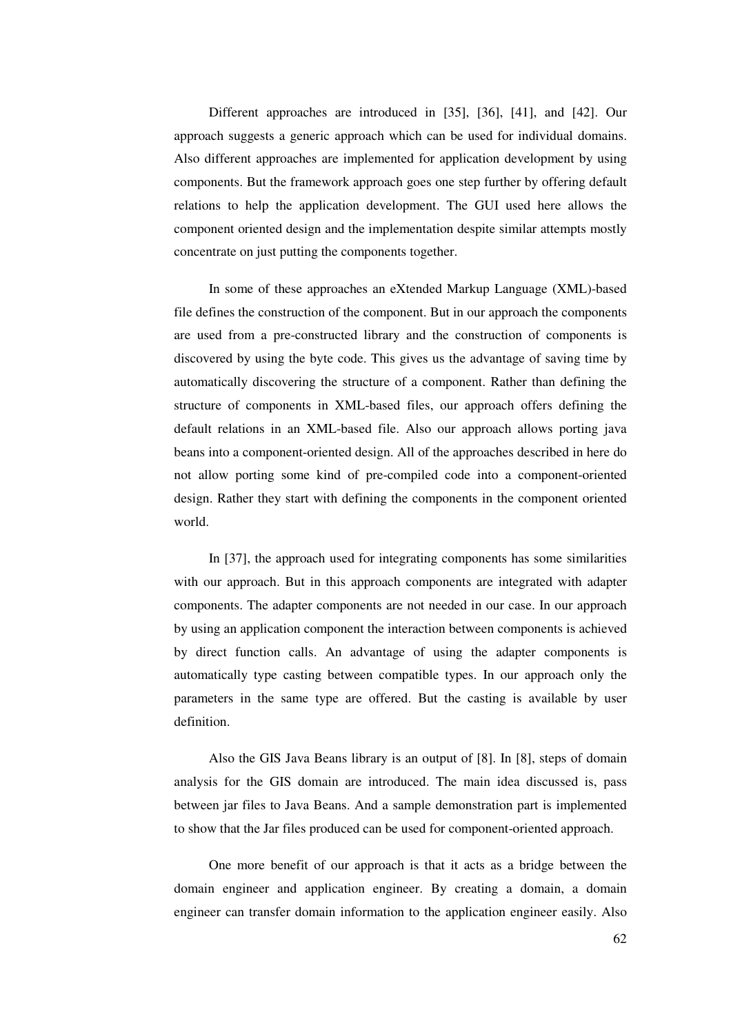Different approaches are introduced in [35], [36], [41], and [42]. Our approach suggests a generic approach which can be used for individual domains. Also different approaches are implemented for application development by using components. But the framework approach goes one step further by offering default relations to help the application development. The GUI used here allows the component oriented design and the implementation despite similar attempts mostly concentrate on just putting the components together.

In some of these approaches an eXtended Markup Language (XML)-based file defines the construction of the component. But in our approach the components are used from a pre-constructed library and the construction of components is discovered by using the byte code. This gives us the advantage of saving time by automatically discovering the structure of a component. Rather than defining the structure of components in XML-based files, our approach offers defining the default relations in an XML-based file. Also our approach allows porting java beans into a component-oriented design. All of the approaches described in here do not allow porting some kind of pre-compiled code into a component-oriented design. Rather they start with defining the components in the component oriented world.

In [37], the approach used for integrating components has some similarities with our approach. But in this approach components are integrated with adapter components. The adapter components are not needed in our case. In our approach by using an application component the interaction between components is achieved by direct function calls. An advantage of using the adapter components is automatically type casting between compatible types. In our approach only the parameters in the same type are offered. But the casting is available by user definition.

Also the GIS Java Beans library is an output of [8]. In [8], steps of domain analysis for the GIS domain are introduced. The main idea discussed is, pass between jar files to Java Beans. And a sample demonstration part is implemented to show that the Jar files produced can be used for component-oriented approach.

One more benefit of our approach is that it acts as a bridge between the domain engineer and application engineer. By creating a domain, a domain engineer can transfer domain information to the application engineer easily. Also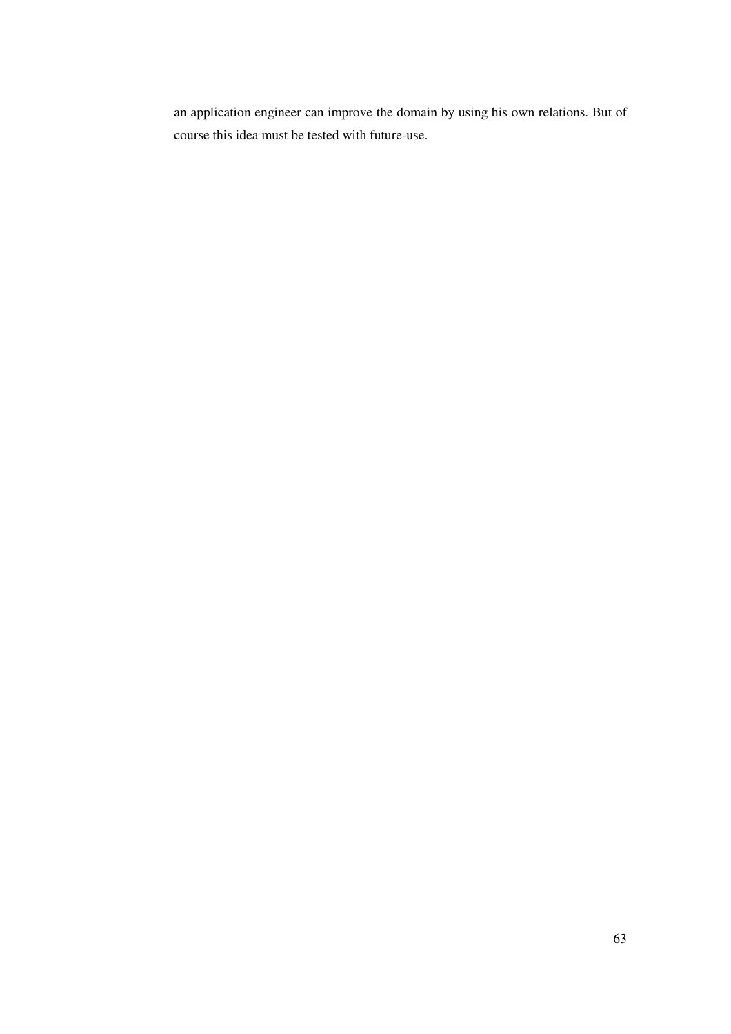an application engineer can improve the domain by using his own relations. But of course this idea must be tested with future-use.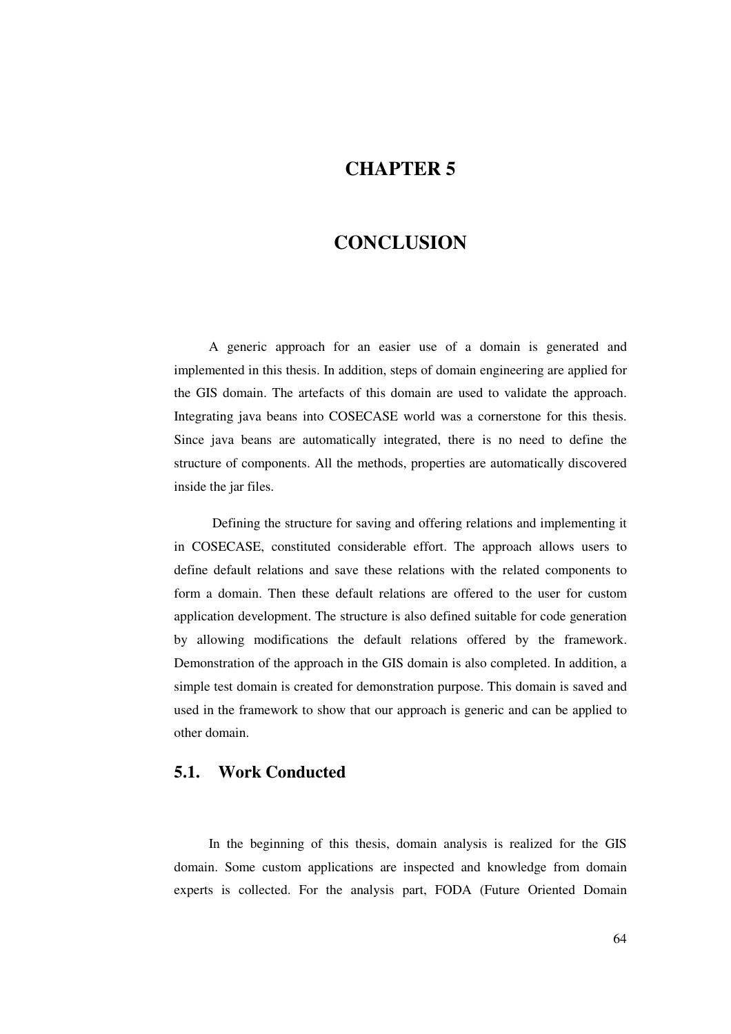# **CHAPTER 5**

# **CONCLUSION**

A generic approach for an easier use of a domain is generated and implemented in this thesis. In addition, steps of domain engineering are applied for the GIS domain. The artefacts of this domain are used to validate the approach. Integrating java beans into COSECASE world was a cornerstone for this thesis. Since java beans are automatically integrated, there is no need to define the structure of components. All the methods, properties are automatically discovered inside the jar files.

Defining the structure for saving and offering relations and implementing it in COSECASE, constituted considerable effort. The approach allows users to define default relations and save these relations with the related components to form a domain. Then these default relations are offered to the user for custom application development. The structure is also defined suitable for code generation by allowing modifications the default relations offered by the framework. Demonstration of the approach in the GIS domain is also completed. In addition, a simple test domain is created for demonstration purpose. This domain is saved and used in the framework to show that our approach is generic and can be applied to other domain.

#### **5.1. Work Conducted**

In the beginning of this thesis, domain analysis is realized for the GIS domain. Some custom applications are inspected and knowledge from domain experts is collected. For the analysis part, FODA (Future Oriented Domain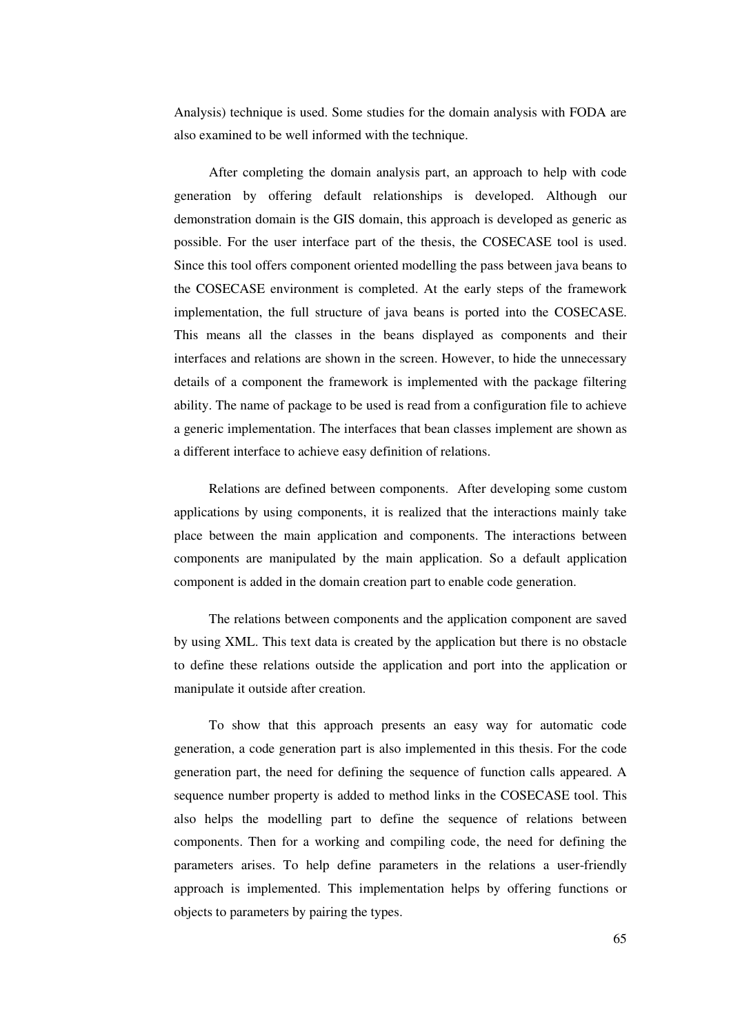Analysis) technique is used. Some studies for the domain analysis with FODA are also examined to be well informed with the technique.

After completing the domain analysis part, an approach to help with code generation by offering default relationships is developed. Although our demonstration domain is the GIS domain, this approach is developed as generic as possible. For the user interface part of the thesis, the COSECASE tool is used. Since this tool offers component oriented modelling the pass between java beans to the COSECASE environment is completed. At the early steps of the framework implementation, the full structure of java beans is ported into the COSECASE. This means all the classes in the beans displayed as components and their interfaces and relations are shown in the screen. However, to hide the unnecessary details of a component the framework is implemented with the package filtering ability. The name of package to be used is read from a configuration file to achieve a generic implementation. The interfaces that bean classes implement are shown as a different interface to achieve easy definition of relations.

Relations are defined between components. After developing some custom applications by using components, it is realized that the interactions mainly take place between the main application and components. The interactions between components are manipulated by the main application. So a default application component is added in the domain creation part to enable code generation.

The relations between components and the application component are saved by using XML. This text data is created by the application but there is no obstacle to define these relations outside the application and port into the application or manipulate it outside after creation.

To show that this approach presents an easy way for automatic code generation, a code generation part is also implemented in this thesis. For the code generation part, the need for defining the sequence of function calls appeared. A sequence number property is added to method links in the COSECASE tool. This also helps the modelling part to define the sequence of relations between components. Then for a working and compiling code, the need for defining the parameters arises. To help define parameters in the relations a user-friendly approach is implemented. This implementation helps by offering functions or objects to parameters by pairing the types.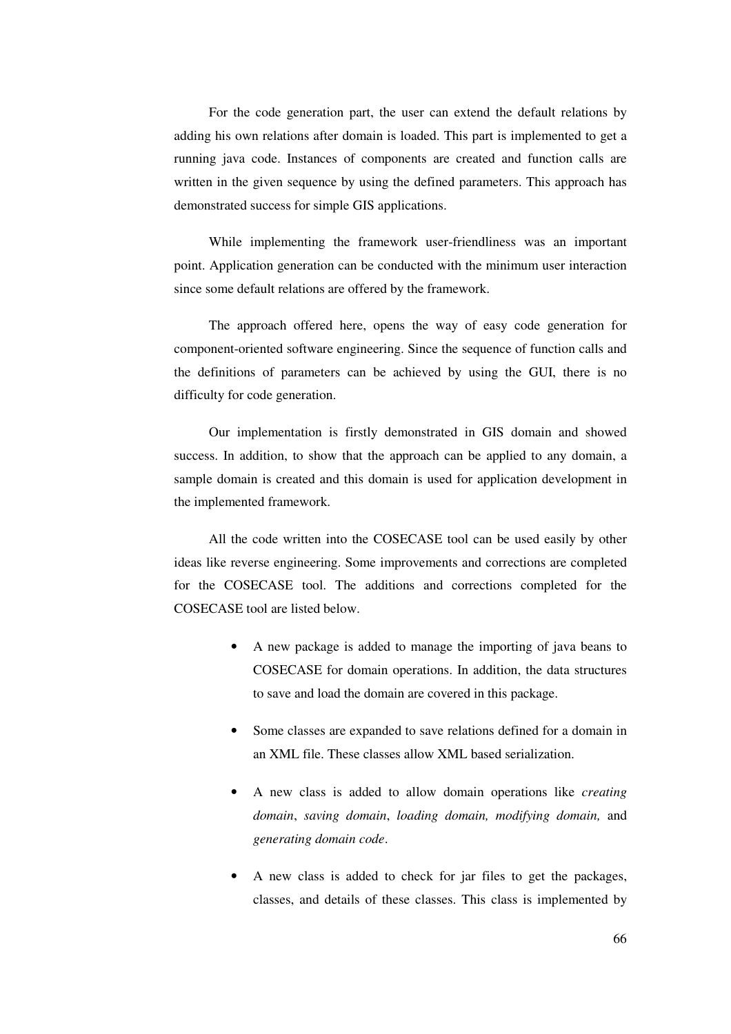For the code generation part, the user can extend the default relations by adding his own relations after domain is loaded. This part is implemented to get a running java code. Instances of components are created and function calls are written in the given sequence by using the defined parameters. This approach has demonstrated success for simple GIS applications.

While implementing the framework user-friendliness was an important point. Application generation can be conducted with the minimum user interaction since some default relations are offered by the framework.

The approach offered here, opens the way of easy code generation for component-oriented software engineering. Since the sequence of function calls and the definitions of parameters can be achieved by using the GUI, there is no difficulty for code generation.

Our implementation is firstly demonstrated in GIS domain and showed success. In addition, to show that the approach can be applied to any domain, a sample domain is created and this domain is used for application development in the implemented framework.

All the code written into the COSECASE tool can be used easily by other ideas like reverse engineering. Some improvements and corrections are completed for the COSECASE tool. The additions and corrections completed for the COSECASE tool are listed below.

- A new package is added to manage the importing of java beans to COSECASE for domain operations. In addition, the data structures to save and load the domain are covered in this package.
- Some classes are expanded to save relations defined for a domain in an XML file. These classes allow XML based serialization.
- A new class is added to allow domain operations like *creating domain*, *saving domain*, *loading domain, modifying domain,* and *generating domain code*.
- A new class is added to check for jar files to get the packages, classes, and details of these classes. This class is implemented by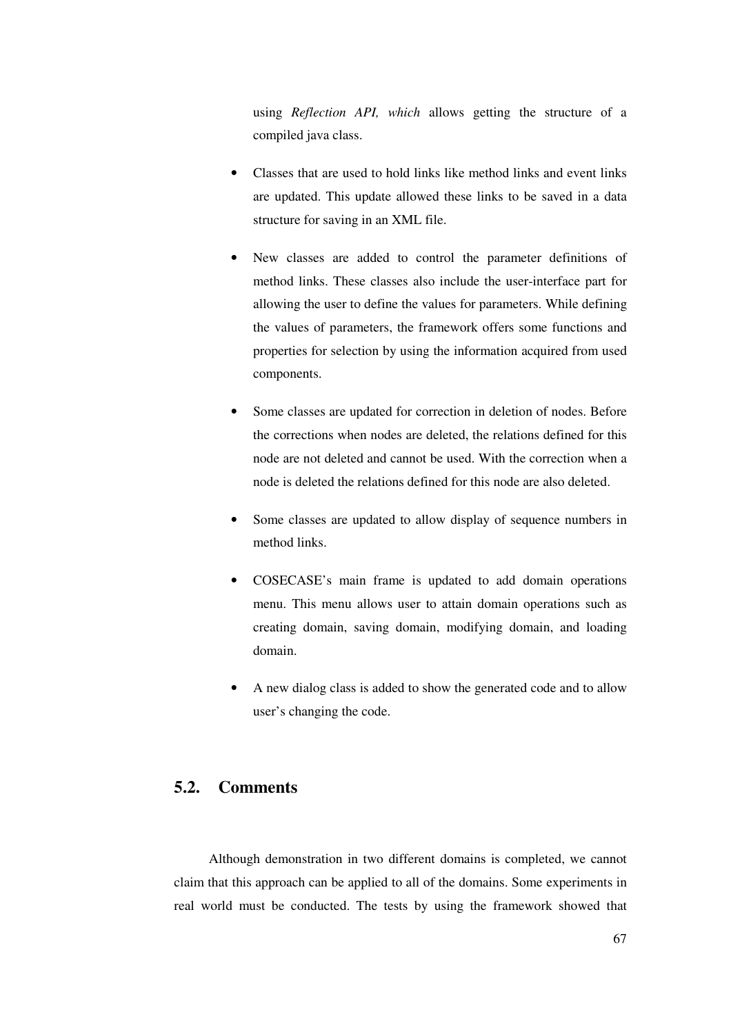using *Reflection API, which* allows getting the structure of a compiled java class.

- Classes that are used to hold links like method links and event links are updated. This update allowed these links to be saved in a data structure for saving in an XML file.
- New classes are added to control the parameter definitions of method links. These classes also include the user-interface part for allowing the user to define the values for parameters. While defining the values of parameters, the framework offers some functions and properties for selection by using the information acquired from used components.
- Some classes are updated for correction in deletion of nodes. Before the corrections when nodes are deleted, the relations defined for this node are not deleted and cannot be used. With the correction when a node is deleted the relations defined for this node are also deleted.
- Some classes are updated to allow display of sequence numbers in method links.
- COSECASE's main frame is updated to add domain operations menu. This menu allows user to attain domain operations such as creating domain, saving domain, modifying domain, and loading domain.
- A new dialog class is added to show the generated code and to allow user's changing the code.

### **5.2. Comments**

Although demonstration in two different domains is completed, we cannot claim that this approach can be applied to all of the domains. Some experiments in real world must be conducted. The tests by using the framework showed that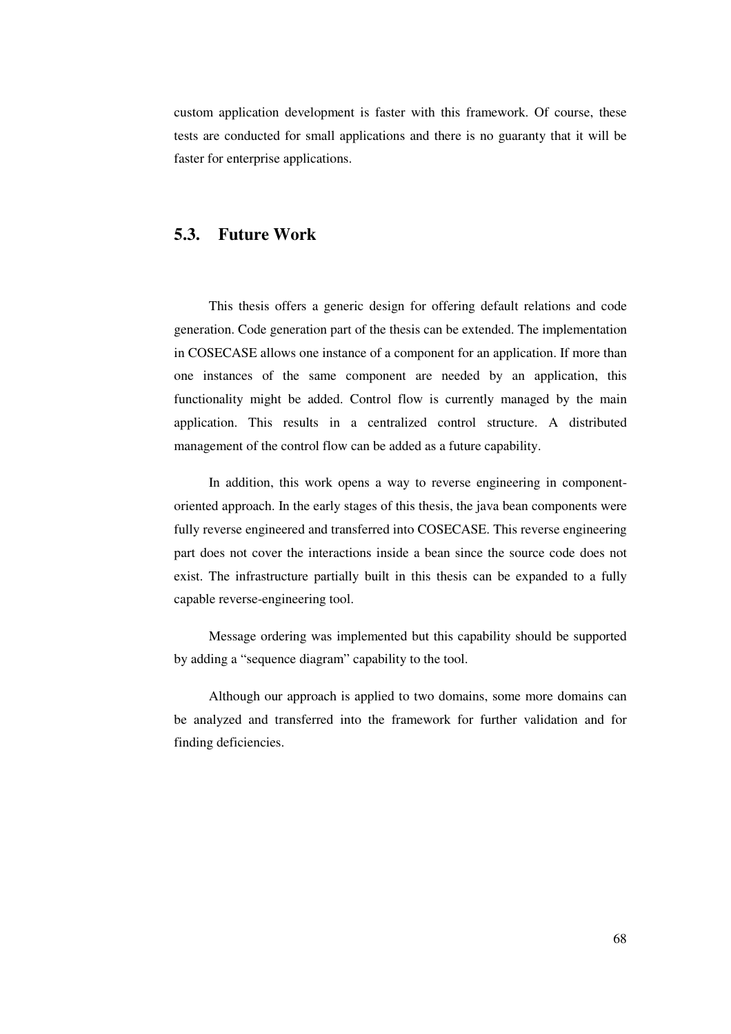custom application development is faster with this framework. Of course, these tests are conducted for small applications and there is no guaranty that it will be faster for enterprise applications.

#### **5.3. Future Work**

This thesis offers a generic design for offering default relations and code generation. Code generation part of the thesis can be extended. The implementation in COSECASE allows one instance of a component for an application. If more than one instances of the same component are needed by an application, this functionality might be added. Control flow is currently managed by the main application. This results in a centralized control structure. A distributed management of the control flow can be added as a future capability.

In addition, this work opens a way to reverse engineering in componentoriented approach. In the early stages of this thesis, the java bean components were fully reverse engineered and transferred into COSECASE. This reverse engineering part does not cover the interactions inside a bean since the source code does not exist. The infrastructure partially built in this thesis can be expanded to a fully capable reverse-engineering tool.

Message ordering was implemented but this capability should be supported by adding a "sequence diagram" capability to the tool.

Although our approach is applied to two domains, some more domains can be analyzed and transferred into the framework for further validation and for finding deficiencies.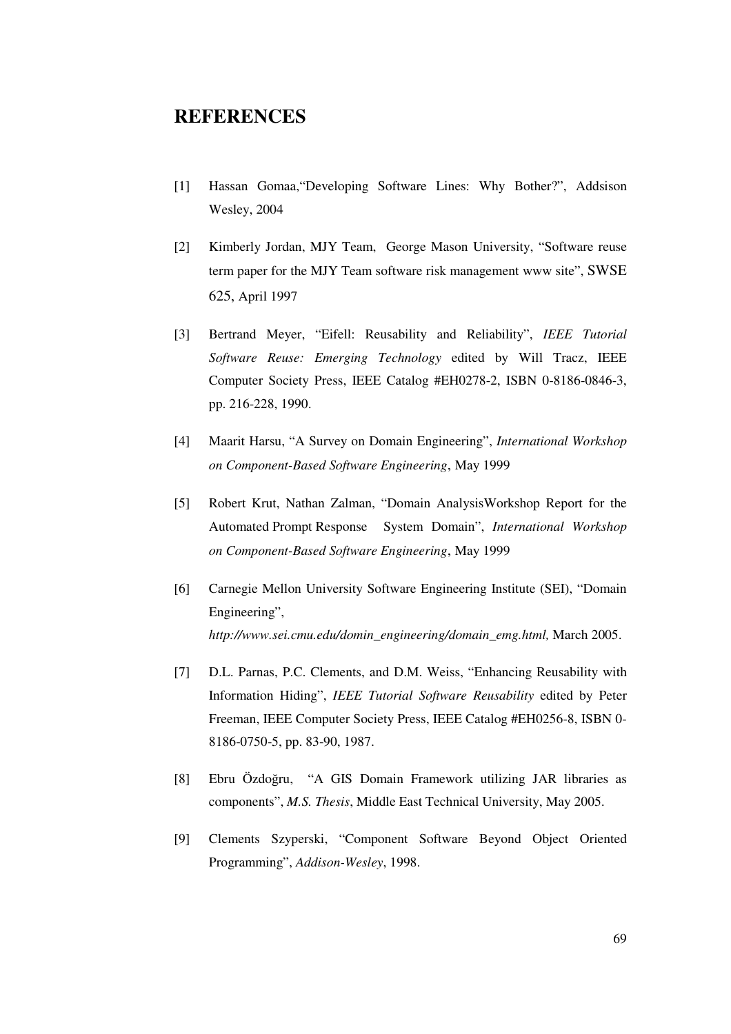# **REFERENCES**

- [1] Hassan Gomaa,"Developing Software Lines: Why Bother?", Addsison Wesley, 2004
- [2] Kimberly Jordan, MJY Team, George Mason University, "Software reuse term paper for the MJY Team software risk management www site", SWSE 625, April 1997
- [3] Bertrand Meyer, "Eifell: Reusability and Reliability", *IEEE Tutorial Software Reuse: Emerging Technology* edited by Will Tracz, IEEE Computer Society Press, IEEE Catalog #EH0278-2, ISBN 0-8186-0846-3, pp. 216-228, 1990.
- [4] Maarit Harsu, "A Survey on Domain Engineering", *International Workshop on Component-Based Software Engineering*, May 1999
- [5] Robert Krut, Nathan Zalman, "Domain AnalysisWorkshop Report for the Automated Prompt Response System Domain", *International Workshop on Component-Based Software Engineering*, May 1999
- [6] Carnegie Mellon University Software Engineering Institute (SEI), "Domain Engineering", *http://www.sei.cmu.edu/domin\_engineering/domain\_emg.html,* March 2005.
- [7] D.L. Parnas, P.C. Clements, and D.M. Weiss, "Enhancing Reusability with Information Hiding", *IEEE Tutorial Software Reusability* edited by Peter Freeman, IEEE Computer Society Press, IEEE Catalog #EH0256-8, ISBN 0- 8186-0750-5, pp. 83-90, 1987.
- [8] Ebru Özdoğru, "A GIS Domain Framework utilizing JAR libraries as components", *M.S. Thesis*, Middle East Technical University, May 2005.
- [9] Clements Szyperski, "Component Software Beyond Object Oriented Programming", *Addison-Wesley*, 1998.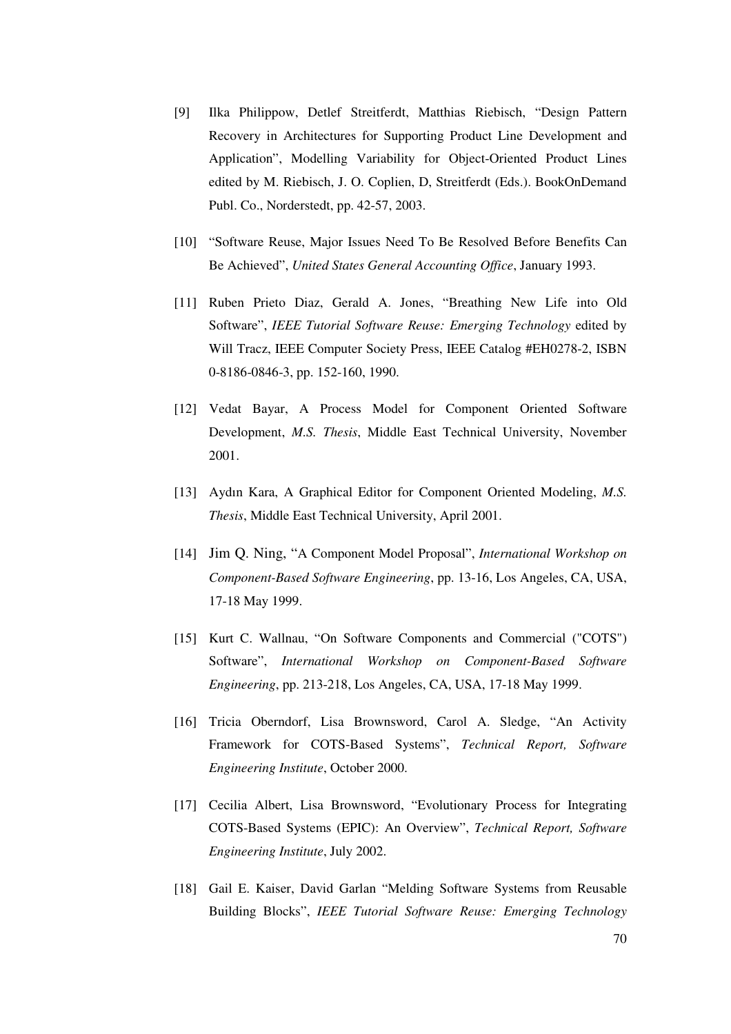- [9] Ilka Philippow, Detlef Streitferdt, Matthias Riebisch, "Design Pattern Recovery in Architectures for Supporting Product Line Development and Application", Modelling Variability for Object-Oriented Product Lines edited by M. Riebisch, J. O. Coplien, D, Streitferdt (Eds.). BookOnDemand Publ. Co., Norderstedt, pp. 42-57, 2003.
- [10] "Software Reuse, Major Issues Need To Be Resolved Before Benefits Can Be Achieved", *United States General Accounting Office*, January 1993.
- [11] Ruben Prieto Diaz, Gerald A. Jones, "Breathing New Life into Old Software", *IEEE Tutorial Software Reuse: Emerging Technology* edited by Will Tracz, IEEE Computer Society Press, IEEE Catalog #EH0278-2, ISBN 0-8186-0846-3, pp. 152-160, 1990.
- [12] Vedat Bayar, A Process Model for Component Oriented Software Development, *M.S. Thesis*, Middle East Technical University, November 2001.
- [13] Aydın Kara, A Graphical Editor for Component Oriented Modeling, *M.S. Thesis*, Middle East Technical University, April 2001.
- [14] Jim Q. Ning, "A Component Model Proposal", *International Workshop on Component-Based Software Engineering*, pp. 13-16, Los Angeles, CA, USA, 17-18 May 1999.
- [15] Kurt C. Wallnau, "On Software Components and Commercial ("COTS") Software", *International Workshop on Component-Based Software Engineering*, pp. 213-218, Los Angeles, CA, USA, 17-18 May 1999.
- [16] Tricia Oberndorf, Lisa Brownsword, Carol A. Sledge, "An Activity Framework for COTS-Based Systems", *Technical Report, Software Engineering Institute*, October 2000.
- [17] Cecilia Albert, Lisa Brownsword, "Evolutionary Process for Integrating COTS-Based Systems (EPIC): An Overview", *Technical Report, Software Engineering Institute*, July 2002.
- [18] Gail E. Kaiser, David Garlan "Melding Software Systems from Reusable Building Blocks", *IEEE Tutorial Software Reuse: Emerging Technology*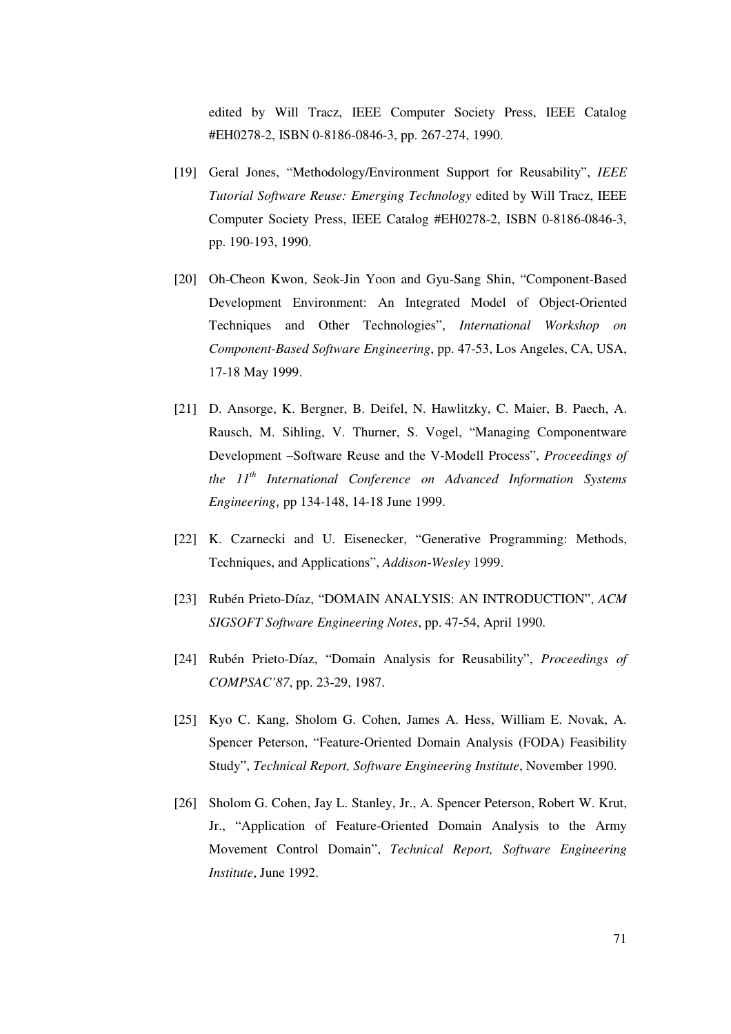edited by Will Tracz, IEEE Computer Society Press, IEEE Catalog #EH0278-2, ISBN 0-8186-0846-3, pp. 267-274, 1990.

- [19] Geral Jones, "Methodology/Environment Support for Reusability", *IEEE Tutorial Software Reuse: Emerging Technology* edited by Will Tracz, IEEE Computer Society Press, IEEE Catalog #EH0278-2, ISBN 0-8186-0846-3, pp. 190-193, 1990.
- [20] Oh-Cheon Kwon, Seok-Jin Yoon and Gyu-Sang Shin, "Component-Based Development Environment: An Integrated Model of Object-Oriented Techniques and Other Technologies", *International Workshop on Component-Based Software Engineering*, pp. 47-53, Los Angeles, CA, USA, 17-18 May 1999.
- [21] D. Ansorge, K. Bergner, B. Deifel, N. Hawlitzky, C. Maier, B. Paech, A. Rausch, M. Sihling, V. Thurner, S. Vogel, "Managing Componentware Development –Software Reuse and the V-Modell Process", *Proceedings of the 11 th International Conference on Advanced Information Systems Engineering*, pp 134-148, 14-18 June 1999.
- [22] K. Czarnecki and U. Eisenecker, "Generative Programming: Methods, Techniques, and Applications", *Addison-Wesley* 1999.
- [23] Rubén Prieto-Díaz, "DOMAIN ANALYSIS: AN INTRODUCTION", *ACM SIGSOFT Software Engineering Notes*, pp. 47-54, April 1990.
- [24] Rubén Prieto-Díaz, "Domain Analysis for Reusability", *Proceedings of COMPSAC'87*, pp. 23-29, 1987.
- [25] Kyo C. Kang, Sholom G. Cohen, James A. Hess, William E. Novak, A. Spencer Peterson, "Feature-Oriented Domain Analysis (FODA) Feasibility Study", *Technical Report, Software Engineering Institute*, November 1990.
- [26] Sholom G. Cohen, Jay L. Stanley, Jr., A. Spencer Peterson, Robert W. Krut, Jr., "Application of Feature-Oriented Domain Analysis to the Army Movement Control Domain", *Technical Report, Software Engineering Institute*, June 1992.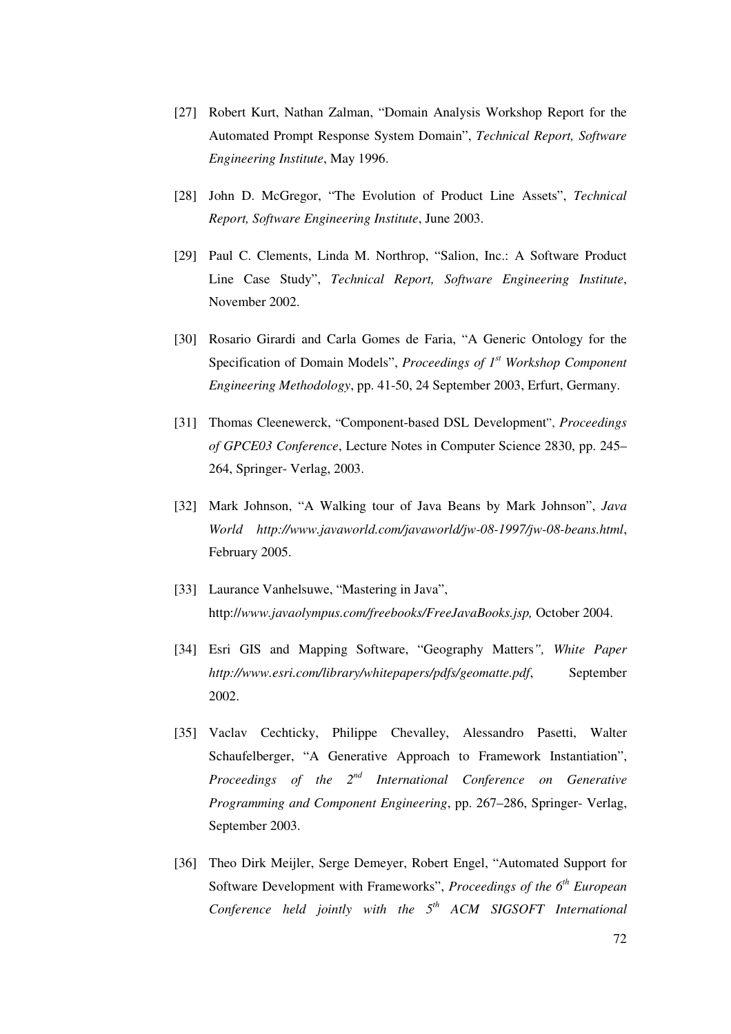- [27] Robert Kurt, Nathan Zalman, "Domain Analysis Workshop Report for the Automated Prompt Response System Domain", *Technical Report, Software Engineering Institute*, May 1996.
- [28] John D. McGregor, "The Evolution of Product Line Assets", *Technical Report, Software Engineering Institute*, June 2003.
- [29] Paul C. Clements, Linda M. Northrop, "Salion, Inc.: A Software Product Line Case Study", *Technical Report, Software Engineering Institute*, November 2002.
- [30] Rosario Girardi and Carla Gomes de Faria, "A Generic Ontology for the Specification of Domain Models", *Proceedings of 1 st Workshop Component Engineering Methodology*, pp. 41-50, 24 September 2003, Erfurt, Germany.
- [31] Thomas Cleenewerck, "Component-based DSL Development", *Proceedings of GPCE03 Conference*, Lecture Notes in Computer Science 2830, pp. 245– 264, Springer- Verlag, 2003.
- [32] Mark Johnson, "A Walking tour of Java Beans by Mark Johnson", *Java World http://www.javaworld.com/javaworld/jw-08-1997/jw-08-beans.html*, February 2005.
- [33] Laurance Vanhelsuwe, "Mastering in Java", http://*www.javaolympus.com/freebooks/FreeJavaBooks.jsp,* October 2004.
- [34] Esri GIS and Mapping Software, "Geography Matters*", White Paper http://www.esri.com/library/whitepapers/pdfs/geomatte.pdf*, September 2002.
- [35] Vaclav Cechticky, Philippe Chevalley, Alessandro Pasetti, Walter Schaufelberger, "A Generative Approach to Framework Instantiation", *Proceedings of the 2 nd International Conference on Generative Programming and Component Engineering*, pp. 267–286, Springer- Verlag, September 2003.
- [36] Theo Dirk Meijler, Serge Demeyer, Robert Engel, "Automated Support for Software Development with Frameworks", *Proceedings of the 6 th European Conference held jointly with the 5 th ACM SIGSOFT International*